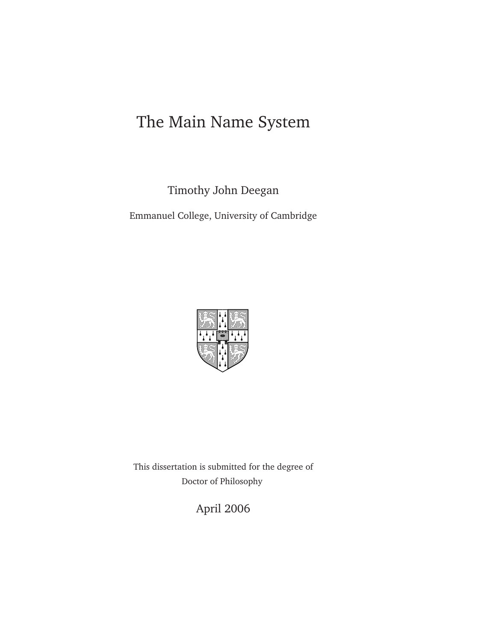## The Main Name System

Timothy John Deegan

Emmanuel College, University of Cambridge



This dissertation is submitted for the degree of Doctor of Philosophy

April 2006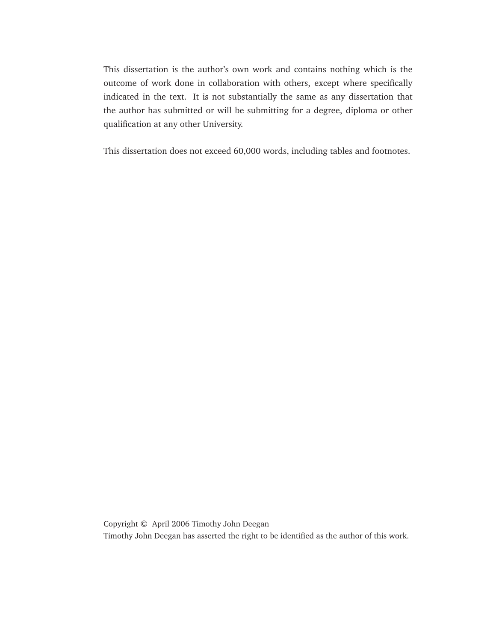This dissertation is the author's own work and contains nothing which is the outcome of work done in collaboration with others, except where specifically indicated in the text. It is not substantially the same as any dissertation that the author has submitted or will be submitting for a degree, diploma or other qualification at any other University.

This dissertation does not exceed 60,000 words, including tables and footnotes.

Copyright © April 2006 Timothy John Deegan Timothy John Deegan has asserted the right to be identified as the author of this work.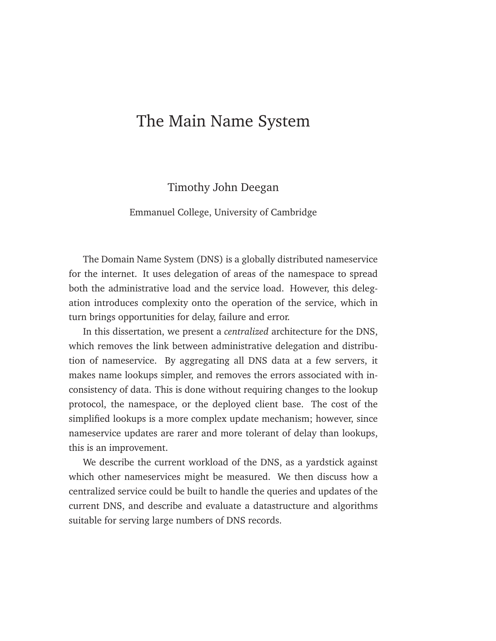## <span id="page-2-0"></span>The Main Name System

#### Timothy John Deegan

#### Emmanuel College, University of Cambridge

The Domain Name System (DNS) is a globally distributed nameservice for the internet. It uses delegation of areas of the namespace to spread both the administrative load and the service load. However, this delegation introduces complexity onto the operation of the service, which in turn brings opportunities for delay, failure and error.

In this dissertation, we present a *centralized* architecture for the DNS, which removes the link between administrative delegation and distribution of nameservice. By aggregating all DNS data at a few servers, it makes name lookups simpler, and removes the errors associated with inconsistency of data. This is done without requiring changes to the lookup protocol, the namespace, or the deployed client base. The cost of the simplified lookups is a more complex update mechanism; however, since nameservice updates are rarer and more tolerant of delay than lookups, this is an improvement.

We describe the current workload of the DNS, as a yardstick against which other nameservices might be measured. We then discuss how a centralized service could be built to handle the queries and updates of the current DNS, and describe and evaluate a datastructure and algorithms suitable for serving large numbers of DNS records.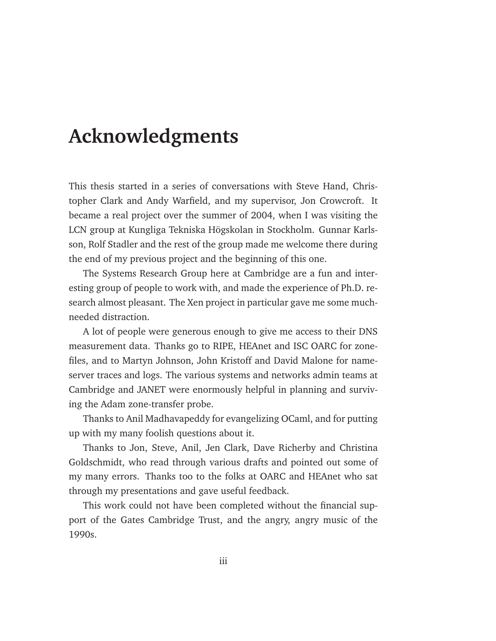## **Acknowledgments**

<span id="page-4-0"></span>This thesis started in a series of conversations with Steve Hand, Christopher Clark and Andy Warfield, and my supervisor, Jon Crowcroft. It became a real project over the summer of 2004, when I was visiting the LCN group at Kungliga Tekniska Högskolan in Stockholm. Gunnar Karlsson, Rolf Stadler and the rest of the group made me welcome there during the end of my previous project and the beginning of this one.

The Systems Research Group here at Cambridge are a fun and interesting group of people to work with, and made the experience of Ph.D. research almost pleasant. The Xen project in particular gave me some muchneeded distraction.

A lot of people were generous enough to give me access to their DNS measurement data. Thanks go to RIPE, HEAnet and ISC OARC for zonefiles, and to Martyn Johnson, John Kristoff and David Malone for nameserver traces and logs. The various systems and networks admin teams at Cambridge and JANET were enormously helpful in planning and surviving the Adam zone-transfer probe.

Thanks to Anil Madhavapeddy for evangelizing OCaml, and for putting up with my many foolish questions about it.

Thanks to Jon, Steve, Anil, Jen Clark, Dave Richerby and Christina Goldschmidt, who read through various drafts and pointed out some of my many errors. Thanks too to the folks at OARC and HEAnet who sat through my presentations and gave useful feedback.

This work could not have been completed without the financial support of the Gates Cambridge Trust, and the angry, angry music of the 1990s.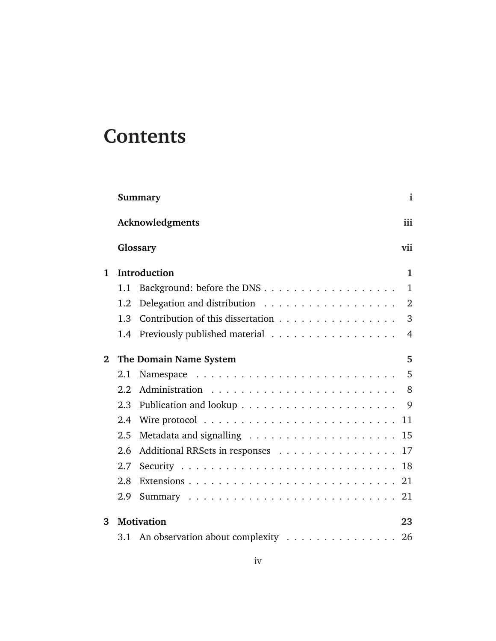# **Contents**

|              | Summary                                                                    |                |  |  |  |
|--------------|----------------------------------------------------------------------------|----------------|--|--|--|
|              | Acknowledgments                                                            |                |  |  |  |
|              | Glossary<br>vii                                                            |                |  |  |  |
| 1            | Introduction                                                               | $\mathbf{1}$   |  |  |  |
|              | 1.1                                                                        | 1              |  |  |  |
|              | Delegation and distribution $\ldots \ldots \ldots \ldots \ldots$<br>1.2    | 2              |  |  |  |
|              | Contribution of this dissertation<br>1.3                                   | 3              |  |  |  |
|              | Previously published material<br>1.4                                       | $\overline{4}$ |  |  |  |
| $\mathbf{2}$ | The Domain Name System                                                     | 5              |  |  |  |
|              | 2.1                                                                        | 5              |  |  |  |
|              | 2.2                                                                        | 8              |  |  |  |
|              | 2.3                                                                        | 9              |  |  |  |
|              | 2.4                                                                        | 11             |  |  |  |
|              | 2.5<br>Metadata and signalling $\ldots \ldots \ldots \ldots \ldots \ldots$ | 15             |  |  |  |
|              | 2.6                                                                        |                |  |  |  |
|              | 2.7                                                                        |                |  |  |  |
|              | 2.8                                                                        |                |  |  |  |
|              | 2.9                                                                        |                |  |  |  |
| 3            | <b>Motivation</b>                                                          | 23             |  |  |  |
|              |                                                                            | 26             |  |  |  |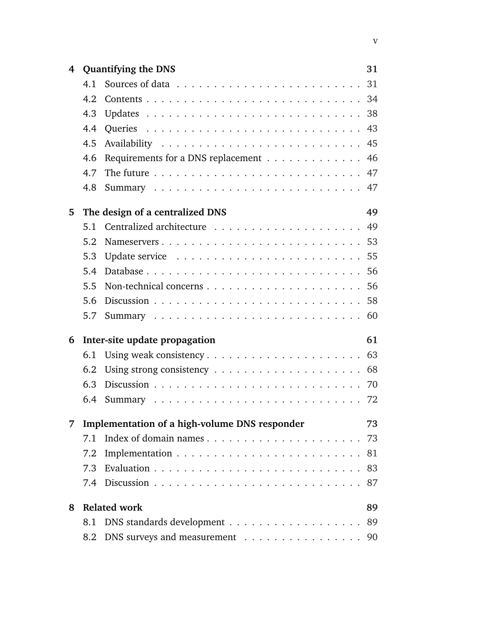| 4 |     | <b>Quantifying the DNS</b>                                                  | 31 |
|---|-----|-----------------------------------------------------------------------------|----|
|   | 4.1 |                                                                             |    |
|   | 4.2 |                                                                             |    |
|   | 4.3 |                                                                             |    |
|   | 4.4 |                                                                             |    |
|   | 4.5 |                                                                             |    |
|   | 4.6 | Requirements for a DNS replacement                                          | 46 |
|   | 4.7 | The future $\ldots \ldots \ldots \ldots \ldots \ldots \ldots \ldots \ldots$ |    |
|   | 4.8 |                                                                             | 47 |
| 5 |     | The design of a centralized DNS                                             | 49 |
|   | 5.1 |                                                                             |    |
|   | 5.2 |                                                                             |    |
|   | 5.3 |                                                                             |    |
|   | 5.4 |                                                                             |    |
|   | 5.5 |                                                                             |    |
|   | 5.6 |                                                                             |    |
|   | 5.7 |                                                                             |    |
| 6 |     | Inter-site update propagation                                               | 61 |
|   | 6.1 |                                                                             |    |
|   | 6.2 |                                                                             |    |
|   | 6.3 |                                                                             |    |
|   | 6.4 |                                                                             |    |
|   |     | 7 Implementation of a high-volume DNS responder                             | 73 |
|   | 7.1 | Index of domain names                                                       | 73 |
|   | 7.2 |                                                                             | 81 |
|   | 7.3 |                                                                             | 83 |
|   |     |                                                                             | 87 |
| 8 |     | <b>Related work</b>                                                         | 89 |
|   | 8.1 |                                                                             | 89 |
|   |     | 8.2 DNS surveys and measurement 90                                          |    |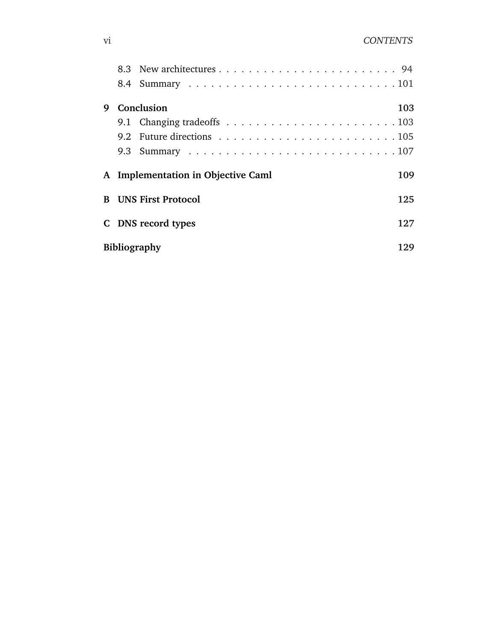| 9                                  |                                           | Conclusion | 103 |  |
|------------------------------------|-------------------------------------------|------------|-----|--|
|                                    |                                           |            |     |  |
|                                    |                                           |            |     |  |
|                                    |                                           |            |     |  |
|                                    | A Implementation in Objective Caml<br>109 |            |     |  |
| <b>B</b> UNS First Protocol<br>125 |                                           |            |     |  |
|                                    | C DNS record types<br>127                 |            |     |  |
|                                    | Bibliography<br>129                       |            |     |  |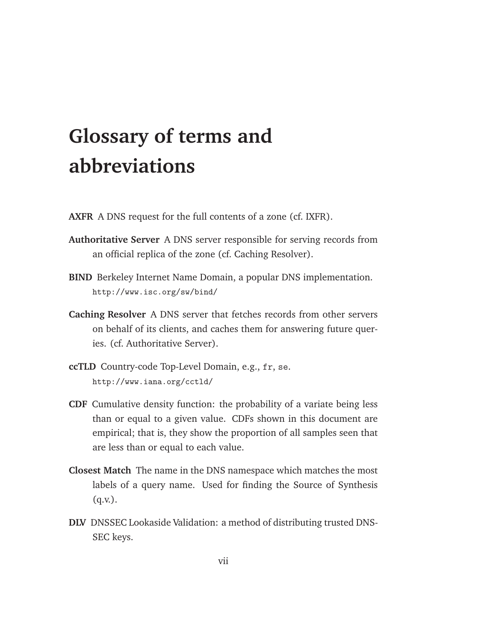# **Glossary of terms and abbreviations**

- <span id="page-8-0"></span>**AXFR** A DNS request for the full contents of a zone (cf. IXFR).
- **Authoritative Server** A DNS server responsible for serving records from an official replica of the zone (cf. Caching Resolver).
- **BIND** Berkeley Internet Name Domain, a popular DNS implementation. http://www.isc.org/sw/bind/
- **Caching Resolver** A DNS server that fetches records from other servers on behalf of its clients, and caches them for answering future queries. (cf. Authoritative Server).
- **ccTLD** Country-code Top-Level Domain, e.g., fr, se. http://www.iana.org/cctld/
- **CDF** Cumulative density function: the probability of a variate being less than or equal to a given value. CDFs shown in this document are empirical; that is, they show the proportion of all samples seen that are less than or equal to each value.
- **Closest Match** The name in the DNS namespace which matches the most labels of a query name. Used for finding the Source of Synthesis  $(q.v.).$
- **DLV** DNSSEC Lookaside Validation: a method of distributing trusted DNS-SEC keys.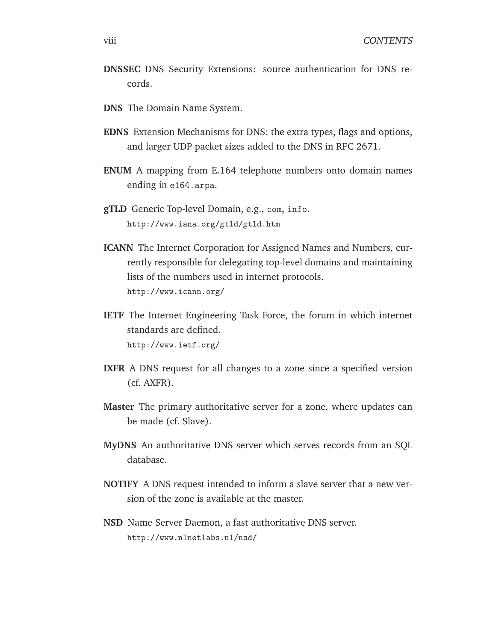- **DNSSEC** DNS Security Extensions: source authentication for DNS records.
- **DNS** The Domain Name System.
- **EDNS** Extension Mechanisms for DNS: the extra types, flags and options, and larger UDP packet sizes added to the DNS in RFC 2671.
- **ENUM** A mapping from E.164 telephone numbers onto domain names ending in e164.arpa.
- **gTLD** Generic Top-level Domain, e.g., com, info. http://www.iana.org/gtld/gtld.htm
- **ICANN** The Internet Corporation for Assigned Names and Numbers, currently responsible for delegating top-level domains and maintaining lists of the numbers used in internet protocols. http://www.icann.org/
- **IETF** The Internet Engineering Task Force, the forum in which internet standards are defined. http://www.ietf.org/
- **IXFR** A DNS request for all changes to a zone since a specified version (cf. AXFR).
- **Master** The primary authoritative server for a zone, where updates can be made (cf. Slave).
- **MyDNS** An authoritative DNS server which serves records from an SQL database.
- **NOTIFY** A DNS request intended to inform a slave server that a new version of the zone is available at the master.
- **NSD** Name Server Daemon, a fast authoritative DNS server. http://www.nlnetlabs.nl/nsd/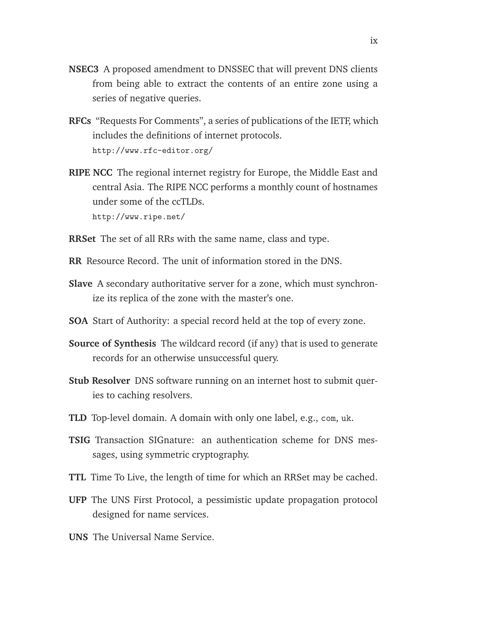- **NSEC3** A proposed amendment to DNSSEC that will prevent DNS clients from being able to extract the contents of an entire zone using a series of negative queries.
- **RFCs** "Requests For Comments", a series of publications of the IETF, which includes the definitions of internet protocols. http://www.rfc-editor.org/
- **RIPE NCC** The regional internet registry for Europe, the Middle East and central Asia. The RIPE NCC performs a monthly count of hostnames under some of the ccTLDs. http://www.ripe.net/
- **RRSet** The set of all RRs with the same name, class and type.
- **RR** Resource Record. The unit of information stored in the DNS.
- **Slave** A secondary authoritative server for a zone, which must synchronize its replica of the zone with the master's one.
- **SOA** Start of Authority: a special record held at the top of every zone.
- **Source of Synthesis** The wildcard record (if any) that is used to generate records for an otherwise unsuccessful query.
- **Stub Resolver** DNS software running on an internet host to submit queries to caching resolvers.
- **TLD** Top-level domain. A domain with only one label, e.g., com, uk.
- **TSIG** Transaction SIGnature: an authentication scheme for DNS messages, using symmetric cryptography.
- **TTL** Time To Live, the length of time for which an RRSet may be cached.
- **UFP** The UNS First Protocol, a pessimistic update propagation protocol designed for name services.
- **UNS** The Universal Name Service.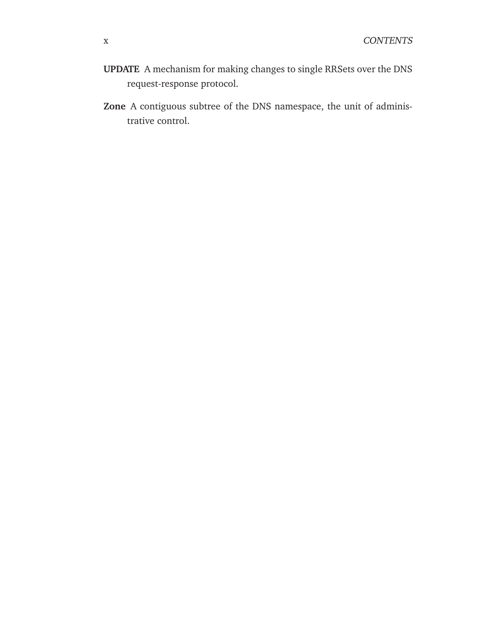- **UPDATE** A mechanism for making changes to single RRSets over the DNS request-response protocol.
- **Zone** A contiguous subtree of the DNS namespace, the unit of administrative control.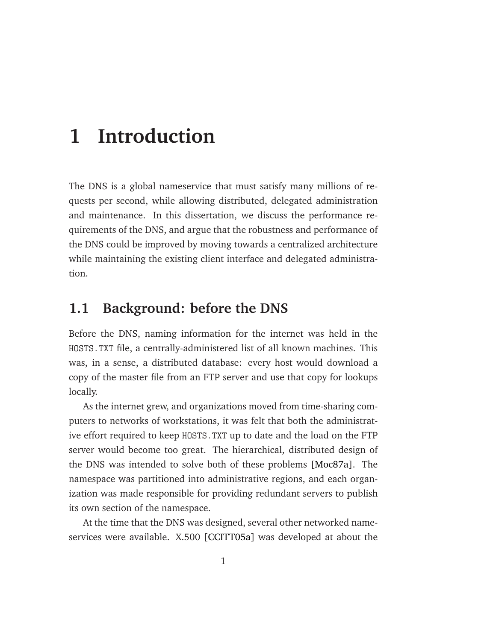## <span id="page-12-0"></span>**1 Introduction**

The DNS is a global nameservice that must satisfy many millions of requests per second, while allowing distributed, delegated administration and maintenance. In this dissertation, we discuss the performance requirements of the DNS, and argue that the robustness and performance of the DNS could be improved by moving towards a centralized architecture while maintaining the existing client interface and delegated administration.

## <span id="page-12-1"></span>**1.1 Background: before the DNS**

Before the DNS, naming information for the internet was held in the HOSTS.TXT file, a centrally-administered list of all known machines. This was, in a sense, a distributed database: every host would download a copy of the master file from an FTP server and use that copy for lookups locally.

As the internet grew, and organizations moved from time-sharing computers to networks of workstations, it was felt that both the administrative effort required to keep HOSTS.TXT up to date and the load on the FTP server would become too great. The hierarchical, distributed design of the DNS was intended to solve both of these problems [\[Moc87a\]](#page-148-0). The namespace was partitioned into administrative regions, and each organization was made responsible for providing redundant servers to publish its own section of the namespace.

At the time that the DNS was designed, several other networked nameservices were available. X.500 [\[CCITT05a\]](#page-142-0) was developed at about the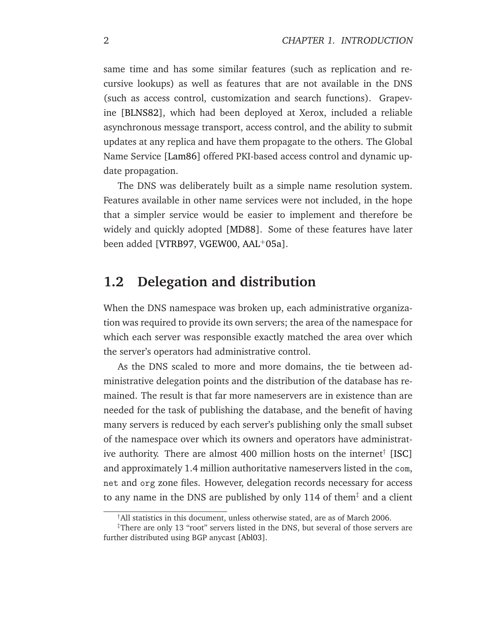same time and has some similar features (such as replication and recursive lookups) as well as features that are not available in the DNS (such as access control, customization and search functions). Grapevine [\[BLNS82\]](#page-141-0), which had been deployed at Xerox, included a reliable asynchronous message transport, access control, and the ability to submit updates at any replica and have them propagate to the others. The Global Name Service [\[Lam86\]](#page-147-0) offered PKI-based access control and dynamic update propagation.

The DNS was deliberately built as a simple name resolution system. Features available in other name services were not included, in the hope that a simpler service would be easier to implement and therefore be widely and quickly adopted [\[MD88\]](#page-148-1). Some of these features have later been added [\[VTRB97,](#page-153-0) [VGEW00,](#page-152-0) [AAL](#page-140-1)<sup>+</sup>05a].

## <span id="page-13-0"></span>**1.2 Delegation and distribution**

When the DNS namespace was broken up, each administrative organization was required to provide its own servers; the area of the namespace for which each server was responsible exactly matched the area over which the server's operators had administrative control.

As the DNS scaled to more and more domains, the tie between administrative delegation points and the distribution of the database has remained. The result is that far more nameservers are in existence than are needed for the task of publishing the database, and the benefit of having many servers is reduced by each server's publishing only the small subset of the namespace over which its owners and operators have administrat-ive authority. There are almost 400 million hosts on the internet<sup>†</sup> [\[ISC\]](#page-146-0) and approximately 1.4 million authoritative nameservers listed in the com, net and org zone files. However, delegation records necessary for access to any name in the DNS are published by only 114 of them<sup> $\ddagger$ </sup> and a client

<sup>†</sup>All statistics in this document, unless otherwise stated, are as of March 2006.

<sup>‡</sup>There are only 13 "root" servers listed in the DNS, but several of those servers are further distributed using BGP anycast [\[Abl03\]](#page-140-2).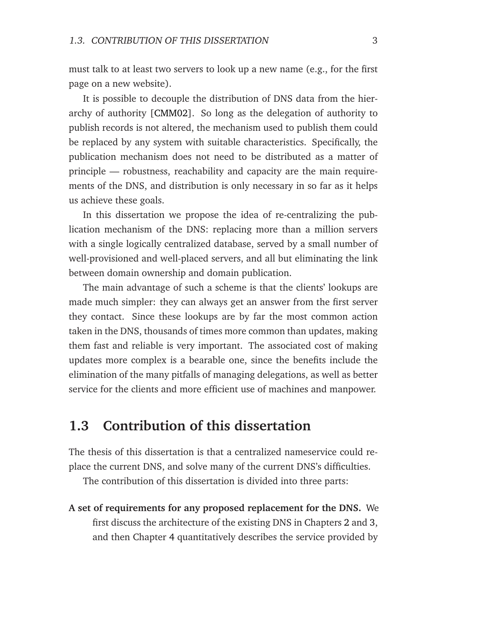must talk to at least two servers to look up a new name (e.g., for the first page on a new website).

It is possible to decouple the distribution of DNS data from the hierarchy of authority [\[CMM02\]](#page-143-0). So long as the delegation of authority to publish records is not altered, the mechanism used to publish them could be replaced by any system with suitable characteristics. Specifically, the publication mechanism does not need to be distributed as a matter of principle — robustness, reachability and capacity are the main requirements of the DNS, and distribution is only necessary in so far as it helps us achieve these goals.

In this dissertation we propose the idea of re-centralizing the publication mechanism of the DNS: replacing more than a million servers with a single logically centralized database, served by a small number of well-provisioned and well-placed servers, and all but eliminating the link between domain ownership and domain publication.

The main advantage of such a scheme is that the clients' lookups are made much simpler: they can always get an answer from the first server they contact. Since these lookups are by far the most common action taken in the DNS, thousands of times more common than updates, making them fast and reliable is very important. The associated cost of making updates more complex is a bearable one, since the benefits include the elimination of the many pitfalls of managing delegations, as well as better service for the clients and more efficient use of machines and manpower.

## <span id="page-14-0"></span>**1.3 Contribution of this dissertation**

The thesis of this dissertation is that a centralized nameservice could replace the current DNS, and solve many of the current DNS's difficulties.

The contribution of this dissertation is divided into three parts:

**A set of requirements for any proposed replacement for the DNS.** We first discuss the architecture of the existing DNS in Chapters [2](#page-16-0) and [3,](#page-34-0) and then Chapter [4](#page-42-0) quantitatively describes the service provided by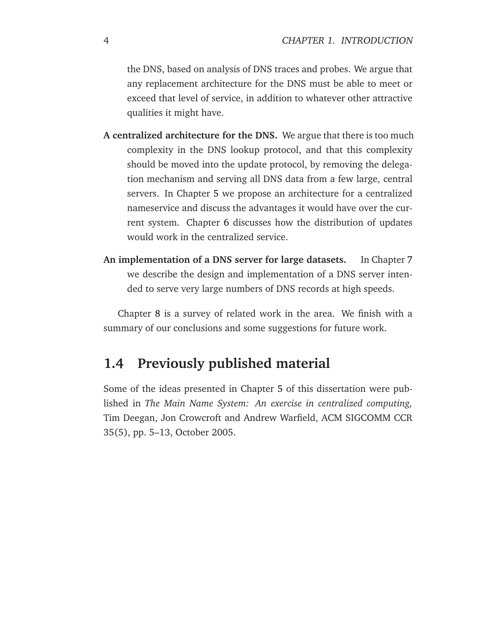the DNS, based on analysis of DNS traces and probes. We argue that any replacement architecture for the DNS must be able to meet or exceed that level of service, in addition to whatever other attractive qualities it might have.

- **A centralized architecture for the DNS.** We argue that there is too much complexity in the DNS lookup protocol, and that this complexity should be moved into the update protocol, by removing the delegation mechanism and serving all DNS data from a few large, central servers. In Chapter [5](#page-60-0) we propose an architecture for a centralized nameservice and discuss the advantages it would have over the current system. Chapter [6](#page-72-0) discusses how the distribution of updates would work in the centralized service.
- **An implementation of a DNS server for large datasets.** In Chapter [7](#page-84-0) we describe the design and implementation of a DNS server intended to serve very large numbers of DNS records at high speeds.

Chapter [8](#page-100-0) is a survey of related work in the area. We finish with a summary of our conclusions and some suggestions for future work.

## <span id="page-15-0"></span>**1.4 Previously published material**

Some of the ideas presented in Chapter [5](#page-60-0) of this dissertation were published in *The Main Name System: An exercise in centralized computing,* Tim Deegan, Jon Crowcroft and Andrew Warfield, ACM SIGCOMM CCR 35(5), pp. 5–13, October 2005.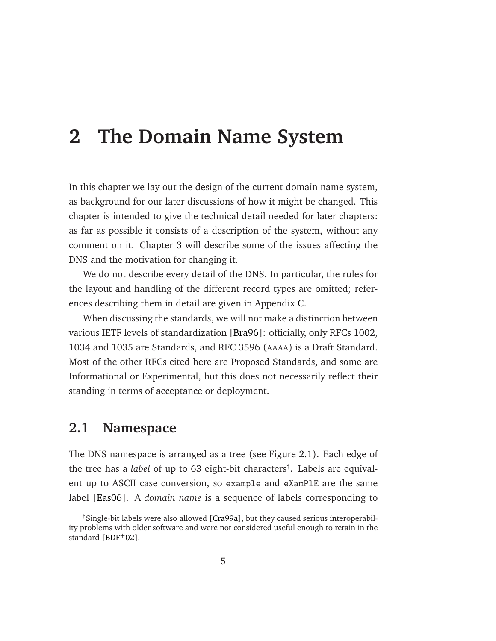## <span id="page-16-0"></span>**2 The Domain Name System**

In this chapter we lay out the design of the current domain name system, as background for our later discussions of how it might be changed. This chapter is intended to give the technical detail needed for later chapters: as far as possible it consists of a description of the system, without any comment on it. Chapter [3](#page-34-0) will describe some of the issues affecting the DNS and the motivation for changing it.

We do not describe every detail of the DNS. In particular, the rules for the layout and handling of the different record types are omitted; references describing them in detail are given in Appendix [C.](#page-138-0)

When discussing the standards, we will not make a distinction between various IETF levels of standardization [\[Bra96\]](#page-142-1): officially, only RFCs 1002, 1034 and 1035 are Standards, and RFC 3596 (AAAA) is a Draft Standard. Most of the other RFCs cited here are Proposed Standards, and some are Informational or Experimental, but this does not necessarily reflect their standing in terms of acceptance or deployment.

## <span id="page-16-1"></span>**2.1 Namespace**

The DNS namespace is arranged as a tree (see Figure [2.1\)](#page-17-0). Each edge of the tree has a *label* of up to 63 eight-bit characters† . Labels are equivalent up to ASCII case conversion, so example and eXamPlE are the same label [\[Eas06\]](#page-144-0). A *domain name* is a sequence of labels corresponding to

<sup>†</sup>Single-bit labels were also allowed [\[Cra99a\]](#page-143-1), but they caused serious interoperability problems with older software and were not considered useful enough to retain in the standard [\[BDF](#page-141-1)+02].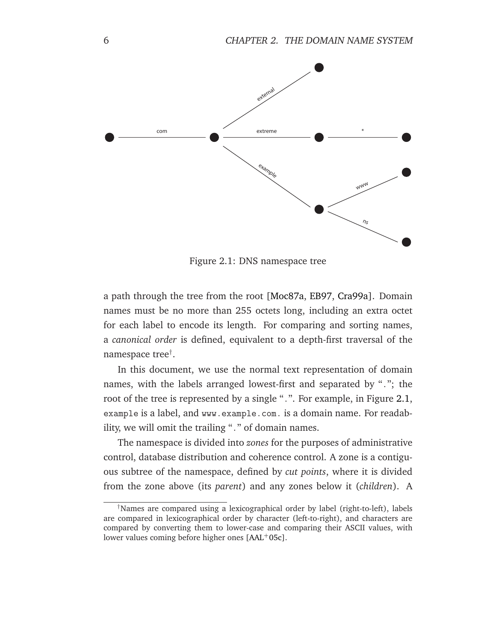

<span id="page-17-0"></span>Figure 2.1: DNS namespace tree

a path through the tree from the root [\[Moc87a,](#page-148-0) [EB97,](#page-144-1) [Cra99a\]](#page-143-1). Domain names must be no more than 255 octets long, including an extra octet for each label to encode its length. For comparing and sorting names, a *canonical order* is defined, equivalent to a depth-first traversal of the namespace tree† .

In this document, we use the normal text representation of domain names, with the labels arranged lowest-first and separated by "."; the root of the tree is represented by a single ".". For example, in Figure [2.1,](#page-17-0) example is a label, and www.example.com. is a domain name. For readability, we will omit the trailing "." of domain names.

The namespace is divided into *zones* for the purposes of administrative control, database distribution and coherence control. A zone is a contiguous subtree of the namespace, defined by *cut points*, where it is divided from the zone above (its *parent*) and any zones below it (*children*). A

<sup>†</sup>Names are compared using a lexicographical order by label (right-to-left), labels are compared in lexicographical order by character (left-to-right), and characters are compared by converting them to lower-case and comparing their ASCII values, with lower values coming before higher ones [\[AAL](#page-140-3)+05c].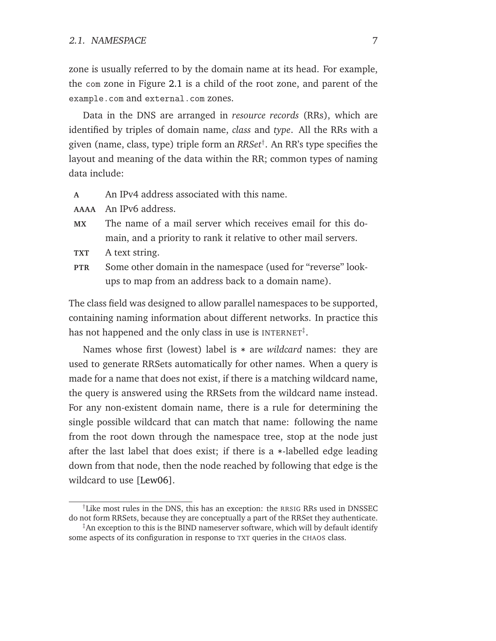zone is usually referred to by the domain name at its head. For example, the com zone in Figure [2.1](#page-17-0) is a child of the root zone, and parent of the example.com and external.com zones.

Data in the DNS are arranged in *resource records* (RRs), which are identified by triples of domain name, *class* and *type*. All the RRs with a given (name, class, type) triple form an *RRSet*† . An RR's type specifies the layout and meaning of the data within the RR; common types of naming data include:

- **A** An IPv4 address associated with this name.
- **AAAA** An IPv6 address.
- **MX** The name of a mail server which receives email for this domain, and a priority to rank it relative to other mail servers.
- **TXT** A text string.
- **PTR** Some other domain in the namespace (used for "reverse" lookups to map from an address back to a domain name).

The class field was designed to allow parallel namespaces to be supported, containing naming information about different networks. In practice this has not happened and the only class in use is  $\text{INTERNET}^{\ddagger}$ .

Names whose first (lowest) label is \* are *wildcard* names: they are used to generate RRSets automatically for other names. When a query is made for a name that does not exist, if there is a matching wildcard name, the query is answered using the RRSets from the wildcard name instead. For any non-existent domain name, there is a rule for determining the single possible wildcard that can match that name: following the name from the root down through the namespace tree, stop at the node just after the last label that does exist; if there is a \*-labelled edge leading down from that node, then the node reached by following that edge is the wildcard to use [\[Lew06\]](#page-147-1).

<sup>†</sup>Like most rules in the DNS, this has an exception: the RRSIG RRs used in DNSSEC do not form RRSets, because they are conceptually a part of the RRSet they authenticate.

<sup>‡</sup>An exception to this is the BIND nameserver software, which will by default identify some aspects of its configuration in response to TXT queries in the CHAOS class.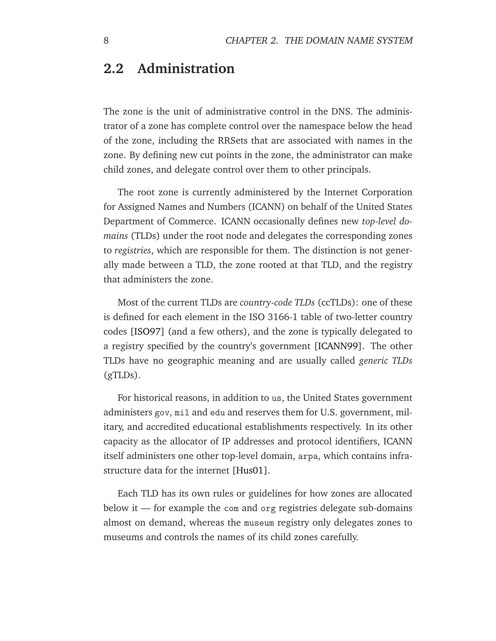## <span id="page-19-0"></span>**2.2 Administration**

The zone is the unit of administrative control in the DNS. The administrator of a zone has complete control over the namespace below the head of the zone, including the RRSets that are associated with names in the zone. By defining new cut points in the zone, the administrator can make child zones, and delegate control over them to other principals.

The root zone is currently administered by the Internet Corporation for Assigned Names and Numbers (ICANN) on behalf of the United States Department of Commerce. ICANN occasionally defines new *top-level domains* (TLDs) under the root node and delegates the corresponding zones to *registries*, which are responsible for them. The distinction is not generally made between a TLD, the zone rooted at that TLD, and the registry that administers the zone.

Most of the current TLDs are *country-code TLDs* (ccTLDs): one of these is defined for each element in the ISO 3166-1 table of two-letter country codes [\[ISO97\]](#page-146-1) (and a few others), and the zone is typically delegated to a registry specified by the country's government [\[ICANN99\]](#page-146-2). The other TLDs have no geographic meaning and are usually called *generic TLDs* (gTLDs).

For historical reasons, in addition to us, the United States government administers gov, mil and edu and reserves them for U.S. government, military, and accredited educational establishments respectively. In its other capacity as the allocator of IP addresses and protocol identifiers, ICANN itself administers one other top-level domain, arpa, which contains infrastructure data for the internet [\[Hus01\]](#page-146-3).

Each TLD has its own rules or guidelines for how zones are allocated below it — for example the com and org registries delegate sub-domains almost on demand, whereas the museum registry only delegates zones to museums and controls the names of its child zones carefully.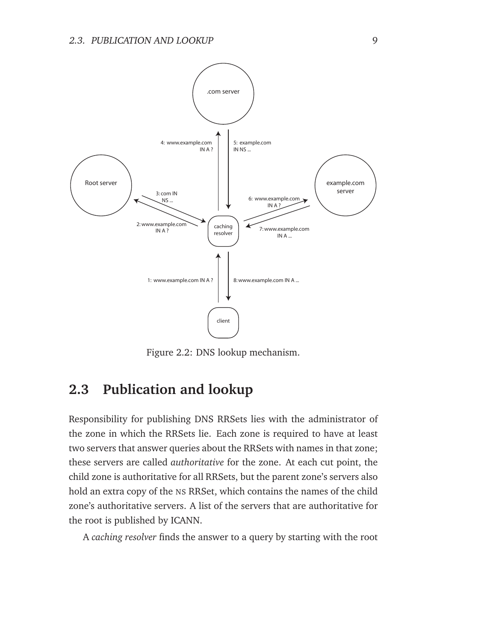

<span id="page-20-1"></span>Figure 2.2: DNS lookup mechanism.

## <span id="page-20-0"></span>**2.3 Publication and lookup**

Responsibility for publishing DNS RRSets lies with the administrator of the zone in which the RRSets lie. Each zone is required to have at least two servers that answer queries about the RRSets with names in that zone; these servers are called *authoritative* for the zone. At each cut point, the child zone is authoritative for all RRSets, but the parent zone's servers also hold an extra copy of the NS RRSet, which contains the names of the child zone's authoritative servers. A list of the servers that are authoritative for the root is published by ICANN.

A *caching resolver* finds the answer to a query by starting with the root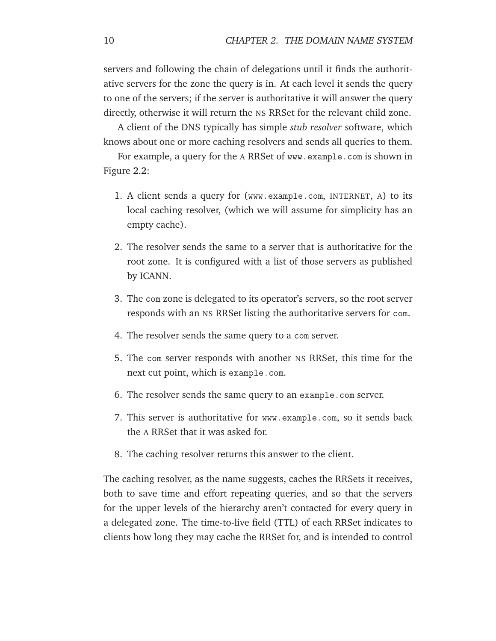servers and following the chain of delegations until it finds the authoritative servers for the zone the query is in. At each level it sends the query to one of the servers; if the server is authoritative it will answer the query directly, otherwise it will return the NS RRSet for the relevant child zone.

A client of the DNS typically has simple *stub resolver* software, which knows about one or more caching resolvers and sends all queries to them.

For example, a query for the A RRSet of www.example.com is shown in Figure [2.2:](#page-20-1)

- 1. A client sends a query for (www.example.com, INTERNET, A) to its local caching resolver, (which we will assume for simplicity has an empty cache).
- 2. The resolver sends the same to a server that is authoritative for the root zone. It is configured with a list of those servers as published by ICANN.
- 3. The com zone is delegated to its operator's servers, so the root server responds with an NS RRSet listing the authoritative servers for com.
- 4. The resolver sends the same query to a com server.
- 5. The com server responds with another NS RRSet, this time for the next cut point, which is example.com.
- 6. The resolver sends the same query to an example.com server.
- 7. This server is authoritative for www.example.com, so it sends back the A RRSet that it was asked for.
- 8. The caching resolver returns this answer to the client.

The caching resolver, as the name suggests, caches the RRSets it receives, both to save time and effort repeating queries, and so that the servers for the upper levels of the hierarchy aren't contacted for every query in a delegated zone. The time-to-live field (TTL) of each RRSet indicates to clients how long they may cache the RRSet for, and is intended to control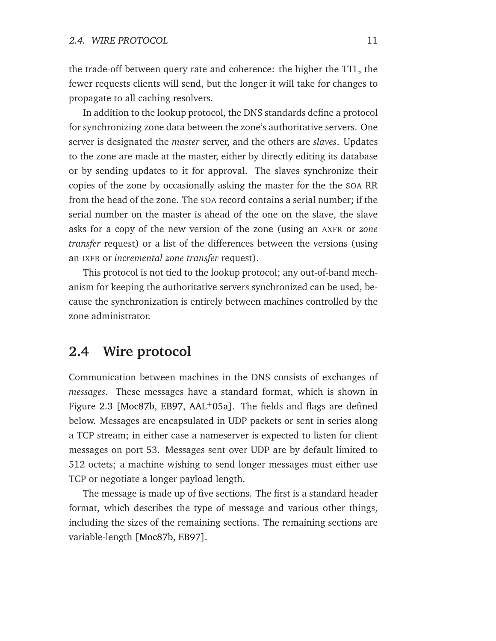the trade-off between query rate and coherence: the higher the TTL, the fewer requests clients will send, but the longer it will take for changes to propagate to all caching resolvers.

In addition to the lookup protocol, the DNS standards define a protocol for synchronizing zone data between the zone's authoritative servers. One server is designated the *master* server, and the others are *slaves*. Updates to the zone are made at the master, either by directly editing its database or by sending updates to it for approval. The slaves synchronize their copies of the zone by occasionally asking the master for the the SOA RR from the head of the zone. The SOA record contains a serial number; if the serial number on the master is ahead of the one on the slave, the slave asks for a copy of the new version of the zone (using an AXFR or *zone transfer* request) or a list of the differences between the versions (using an IXFR or *incremental zone transfer* request).

This protocol is not tied to the lookup protocol; any out-of-band mechanism for keeping the authoritative servers synchronized can be used, because the synchronization is entirely between machines controlled by the zone administrator.

## <span id="page-22-0"></span>**2.4 Wire protocol**

Communication between machines in the DNS consists of exchanges of *messages*. These messages have a standard format, which is shown in Figure [2.3](#page-23-0) [\[Moc87b,](#page-148-2) [EB97,](#page-144-1)  $AAL+05a$  $AAL+05a$ ]. The fields and flags are defined below. Messages are encapsulated in UDP packets or sent in series along a TCP stream; in either case a nameserver is expected to listen for client messages on port 53. Messages sent over UDP are by default limited to 512 octets; a machine wishing to send longer messages must either use TCP or negotiate a longer payload length.

The message is made up of five sections. The first is a standard header format, which describes the type of message and various other things, including the sizes of the remaining sections. The remaining sections are variable-length [\[Moc87b,](#page-148-2) [EB97\]](#page-144-1).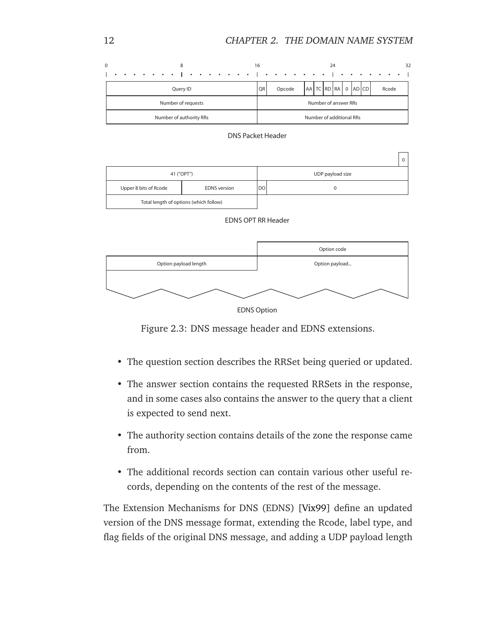



|                       |                                        |           | v                |  |  |
|-----------------------|----------------------------------------|-----------|------------------|--|--|
| 41 ("OPT")            |                                        |           | UDP payload size |  |  |
| Upper 8 bits of Rcode | <b>EDNS</b> version                    | <b>DO</b> |                  |  |  |
|                       | Total length of options (which follow) |           |                  |  |  |







<span id="page-23-0"></span>Figure 2.3: DNS message header and EDNS extensions.

- The question section describes the RRSet being queried or updated.
- The answer section contains the requested RRSets in the response, and in some cases also contains the answer to the query that a client is expected to send next.
- The authority section contains details of the zone the response came from.
- The additional records section can contain various other useful records, depending on the contents of the rest of the message.

The Extension Mechanisms for DNS (EDNS) [\[Vix99\]](#page-152-1) define an updated version of the DNS message format, extending the Rcode, label type, and flag fields of the original DNS message, and adding a UDP payload length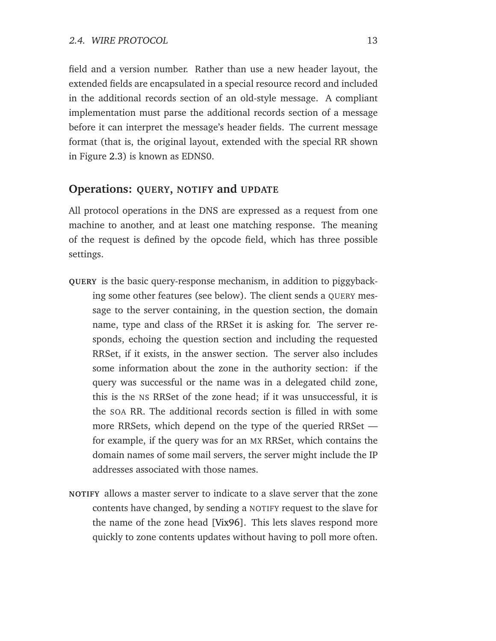field and a version number. Rather than use a new header layout, the extended fields are encapsulated in a special resource record and included in the additional records section of an old-style message. A compliant implementation must parse the additional records section of a message before it can interpret the message's header fields. The current message format (that is, the original layout, extended with the special RR shown in Figure [2.3\)](#page-23-0) is known as EDNS0.

#### **Operations: QUERY, NOTIFY and UPDATE**

All protocol operations in the DNS are expressed as a request from one machine to another, and at least one matching response. The meaning of the request is defined by the opcode field, which has three possible settings.

- **QUERY** is the basic query-response mechanism, in addition to piggybacking some other features (see below). The client sends a QUERY message to the server containing, in the question section, the domain name, type and class of the RRSet it is asking for. The server responds, echoing the question section and including the requested RRSet, if it exists, in the answer section. The server also includes some information about the zone in the authority section: if the query was successful or the name was in a delegated child zone, this is the NS RRSet of the zone head; if it was unsuccessful, it is the SOA RR. The additional records section is filled in with some more RRSets, which depend on the type of the queried RRSet for example, if the query was for an MX RRSet, which contains the domain names of some mail servers, the server might include the IP addresses associated with those names.
- **NOTIFY** allows a master server to indicate to a slave server that the zone contents have changed, by sending a NOTIFY request to the slave for the name of the zone head [\[Vix96\]](#page-152-2). This lets slaves respond more quickly to zone contents updates without having to poll more often.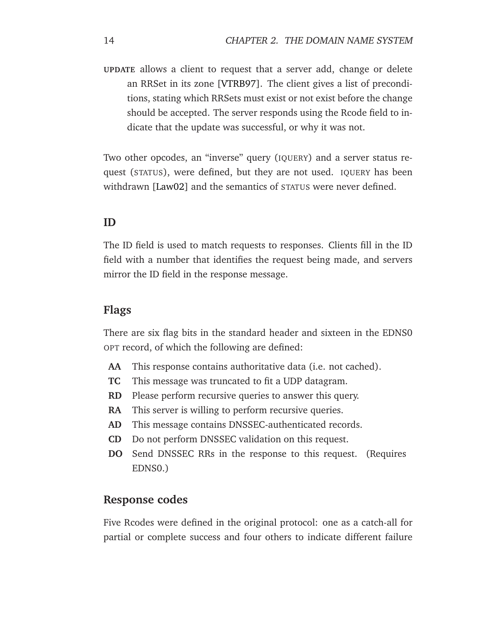**UPDATE** allows a client to request that a server add, change or delete an RRSet in its zone [\[VTRB97\]](#page-153-0). The client gives a list of preconditions, stating which RRSets must exist or not exist before the change should be accepted. The server responds using the Rcode field to indicate that the update was successful, or why it was not.

Two other opcodes, an "inverse" query (IQUERY) and a server status request (STATUS), were defined, but they are not used. IQUERY has been withdrawn [\[Law02\]](#page-147-2) and the semantics of STATUS were never defined.

#### **ID**

The ID field is used to match requests to responses. Clients fill in the ID field with a number that identifies the request being made, and servers mirror the ID field in the response message.

#### **Flags**

There are six flag bits in the standard header and sixteen in the EDNS0 OPT record, of which the following are defined:

- **AA** This response contains authoritative data (i.e. not cached).
- **TC** This message was truncated to fit a UDP datagram.
- **RD** Please perform recursive queries to answer this query.
- **RA** This server is willing to perform recursive queries.
- **AD** This message contains DNSSEC-authenticated records.
- **CD** Do not perform DNSSEC validation on this request.
- **DO** Send DNSSEC RRs in the response to this request. (Requires EDNS0.)

#### **Response codes**

Five Rcodes were defined in the original protocol: one as a catch-all for partial or complete success and four others to indicate different failure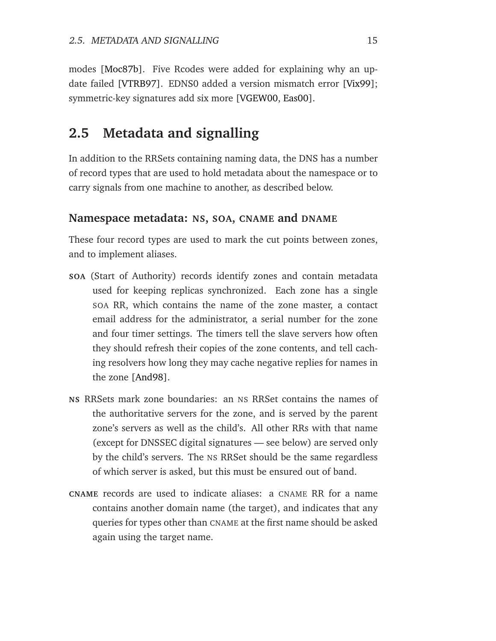modes [\[Moc87b\]](#page-148-2). Five Rcodes were added for explaining why an update failed [\[VTRB97\]](#page-153-0). EDNS0 added a version mismatch error [\[Vix99\]](#page-152-1); symmetric-key signatures add six more [\[VGEW00,](#page-152-0) [Eas00\]](#page-144-2).

## <span id="page-26-0"></span>**2.5 Metadata and signalling**

In addition to the RRSets containing naming data, the DNS has a number of record types that are used to hold metadata about the namespace or to carry signals from one machine to another, as described below.

#### **Namespace metadata: NS, SOA, CNAME and DNAME**

These four record types are used to mark the cut points between zones, and to implement aliases.

- **SOA** (Start of Authority) records identify zones and contain metadata used for keeping replicas synchronized. Each zone has a single SOA RR, which contains the name of the zone master, a contact email address for the administrator, a serial number for the zone and four timer settings. The timers tell the slave servers how often they should refresh their copies of the zone contents, and tell caching resolvers how long they may cache negative replies for names in the zone [\[And98\]](#page-140-4).
- **NS** RRSets mark zone boundaries: an NS RRSet contains the names of the authoritative servers for the zone, and is served by the parent zone's servers as well as the child's. All other RRs with that name (except for DNSSEC digital signatures — see below) are served only by the child's servers. The NS RRSet should be the same regardless of which server is asked, but this must be ensured out of band.
- **CNAME** records are used to indicate aliases: a CNAME RR for a name contains another domain name (the target), and indicates that any queries for types other than CNAME at the first name should be asked again using the target name.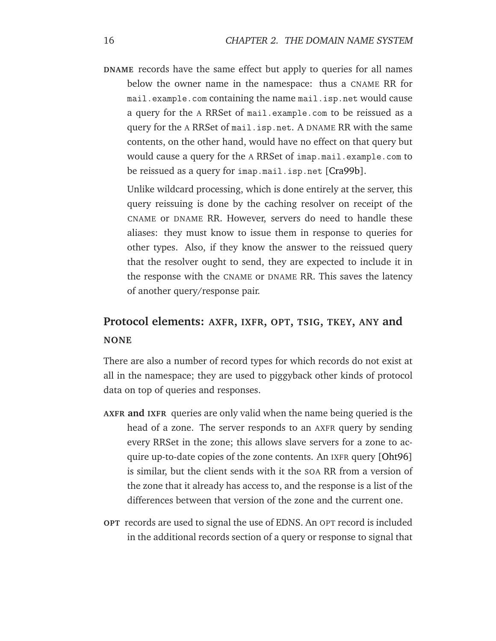**DNAME** records have the same effect but apply to queries for all names below the owner name in the namespace: thus a CNAME RR for mail.example.com containing the name mail.isp.net would cause a query for the A RRSet of mail.example.com to be reissued as a query for the A RRSet of mail.isp.net. A DNAME RR with the same contents, on the other hand, would have no effect on that query but would cause a query for the A RRSet of imap.mail.example.com to be reissued as a query for imap.mail.isp.net [\[Cra99b\]](#page-143-2).

Unlike wildcard processing, which is done entirely at the server, this query reissuing is done by the caching resolver on receipt of the CNAME or DNAME RR. However, servers do need to handle these aliases: they must know to issue them in response to queries for other types. Also, if they know the answer to the reissued query that the resolver ought to send, they are expected to include it in the response with the CNAME or DNAME RR. This saves the latency of another query/response pair.

## **Protocol elements: AXFR, IXFR, OPT, TSIG, TKEY, ANY and NONE**

There are also a number of record types for which records do not exist at all in the namespace; they are used to piggyback other kinds of protocol data on top of queries and responses.

- **AXFR and IXFR** queries are only valid when the name being queried is the head of a zone. The server responds to an AXFR query by sending every RRSet in the zone; this allows slave servers for a zone to acquire up-to-date copies of the zone contents. An IXFR query [\[Oht96\]](#page-149-0) is similar, but the client sends with it the SOA RR from a version of the zone that it already has access to, and the response is a list of the differences between that version of the zone and the current one.
- **OPT** records are used to signal the use of EDNS. An OPT record is included in the additional records section of a query or response to signal that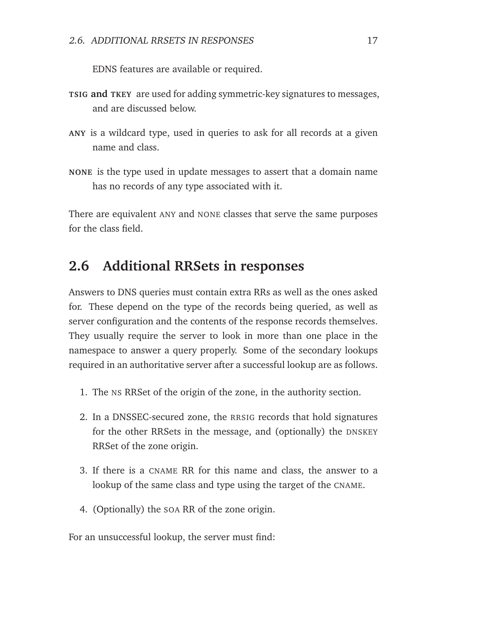EDNS features are available or required.

- **TSIG and TKEY** are used for adding symmetric-key signatures to messages, and are discussed below.
- **ANY** is a wildcard type, used in queries to ask for all records at a given name and class.
- **NONE** is the type used in update messages to assert that a domain name has no records of any type associated with it.

There are equivalent ANY and NONE classes that serve the same purposes for the class field.

## <span id="page-28-0"></span>**2.6 Additional RRSets in responses**

Answers to DNS queries must contain extra RRs as well as the ones asked for. These depend on the type of the records being queried, as well as server configuration and the contents of the response records themselves. They usually require the server to look in more than one place in the namespace to answer a query properly. Some of the secondary lookups required in an authoritative server after a successful lookup are as follows.

- 1. The NS RRSet of the origin of the zone, in the authority section.
- 2. In a DNSSEC-secured zone, the RRSIG records that hold signatures for the other RRSets in the message, and (optionally) the DNSKEY RRSet of the zone origin.
- 3. If there is a CNAME RR for this name and class, the answer to a lookup of the same class and type using the target of the CNAME.
- 4. (Optionally) the SOA RR of the zone origin.

For an unsuccessful lookup, the server must find: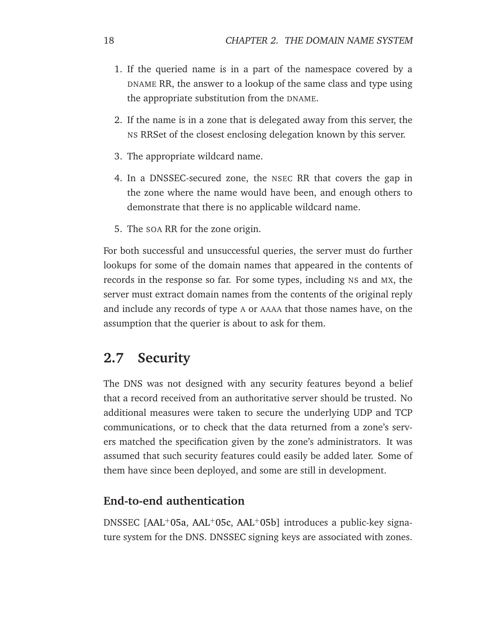- 1. If the queried name is in a part of the namespace covered by a DNAME RR, the answer to a lookup of the same class and type using the appropriate substitution from the DNAME.
- 2. If the name is in a zone that is delegated away from this server, the NS RRSet of the closest enclosing delegation known by this server.
- 3. The appropriate wildcard name.
- 4. In a DNSSEC-secured zone, the NSEC RR that covers the gap in the zone where the name would have been, and enough others to demonstrate that there is no applicable wildcard name.
- 5. The SOA RR for the zone origin.

For both successful and unsuccessful queries, the server must do further lookups for some of the domain names that appeared in the contents of records in the response so far. For some types, including NS and MX, the server must extract domain names from the contents of the original reply and include any records of type A or AAAA that those names have, on the assumption that the querier is about to ask for them.

## <span id="page-29-0"></span>**2.7 Security**

The DNS was not designed with any security features beyond a belief that a record received from an authoritative server should be trusted. No additional measures were taken to secure the underlying UDP and TCP communications, or to check that the data returned from a zone's servers matched the specification given by the zone's administrators. It was assumed that such security features could easily be added later. Some of them have since been deployed, and some are still in development.

#### **End-to-end authentication**

DNSSEC [\[AAL](#page-140-1)<sup>+</sup>05a, [AAL](#page-140-3)<sup>+</sup>05c, [AAL](#page-140-5)<sup>+</sup>05b] introduces a public-key signature system for the DNS. DNSSEC signing keys are associated with zones.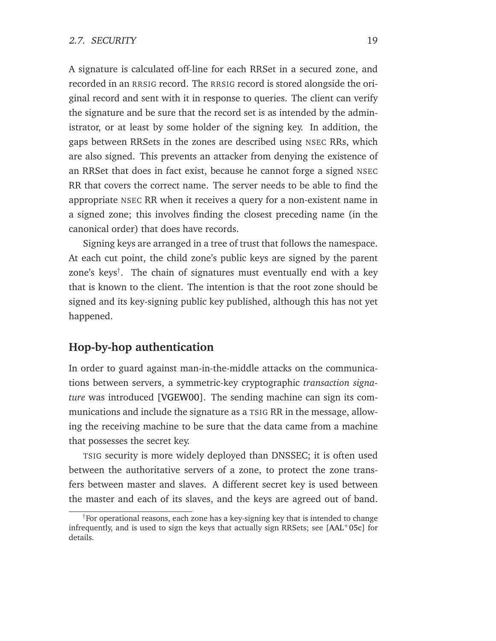A signature is calculated off-line for each RRSet in a secured zone, and recorded in an RRSIG record. The RRSIG record is stored alongside the original record and sent with it in response to queries. The client can verify the signature and be sure that the record set is as intended by the administrator, or at least by some holder of the signing key. In addition, the gaps between RRSets in the zones are described using NSEC RRs, which are also signed. This prevents an attacker from denying the existence of an RRSet that does in fact exist, because he cannot forge a signed NSEC RR that covers the correct name. The server needs to be able to find the appropriate NSEC RR when it receives a query for a non-existent name in a signed zone; this involves finding the closest preceding name (in the canonical order) that does have records.

Signing keys are arranged in a tree of trust that follows the namespace. At each cut point, the child zone's public keys are signed by the parent zone's keys† . The chain of signatures must eventually end with a key that is known to the client. The intention is that the root zone should be signed and its key-signing public key published, although this has not yet happened.

#### **Hop-by-hop authentication**

In order to guard against man-in-the-middle attacks on the communications between servers, a symmetric-key cryptographic *transaction signature* was introduced [\[VGEW00\]](#page-152-0). The sending machine can sign its communications and include the signature as a TSIG RR in the message, allowing the receiving machine to be sure that the data came from a machine that possesses the secret key.

TSIG security is more widely deployed than DNSSEC; it is often used between the authoritative servers of a zone, to protect the zone transfers between master and slaves. A different secret key is used between the master and each of its slaves, and the keys are agreed out of band.

<sup>†</sup>For operational reasons, each zone has a key-signing key that is intended to change infrequently, and is used to sign the keys that actually sign RRSets; see  $[AAL^{+}05c]$  $[AAL^{+}05c]$  for details.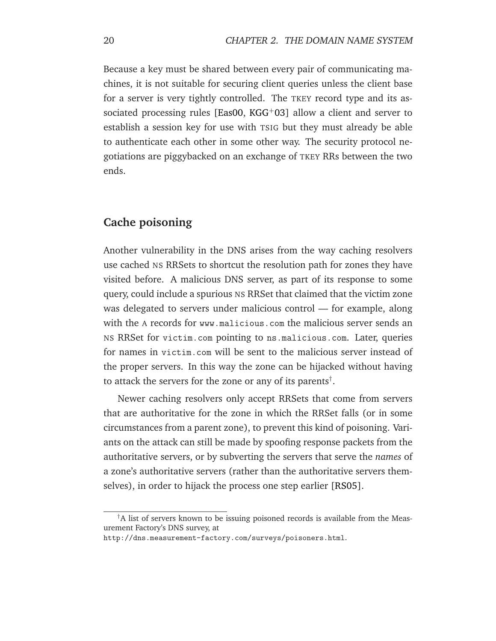Because a key must be shared between every pair of communicating machines, it is not suitable for securing client queries unless the client base for a server is very tightly controlled. The TKEY record type and its as-sociated processing rules [\[Eas00,](#page-144-2) [KGG](#page-146-4)<sup>+</sup>03] allow a client and server to establish a session key for use with TSIG but they must already be able to authenticate each other in some other way. The security protocol negotiations are piggybacked on an exchange of TKEY RRs between the two ends.

#### **Cache poisoning**

Another vulnerability in the DNS arises from the way caching resolvers use cached NS RRSets to shortcut the resolution path for zones they have visited before. A malicious DNS server, as part of its response to some query, could include a spurious NS RRSet that claimed that the victim zone was delegated to servers under malicious control — for example, along with the A records for www.malicious.com the malicious server sends an NS RRSet for victim.com pointing to ns.malicious.com. Later, queries for names in victim.com will be sent to the malicious server instead of the proper servers. In this way the zone can be hijacked without having to attack the servers for the zone or any of its parents<sup>†</sup>.

Newer caching resolvers only accept RRSets that come from servers that are authoritative for the zone in which the RRSet falls (or in some circumstances from a parent zone), to prevent this kind of poisoning. Variants on the attack can still be made by spoofing response packets from the authoritative servers, or by subverting the servers that serve the *names* of a zone's authoritative servers (rather than the authoritative servers themselves), in order to hijack the process one step earlier [\[RS05\]](#page-151-0).

<sup>†</sup>A list of servers known to be issuing poisoned records is available from the Measurement Factory's DNS survey, at

http://dns.measurement-factory.com/surveys/poisoners.html.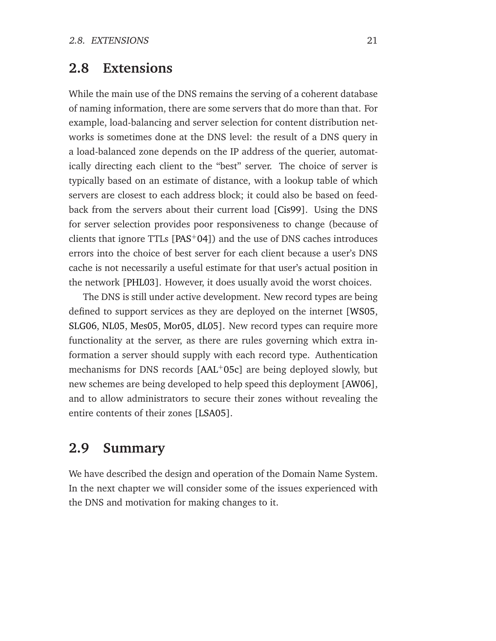## <span id="page-32-0"></span>**2.8 Extensions**

While the main use of the DNS remains the serving of a coherent database of naming information, there are some servers that do more than that. For example, load-balancing and server selection for content distribution networks is sometimes done at the DNS level: the result of a DNS query in a load-balanced zone depends on the IP address of the querier, automatically directing each client to the "best" server. The choice of server is typically based on an estimate of distance, with a lookup table of which servers are closest to each address block; it could also be based on feedback from the servers about their current load [\[Cis99\]](#page-143-3). Using the DNS for server selection provides poor responsiveness to change (because of clients that ignore TTLs [\[PAS](#page-150-0)<sup>+</sup>04]) and the use of DNS caches introduces errors into the choice of best server for each client because a user's DNS cache is not necessarily a useful estimate for that user's actual position in the network [\[PHL03\]](#page-150-1). However, it does usually avoid the worst choices.

The DNS is still under active development. New record types are being defined to support services as they are deployed on the internet [\[WS05,](#page-153-1) [SLG06,](#page-151-1) [NL05,](#page-149-1) [Mes05,](#page-148-3) [Mor05,](#page-149-2) [dL05\]](#page-144-3). New record types can require more functionality at the server, as there are rules governing which extra information a server should supply with each record type. Authentication mechanisms for DNS records [\[AAL](#page-140-3)<sup>+</sup>05c] are being deployed slowly, but new schemes are being developed to help speed this deployment [\[AW06\]](#page-141-2), and to allow administrators to secure their zones without revealing the entire contents of their zones [\[LSA05\]](#page-147-3).

## <span id="page-32-1"></span>**2.9 Summary**

We have described the design and operation of the Domain Name System. In the next chapter we will consider some of the issues experienced with the DNS and motivation for making changes to it.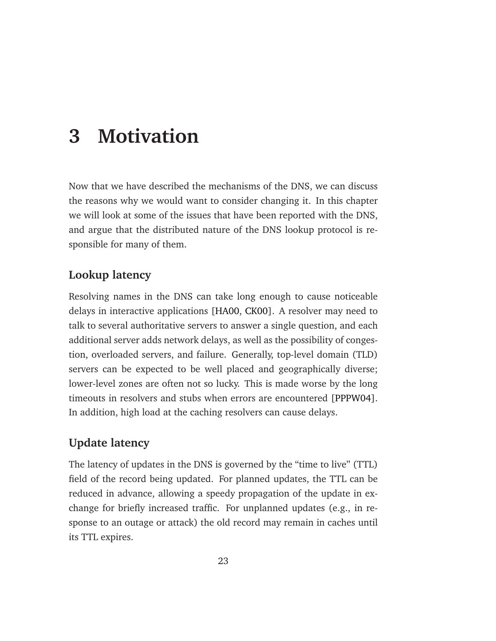## <span id="page-34-0"></span>**3 Motivation**

Now that we have described the mechanisms of the DNS, we can discuss the reasons why we would want to consider changing it. In this chapter we will look at some of the issues that have been reported with the DNS, and argue that the distributed nature of the DNS lookup protocol is responsible for many of them.

### **Lookup latency**

Resolving names in the DNS can take long enough to cause noticeable delays in interactive applications [\[HA00,](#page-145-0) [CK00\]](#page-143-4). A resolver may need to talk to several authoritative servers to answer a single question, and each additional server adds network delays, as well as the possibility of congestion, overloaded servers, and failure. Generally, top-level domain (TLD) servers can be expected to be well placed and geographically diverse; lower-level zones are often not so lucky. This is made worse by the long timeouts in resolvers and stubs when errors are encountered [\[PPPW04\]](#page-150-2). In addition, high load at the caching resolvers can cause delays.

### **Update latency**

The latency of updates in the DNS is governed by the "time to live" (TTL) field of the record being updated. For planned updates, the TTL can be reduced in advance, allowing a speedy propagation of the update in exchange for briefly increased traffic. For unplanned updates (e.g., in response to an outage or attack) the old record may remain in caches until its TTL expires.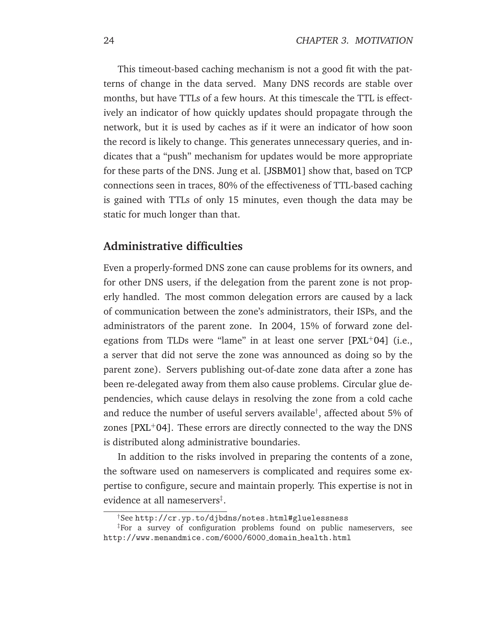This timeout-based caching mechanism is not a good fit with the patterns of change in the data served. Many DNS records are stable over months, but have TTLs of a few hours. At this timescale the TTL is effectively an indicator of how quickly updates should propagate through the network, but it is used by caches as if it were an indicator of how soon the record is likely to change. This generates unnecessary queries, and indicates that a "push" mechanism for updates would be more appropriate for these parts of the DNS. Jung et al. [\[JSBM01\]](#page-146-5) show that, based on TCP connections seen in traces, 80% of the effectiveness of TTL-based caching is gained with TTLs of only 15 minutes, even though the data may be static for much longer than that.

#### **Administrative difficulties**

Even a properly-formed DNS zone can cause problems for its owners, and for other DNS users, if the delegation from the parent zone is not properly handled. The most common delegation errors are caused by a lack of communication between the zone's administrators, their ISPs, and the administrators of the parent zone. In 2004, 15% of forward zone delegations from TLDs were "lame" in at least one server  $[PXL^+04]$  $[PXL^+04]$  (i.e., a server that did not serve the zone was announced as doing so by the parent zone). Servers publishing out-of-date zone data after a zone has been re-delegated away from them also cause problems. Circular glue dependencies, which cause delays in resolving the zone from a cold cache and reduce the number of useful servers available† , affected about 5% of zones  $[PXL+04]$  $[PXL+04]$ . These errors are directly connected to the way the DNS is distributed along administrative boundaries.

In addition to the risks involved in preparing the contents of a zone, the software used on nameservers is complicated and requires some expertise to configure, secure and maintain properly. This expertise is not in evidence at all nameservers‡ .

<sup>†</sup>See http://cr.yp.to/djbdns/notes.html#gluelessness

<sup>‡</sup>For a survey of configuration problems found on public nameservers, see http://www.menandmice.com/6000/6000 domain health.html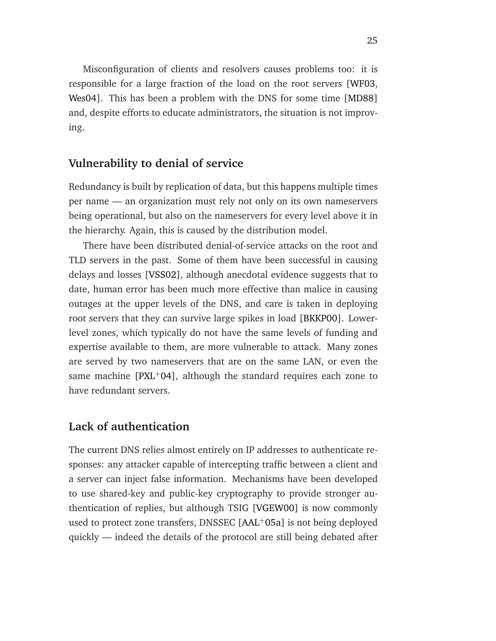Misconfiguration of clients and resolvers causes problems too: it is responsible for a large fraction of the load on the root servers [\[WF03,](#page-153-0) [Wes04\]](#page-153-1). This has been a problem with the DNS for some time [\[MD88\]](#page-148-0) and, despite efforts to educate administrators, the situation is not improving.

## **Vulnerability to denial of service**

Redundancy is built by replication of data, but this happens multiple times per name — an organization must rely not only on its own nameservers being operational, but also on the nameservers for every level above it in the hierarchy. Again, this is caused by the distribution model.

There have been distributed denial-of-service attacks on the root and TLD servers in the past. Some of them have been successful in causing delays and losses [\[VSS02\]](#page-152-0), although anecdotal evidence suggests that to date, human error has been much more effective than malice in causing outages at the upper levels of the DNS, and care is taken in deploying root servers that they can survive large spikes in load [\[BKKP00\]](#page-141-0). Lowerlevel zones, which typically do not have the same levels of funding and expertise available to them, are more vulnerable to attack. Many zones are served by two nameservers that are on the same LAN, or even the same machine  $[PXL^+04]$  $[PXL^+04]$ , although the standard requires each zone to have redundant servers.

#### **Lack of authentication**

The current DNS relies almost entirely on IP addresses to authenticate responses: any attacker capable of intercepting traffic between a client and a server can inject false information. Mechanisms have been developed to use shared-key and public-key cryptography to provide stronger authentication of replies, but although TSIG [\[VGEW00\]](#page-152-1) is now commonly used to protect zone transfers, DNSSEC [\[AAL](#page-140-0)<sup>+</sup>05a] is not being deployed quickly — indeed the details of the protocol are still being debated after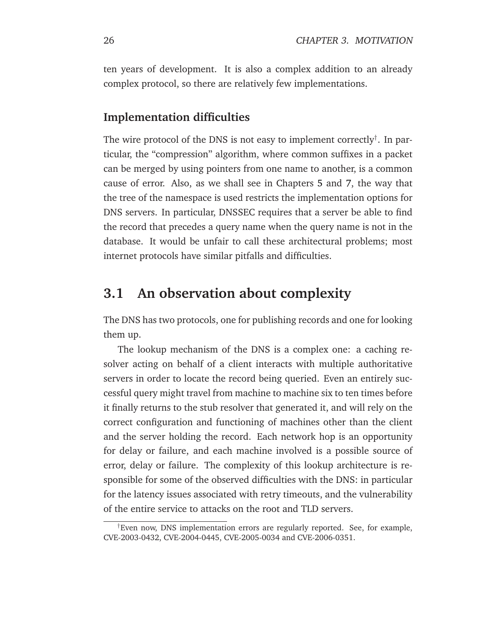ten years of development. It is also a complex addition to an already complex protocol, so there are relatively few implementations.

## **Implementation difficulties**

The wire protocol of the DNS is not easy to implement correctly $^\dagger$ . In particular, the "compression" algorithm, where common suffixes in a packet can be merged by using pointers from one name to another, is a common cause of error. Also, as we shall see in Chapters [5](#page-60-0) and [7,](#page-84-0) the way that the tree of the namespace is used restricts the implementation options for DNS servers. In particular, DNSSEC requires that a server be able to find the record that precedes a query name when the query name is not in the database. It would be unfair to call these architectural problems; most internet protocols have similar pitfalls and difficulties.

# **3.1 An observation about complexity**

The DNS has two protocols, one for publishing records and one for looking them up.

The lookup mechanism of the DNS is a complex one: a caching resolver acting on behalf of a client interacts with multiple authoritative servers in order to locate the record being queried. Even an entirely successful query might travel from machine to machine six to ten times before it finally returns to the stub resolver that generated it, and will rely on the correct configuration and functioning of machines other than the client and the server holding the record. Each network hop is an opportunity for delay or failure, and each machine involved is a possible source of error, delay or failure. The complexity of this lookup architecture is responsible for some of the observed difficulties with the DNS: in particular for the latency issues associated with retry timeouts, and the vulnerability of the entire service to attacks on the root and TLD servers.

<sup>†</sup>Even now, DNS implementation errors are regularly reported. See, for example, CVE-2003-0432, CVE-2004-0445, CVE-2005-0034 and CVE-2006-0351.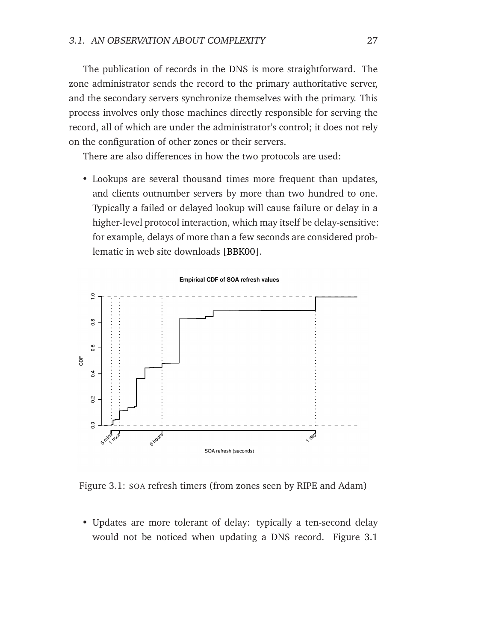The publication of records in the DNS is more straightforward. The zone administrator sends the record to the primary authoritative server, and the secondary servers synchronize themselves with the primary. This process involves only those machines directly responsible for serving the record, all of which are under the administrator's control; it does not rely on the configuration of other zones or their servers.

There are also differences in how the two protocols are used:

• Lookups are several thousand times more frequent than updates, and clients outnumber servers by more than two hundred to one. Typically a failed or delayed lookup will cause failure or delay in a higher-level protocol interaction, which may itself be delay-sensitive: for example, delays of more than a few seconds are considered problematic in web site downloads [\[BBK00\]](#page-141-1).



<span id="page-38-0"></span>Figure 3.1: SOA refresh timers (from zones seen by RIPE and Adam)

• Updates are more tolerant of delay: typically a ten-second delay would not be noticed when updating a DNS record. Figure [3.1](#page-38-0)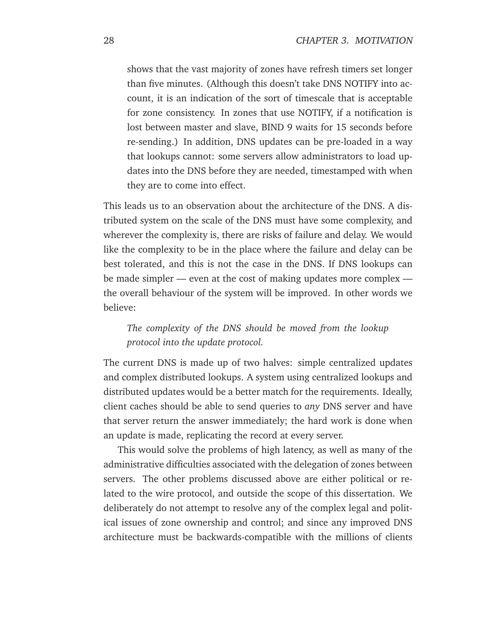shows that the vast majority of zones have refresh timers set longer than five minutes. (Although this doesn't take DNS NOTIFY into account, it is an indication of the sort of timescale that is acceptable for zone consistency. In zones that use NOTIFY, if a notification is lost between master and slave, BIND 9 waits for 15 seconds before re-sending.) In addition, DNS updates can be pre-loaded in a way that lookups cannot: some servers allow administrators to load updates into the DNS before they are needed, timestamped with when they are to come into effect.

This leads us to an observation about the architecture of the DNS. A distributed system on the scale of the DNS must have some complexity, and wherever the complexity is, there are risks of failure and delay. We would like the complexity to be in the place where the failure and delay can be best tolerated, and this is not the case in the DNS. If DNS lookups can be made simpler — even at the cost of making updates more complex the overall behaviour of the system will be improved. In other words we believe:

## *The complexity of the DNS should be moved from the lookup protocol into the update protocol.*

The current DNS is made up of two halves: simple centralized updates and complex distributed lookups. A system using centralized lookups and distributed updates would be a better match for the requirements. Ideally, client caches should be able to send queries to *any* DNS server and have that server return the answer immediately; the hard work is done when an update is made, replicating the record at every server.

This would solve the problems of high latency, as well as many of the administrative difficulties associated with the delegation of zones between servers. The other problems discussed above are either political or related to the wire protocol, and outside the scope of this dissertation. We deliberately do not attempt to resolve any of the complex legal and political issues of zone ownership and control; and since any improved DNS architecture must be backwards-compatible with the millions of clients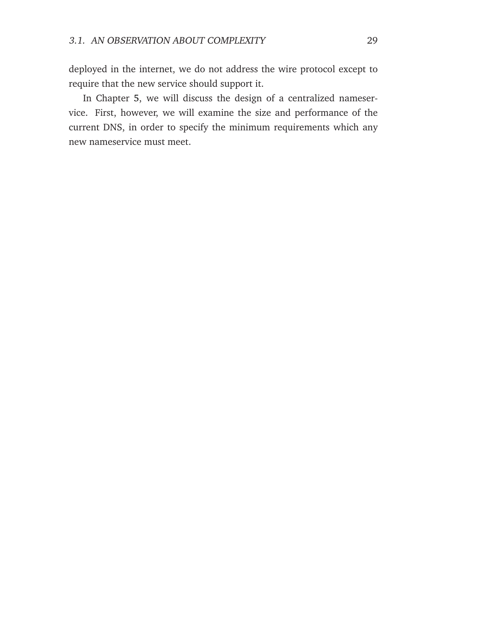deployed in the internet, we do not address the wire protocol except to require that the new service should support it.

In Chapter [5,](#page-60-0) we will discuss the design of a centralized nameservice. First, however, we will examine the size and performance of the current DNS, in order to specify the minimum requirements which any new nameservice must meet.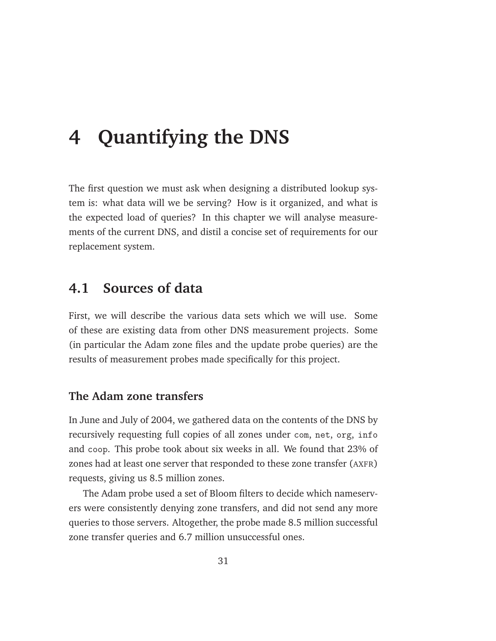# <span id="page-42-0"></span>**4 Quantifying the DNS**

The first question we must ask when designing a distributed lookup system is: what data will we be serving? How is it organized, and what is the expected load of queries? In this chapter we will analyse measurements of the current DNS, and distil a concise set of requirements for our replacement system.

# **4.1 Sources of data**

First, we will describe the various data sets which we will use. Some of these are existing data from other DNS measurement projects. Some (in particular the Adam zone files and the update probe queries) are the results of measurement probes made specifically for this project.

## **The Adam zone transfers**

In June and July of 2004, we gathered data on the contents of the DNS by recursively requesting full copies of all zones under com, net, org, info and coop. This probe took about six weeks in all. We found that 23% of zones had at least one server that responded to these zone transfer (AXFR) requests, giving us 8.5 million zones.

The Adam probe used a set of Bloom filters to decide which nameservers were consistently denying zone transfers, and did not send any more queries to those servers. Altogether, the probe made 8.5 million successful zone transfer queries and 6.7 million unsuccessful ones.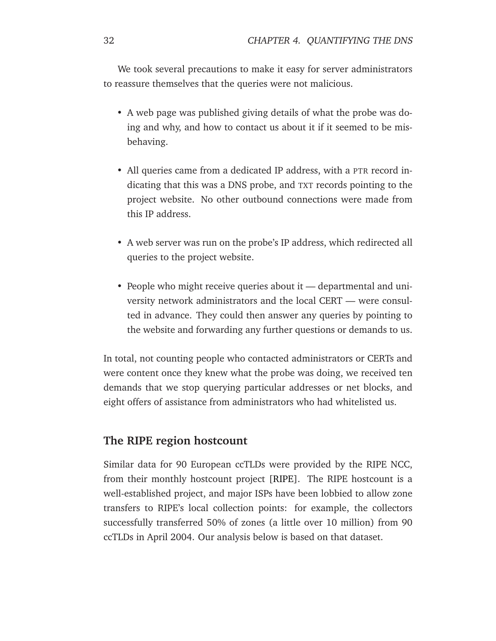We took several precautions to make it easy for server administrators to reassure themselves that the queries were not malicious.

- A web page was published giving details of what the probe was doing and why, and how to contact us about it if it seemed to be misbehaving.
- All queries came from a dedicated IP address, with a PTR record indicating that this was a DNS probe, and TXT records pointing to the project website. No other outbound connections were made from this IP address.
- A web server was run on the probe's IP address, which redirected all queries to the project website.
- People who might receive queries about it departmental and university network administrators and the local CERT — were consulted in advance. They could then answer any queries by pointing to the website and forwarding any further questions or demands to us.

In total, not counting people who contacted administrators or CERTs and were content once they knew what the probe was doing, we received ten demands that we stop querying particular addresses or net blocks, and eight offers of assistance from administrators who had whitelisted us.

## **The RIPE region hostcount**

Similar data for 90 European ccTLDs were provided by the RIPE NCC, from their monthly hostcount project [\[RIPE\]](#page-151-0). The RIPE hostcount is a well-established project, and major ISPs have been lobbied to allow zone transfers to RIPE's local collection points: for example, the collectors successfully transferred 50% of zones (a little over 10 million) from 90 ccTLDs in April 2004. Our analysis below is based on that dataset.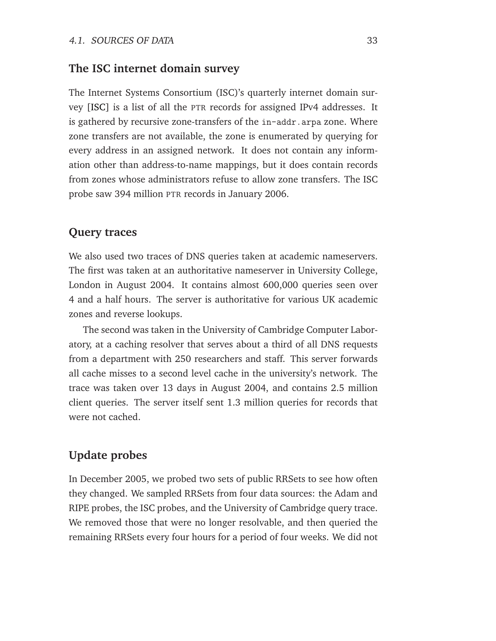#### **The ISC internet domain survey**

The Internet Systems Consortium (ISC)'s quarterly internet domain survey [\[ISC\]](#page-146-0) is a list of all the PTR records for assigned IPv4 addresses. It is gathered by recursive zone-transfers of the in-addr.arpa zone. Where zone transfers are not available, the zone is enumerated by querying for every address in an assigned network. It does not contain any information other than address-to-name mappings, but it does contain records from zones whose administrators refuse to allow zone transfers. The ISC probe saw 394 million PTR records in January 2006.

#### **Query traces**

We also used two traces of DNS queries taken at academic nameservers. The first was taken at an authoritative nameserver in University College, London in August 2004. It contains almost 600,000 queries seen over 4 and a half hours. The server is authoritative for various UK academic zones and reverse lookups.

The second was taken in the University of Cambridge Computer Laboratory, at a caching resolver that serves about a third of all DNS requests from a department with 250 researchers and staff. This server forwards all cache misses to a second level cache in the university's network. The trace was taken over 13 days in August 2004, and contains 2.5 million client queries. The server itself sent 1.3 million queries for records that were not cached.

## **Update probes**

In December 2005, we probed two sets of public RRSets to see how often they changed. We sampled RRSets from four data sources: the Adam and RIPE probes, the ISC probes, and the University of Cambridge query trace. We removed those that were no longer resolvable, and then queried the remaining RRSets every four hours for a period of four weeks. We did not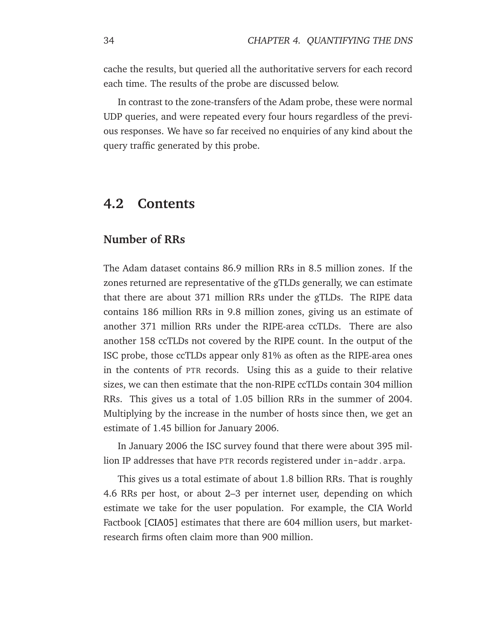cache the results, but queried all the authoritative servers for each record each time. The results of the probe are discussed below.

In contrast to the zone-transfers of the Adam probe, these were normal UDP queries, and were repeated every four hours regardless of the previous responses. We have so far received no enquiries of any kind about the query traffic generated by this probe.

## <span id="page-45-0"></span>**4.2 Contents**

## **Number of RRs**

The Adam dataset contains 86.9 million RRs in 8.5 million zones. If the zones returned are representative of the gTLDs generally, we can estimate that there are about 371 million RRs under the gTLDs. The RIPE data contains 186 million RRs in 9.8 million zones, giving us an estimate of another 371 million RRs under the RIPE-area ccTLDs. There are also another 158 ccTLDs not covered by the RIPE count. In the output of the ISC probe, those ccTLDs appear only 81% as often as the RIPE-area ones in the contents of PTR records. Using this as a guide to their relative sizes, we can then estimate that the non-RIPE ccTLDs contain 304 million RRs. This gives us a total of 1.05 billion RRs in the summer of 2004. Multiplying by the increase in the number of hosts since then, we get an estimate of 1.45 billion for January 2006.

In January 2006 the ISC survey found that there were about 395 million IP addresses that have PTR records registered under in-addr.arpa.

This gives us a total estimate of about 1.8 billion RRs. That is roughly 4.6 RRs per host, or about 2–3 per internet user, depending on which estimate we take for the user population. For example, the CIA World Factbook [\[CIA05\]](#page-143-0) estimates that there are 604 million users, but marketresearch firms often claim more than 900 million.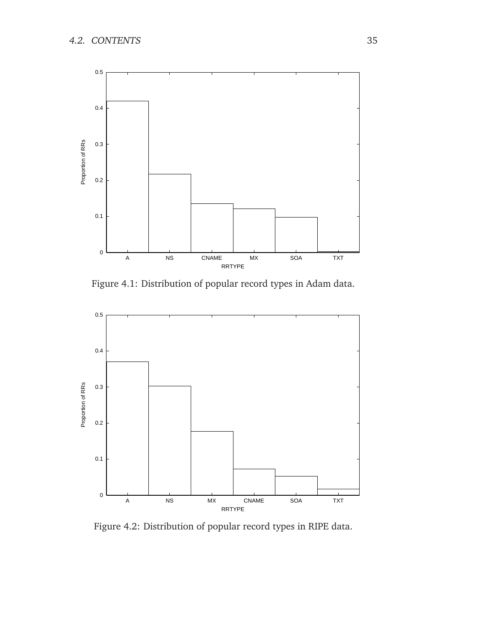

<span id="page-46-0"></span>Figure 4.1: Distribution of popular record types in Adam data.



<span id="page-46-1"></span>Figure 4.2: Distribution of popular record types in RIPE data.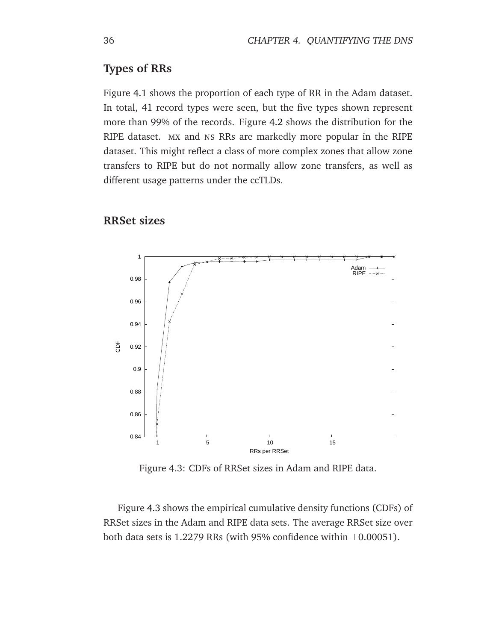## **Types of RRs**

Figure [4.1](#page-46-0) shows the proportion of each type of RR in the Adam dataset. In total, 41 record types were seen, but the five types shown represent more than 99% of the records. Figure [4.2](#page-46-1) shows the distribution for the RIPE dataset. MX and NS RRs are markedly more popular in the RIPE dataset. This might reflect a class of more complex zones that allow zone transfers to RIPE but do not normally allow zone transfers, as well as different usage patterns under the ccTLDs.

## **RRSet sizes**



<span id="page-47-0"></span>Figure 4.3: CDFs of RRSet sizes in Adam and RIPE data.

Figure [4.3](#page-47-0) shows the empirical cumulative density functions (CDFs) of RRSet sizes in the Adam and RIPE data sets. The average RRSet size over both data sets is 1.2279 RRs (with 95% confidence within  $\pm 0.00051$ ).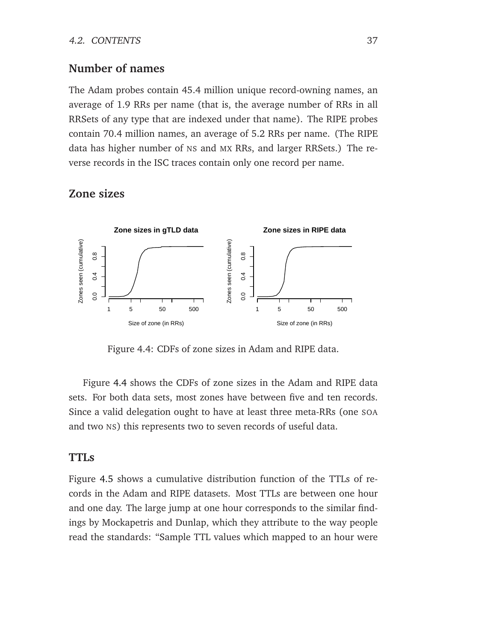## **Number of names**

The Adam probes contain 45.4 million unique record-owning names, an average of 1.9 RRs per name (that is, the average number of RRs in all RRSets of any type that are indexed under that name). The RIPE probes contain 70.4 million names, an average of 5.2 RRs per name. (The RIPE data has higher number of NS and MX RRs, and larger RRSets.) The reverse records in the ISC traces contain only one record per name.

## **Zone sizes**



<span id="page-48-0"></span>Figure 4.4: CDFs of zone sizes in Adam and RIPE data.

Figure [4.4](#page-48-0) shows the CDFs of zone sizes in the Adam and RIPE data sets. For both data sets, most zones have between five and ten records. Since a valid delegation ought to have at least three meta-RRs (one SOA and two NS) this represents two to seven records of useful data.

## **TTLs**

Figure [4.5](#page-49-0) shows a cumulative distribution function of the TTLs of records in the Adam and RIPE datasets. Most TTLs are between one hour and one day. The large jump at one hour corresponds to the similar findings by Mockapetris and Dunlap, which they attribute to the way people read the standards: "Sample TTL values which mapped to an hour were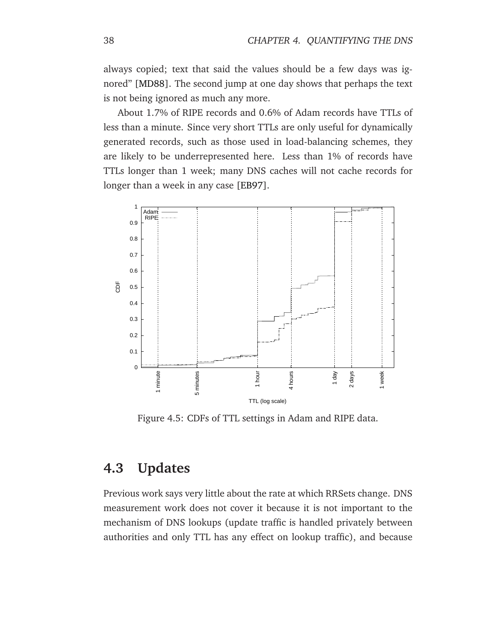always copied; text that said the values should be a few days was ignored" [\[MD88\]](#page-148-0). The second jump at one day shows that perhaps the text is not being ignored as much any more.

About 1.7% of RIPE records and 0.6% of Adam records have TTLs of less than a minute. Since very short TTLs are only useful for dynamically generated records, such as those used in load-balancing schemes, they are likely to be underrepresented here. Less than 1% of records have TTLs longer than 1 week; many DNS caches will not cache records for longer than a week in any case [\[EB97\]](#page-144-0).



<span id="page-49-0"></span>Figure 4.5: CDFs of TTL settings in Adam and RIPE data.

# <span id="page-49-1"></span>**4.3 Updates**

Previous work says very little about the rate at which RRSets change. DNS measurement work does not cover it because it is not important to the mechanism of DNS lookups (update traffic is handled privately between authorities and only TTL has any effect on lookup traffic), and because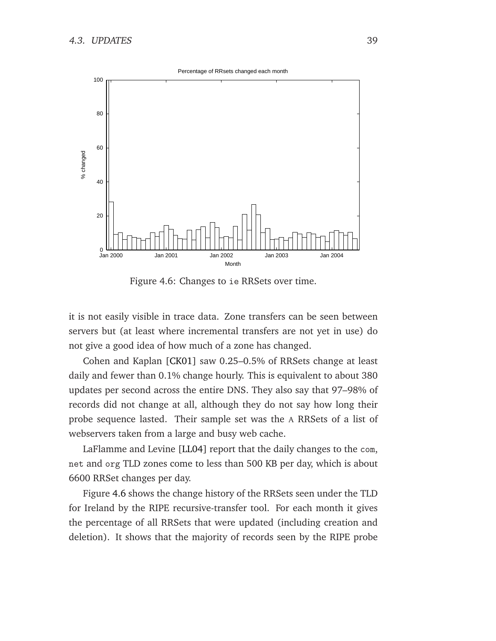0 20 40 60 80 100 Jan 2000 Jan 2001 Jan 2002 Jan 2003 Jan 2004 % changed Month Percentage of RRsets changed each month

<span id="page-50-0"></span>Figure 4.6: Changes to ie RRSets over time.

it is not easily visible in trace data. Zone transfers can be seen between servers but (at least where incremental transfers are not yet in use) do not give a good idea of how much of a zone has changed.

Cohen and Kaplan [\[CK01\]](#page-143-1) saw 0.25–0.5% of RRSets change at least daily and fewer than 0.1% change hourly. This is equivalent to about 380 updates per second across the entire DNS. They also say that 97–98% of records did not change at all, although they do not say how long their probe sequence lasted. Their sample set was the A RRSets of a list of webservers taken from a large and busy web cache.

LaFlamme and Levine [\[LL04\]](#page-147-0) report that the daily changes to the com, net and org TLD zones come to less than 500 KB per day, which is about 6600 RRSet changes per day.

Figure [4.6](#page-50-0) shows the change history of the RRSets seen under the TLD for Ireland by the RIPE recursive-transfer tool. For each month it gives the percentage of all RRSets that were updated (including creation and deletion). It shows that the majority of records seen by the RIPE probe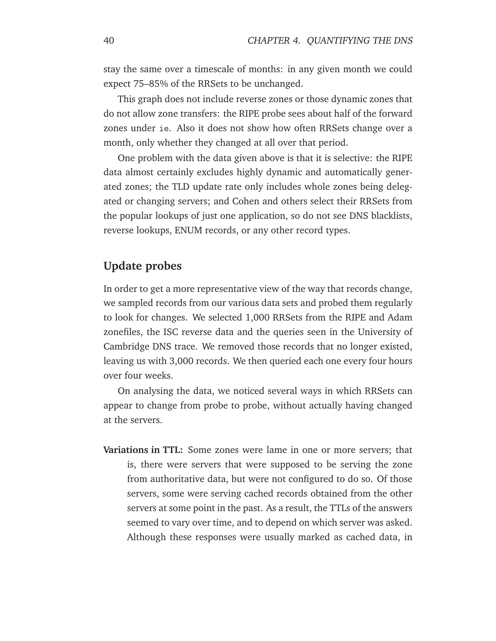stay the same over a timescale of months: in any given month we could expect 75–85% of the RRSets to be unchanged.

This graph does not include reverse zones or those dynamic zones that do not allow zone transfers: the RIPE probe sees about half of the forward zones under ie. Also it does not show how often RRSets change over a month, only whether they changed at all over that period.

One problem with the data given above is that it is selective: the RIPE data almost certainly excludes highly dynamic and automatically generated zones; the TLD update rate only includes whole zones being delegated or changing servers; and Cohen and others select their RRSets from the popular lookups of just one application, so do not see DNS blacklists, reverse lookups, ENUM records, or any other record types.

## **Update probes**

In order to get a more representative view of the way that records change, we sampled records from our various data sets and probed them regularly to look for changes. We selected 1,000 RRSets from the RIPE and Adam zonefiles, the ISC reverse data and the queries seen in the University of Cambridge DNS trace. We removed those records that no longer existed, leaving us with 3,000 records. We then queried each one every four hours over four weeks.

On analysing the data, we noticed several ways in which RRSets can appear to change from probe to probe, without actually having changed at the servers.

**Variations in TTL:** Some zones were lame in one or more servers; that is, there were servers that were supposed to be serving the zone from authoritative data, but were not configured to do so. Of those servers, some were serving cached records obtained from the other servers at some point in the past. As a result, the TTLs of the answers seemed to vary over time, and to depend on which server was asked. Although these responses were usually marked as cached data, in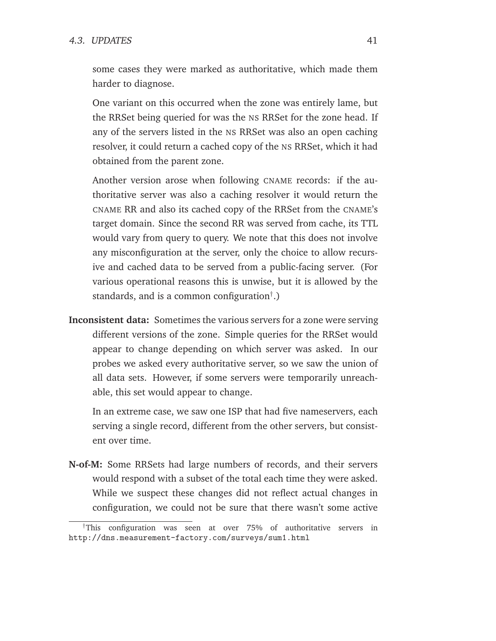#### 4.3. UPDATES 41

some cases they were marked as authoritative, which made them harder to diagnose.

One variant on this occurred when the zone was entirely lame, but the RRSet being queried for was the NS RRSet for the zone head. If any of the servers listed in the NS RRSet was also an open caching resolver, it could return a cached copy of the NS RRSet, which it had obtained from the parent zone.

Another version arose when following CNAME records: if the authoritative server was also a caching resolver it would return the CNAME RR and also its cached copy of the RRSet from the CNAME's target domain. Since the second RR was served from cache, its TTL would vary from query to query. We note that this does not involve any misconfiguration at the server, only the choice to allow recursive and cached data to be served from a public-facing server. (For various operational reasons this is unwise, but it is allowed by the standards, and is a common configuration<sup>†</sup>.)

**Inconsistent data:** Sometimes the various servers for a zone were serving different versions of the zone. Simple queries for the RRSet would appear to change depending on which server was asked. In our probes we asked every authoritative server, so we saw the union of all data sets. However, if some servers were temporarily unreachable, this set would appear to change.

In an extreme case, we saw one ISP that had five nameservers, each serving a single record, different from the other servers, but consistent over time.

**N-of-M:** Some RRSets had large numbers of records, and their servers would respond with a subset of the total each time they were asked. While we suspect these changes did not reflect actual changes in configuration, we could not be sure that there wasn't some active

<sup>†</sup>This configuration was seen at over 75% of authoritative servers in http://dns.measurement-factory.com/surveys/sum1.html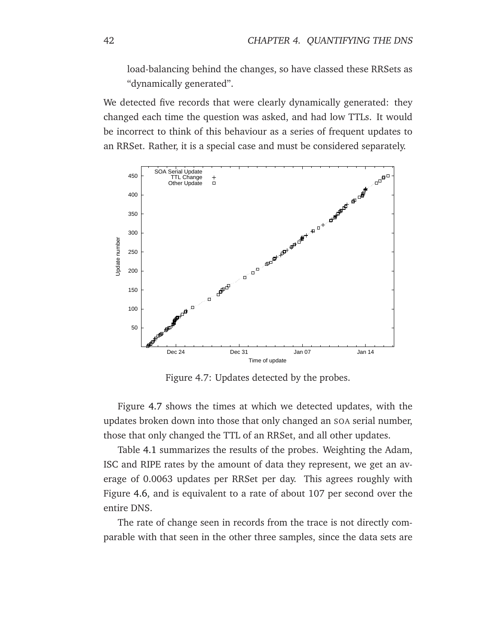load-balancing behind the changes, so have classed these RRSets as "dynamically generated".

We detected five records that were clearly dynamically generated: they changed each time the question was asked, and had low TTLs. It would be incorrect to think of this behaviour as a series of frequent updates to an RRSet. Rather, it is a special case and must be considered separately.



<span id="page-53-0"></span>Figure 4.7: Updates detected by the probes.

Figure [4.7](#page-53-0) shows the times at which we detected updates, with the updates broken down into those that only changed an SOA serial number, those that only changed the TTL of an RRSet, and all other updates.

Table [4.1](#page-54-0) summarizes the results of the probes. Weighting the Adam, ISC and RIPE rates by the amount of data they represent, we get an average of 0.0063 updates per RRSet per day. This agrees roughly with Figure [4.6,](#page-50-0) and is equivalent to a rate of about 107 per second over the entire DNS.

The rate of change seen in records from the trace is not directly comparable with that seen in the other three samples, since the data sets are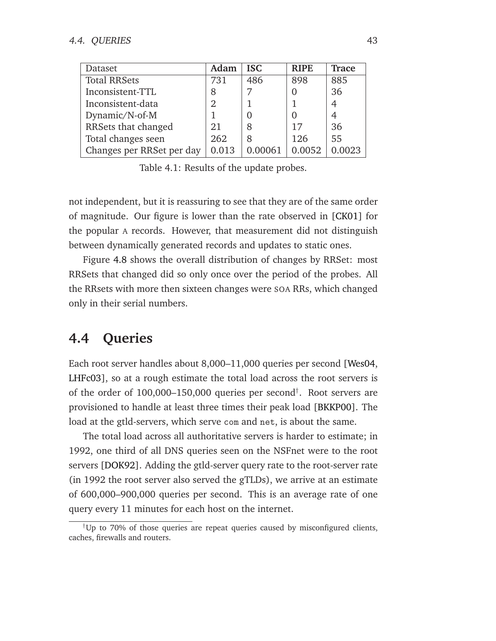| Dataset                   | Adam  | <b>ISC</b> | <b>RIPE</b> | <b>Trace</b> |
|---------------------------|-------|------------|-------------|--------------|
| <b>Total RRSets</b>       | 731   | 486        | 898         | 885          |
| Inconsistent-TTL          |       |            |             | 36           |
| Inconsistent-data         |       |            |             |              |
| Dynamic/N-of-M            |       |            |             |              |
| RRSets that changed       | 21    | 8          |             | 36           |
| Total changes seen        | 262   | 8          | 126         | 55           |
| Changes per RRSet per day | 0.013 |            | 0.0052      | .0023        |

<span id="page-54-0"></span>Table 4.1: Results of the update probes.

not independent, but it is reassuring to see that they are of the same order of magnitude. Our figure is lower than the rate observed in [\[CK01\]](#page-143-1) for the popular A records. However, that measurement did not distinguish between dynamically generated records and updates to static ones.

Figure [4.8](#page-55-0) shows the overall distribution of changes by RRSet: most RRSets that changed did so only once over the period of the probes. All the RRsets with more then sixteen changes were SOA RRs, which changed only in their serial numbers.

# <span id="page-54-1"></span>**4.4 Queries**

Each root server handles about 8,000–11,000 queries per second [\[Wes04,](#page-153-1) [LHFc03\]](#page-147-1), so at a rough estimate the total load across the root servers is of the order of 100,000–150,000 queries per second† . Root servers are provisioned to handle at least three times their peak load [\[BKKP00\]](#page-141-0). The load at the gtld-servers, which serve com and net, is about the same.

The total load across all authoritative servers is harder to estimate; in 1992, one third of all DNS queries seen on the NSFnet were to the root servers [\[DOK92\]](#page-144-1). Adding the gtld-server query rate to the root-server rate (in 1992 the root server also served the gTLDs), we arrive at an estimate of 600,000–900,000 queries per second. This is an average rate of one query every 11 minutes for each host on the internet.

<sup>†</sup>Up to 70% of those queries are repeat queries caused by misconfigured clients, caches, firewalls and routers.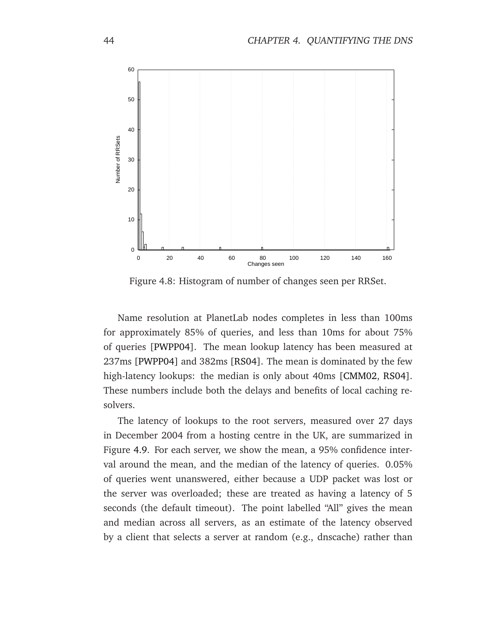

<span id="page-55-0"></span>Figure 4.8: Histogram of number of changes seen per RRSet.

Name resolution at PlanetLab nodes completes in less than 100ms for approximately 85% of queries, and less than 10ms for about 75% of queries [\[PWPP04\]](#page-150-1). The mean lookup latency has been measured at 237ms [\[PWPP04\]](#page-150-1) and 382ms [\[RS04\]](#page-151-1). The mean is dominated by the few high-latency lookups: the median is only about 40ms [\[CMM02,](#page-143-2) [RS04\]](#page-151-1). These numbers include both the delays and benefits of local caching resolvers.

The latency of lookups to the root servers, measured over 27 days in December 2004 from a hosting centre in the UK, are summarized in Figure [4.9.](#page-56-0) For each server, we show the mean, a 95% confidence interval around the mean, and the median of the latency of queries. 0.05% of queries went unanswered, either because a UDP packet was lost or the server was overloaded; these are treated as having a latency of 5 seconds (the default timeout). The point labelled "All" gives the mean and median across all servers, as an estimate of the latency observed by a client that selects a server at random (e.g., dnscache) rather than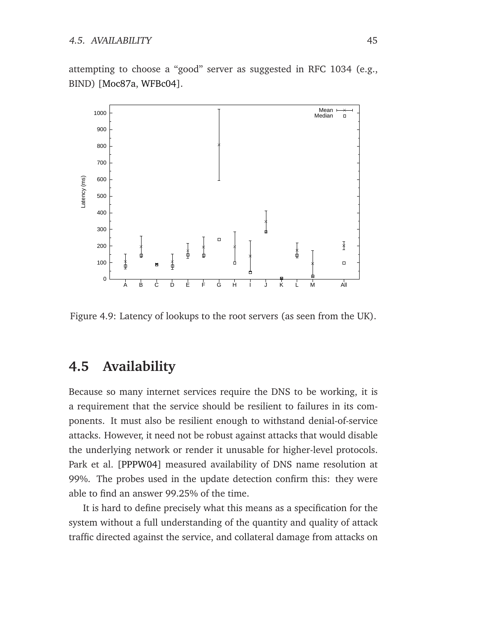attempting to choose a "good" server as suggested in RFC 1034 (e.g., BIND) [\[Moc87a,](#page-148-1) [WFBc04\]](#page-153-2).



<span id="page-56-0"></span>Figure 4.9: Latency of lookups to the root servers (as seen from the UK).

# <span id="page-56-1"></span>**4.5 Availability**

Because so many internet services require the DNS to be working, it is a requirement that the service should be resilient to failures in its components. It must also be resilient enough to withstand denial-of-service attacks. However, it need not be robust against attacks that would disable the underlying network or render it unusable for higher-level protocols. Park et al. [\[PPPW04\]](#page-150-2) measured availability of DNS name resolution at 99%. The probes used in the update detection confirm this: they were able to find an answer 99.25% of the time.

It is hard to define precisely what this means as a specification for the system without a full understanding of the quantity and quality of attack traffic directed against the service, and collateral damage from attacks on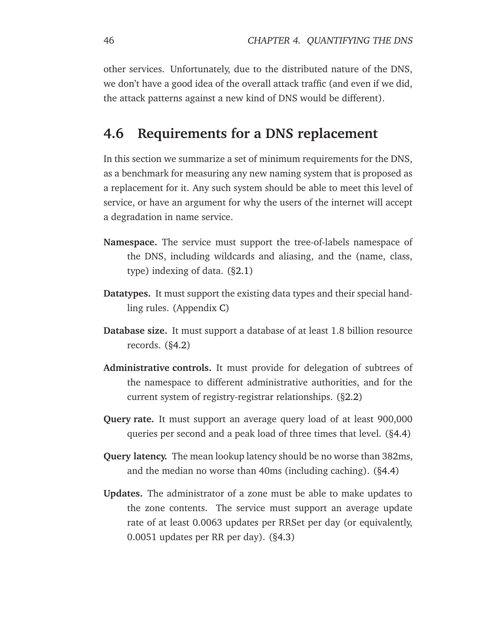other services. Unfortunately, due to the distributed nature of the DNS, we don't have a good idea of the overall attack traffic (and even if we did, the attack patterns against a new kind of DNS would be different).

# **4.6 Requirements for a DNS replacement**

In this section we summarize a set of minimum requirements for the DNS, as a benchmark for measuring any new naming system that is proposed as a replacement for it. Any such system should be able to meet this level of service, or have an argument for why the users of the internet will accept a degradation in name service.

- **Namespace.** The service must support the tree-of-labels namespace of the DNS, including wildcards and aliasing, and the (name, class, type) indexing of data. ([§2.1\)](#page-16-0)
- **Datatypes.** It must support the existing data types and their special handling rules. (Appendix [C\)](#page-138-0)
- **Database size.** It must support a database of at least 1.8 billion resource records. ([§4.2\)](#page-45-0)
- **Administrative controls.** It must provide for delegation of subtrees of the namespace to different administrative authorities, and for the current system of registry-registrar relationships. ([§2.2\)](#page-19-0)
- **Query rate.** It must support an average query load of at least 900,000 queries per second and a peak load of three times that level. ([§4.4\)](#page-54-1)
- **Query latency.** The mean lookup latency should be no worse than 382ms, and the median no worse than 40ms (including caching). ([§4.4\)](#page-54-1)
- **Updates.** The administrator of a zone must be able to make updates to the zone contents. The service must support an average update rate of at least 0.0063 updates per RRSet per day (or equivalently, 0.0051 updates per RR per day). ([§4.3\)](#page-49-1)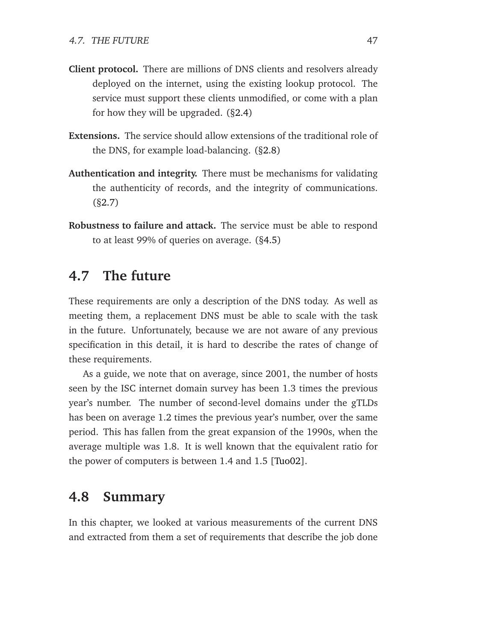- **Client protocol.** There are millions of DNS clients and resolvers already deployed on the internet, using the existing lookup protocol. The service must support these clients unmodified, or come with a plan for how they will be upgraded. ([§2.4\)](#page-22-0)
- **Extensions.** The service should allow extensions of the traditional role of the DNS, for example load-balancing. ([§2.8\)](#page-32-0)
- **Authentication and integrity.** There must be mechanisms for validating the authenticity of records, and the integrity of communications. ([§2.7\)](#page-29-0)
- **Robustness to failure and attack.** The service must be able to respond to at least 99% of queries on average. ([§4.5\)](#page-56-1)

# **4.7 The future**

These requirements are only a description of the DNS today. As well as meeting them, a replacement DNS must be able to scale with the task in the future. Unfortunately, because we are not aware of any previous specification in this detail, it is hard to describe the rates of change of these requirements.

As a guide, we note that on average, since 2001, the number of hosts seen by the ISC internet domain survey has been 1.3 times the previous year's number. The number of second-level domains under the gTLDs has been on average 1.2 times the previous year's number, over the same period. This has fallen from the great expansion of the 1990s, when the average multiple was 1.8. It is well known that the equivalent ratio for the power of computers is between 1.4 and 1.5 [\[Tuo02\]](#page-152-2).

## **4.8 Summary**

In this chapter, we looked at various measurements of the current DNS and extracted from them a set of requirements that describe the job done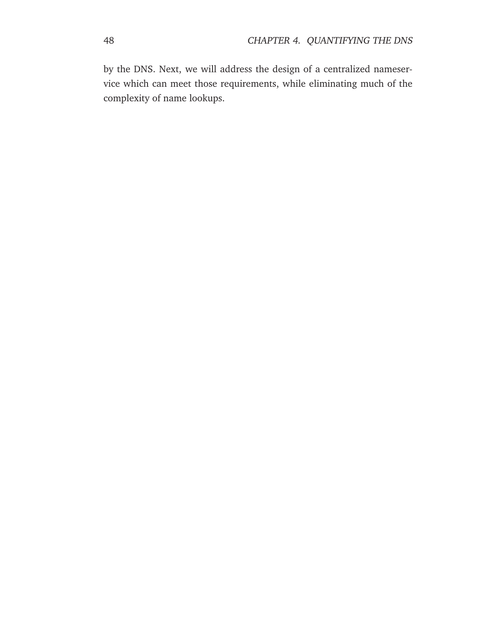by the DNS. Next, we will address the design of a centralized nameservice which can meet those requirements, while eliminating much of the complexity of name lookups.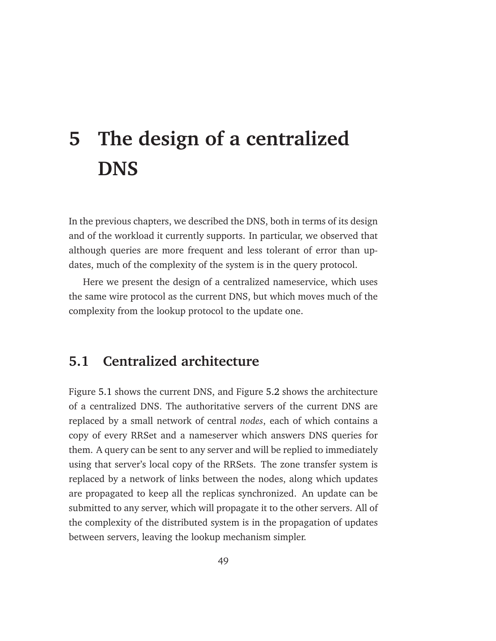# <span id="page-60-0"></span>**5 The design of a centralized DNS**

In the previous chapters, we described the DNS, both in terms of its design and of the workload it currently supports. In particular, we observed that although queries are more frequent and less tolerant of error than updates, much of the complexity of the system is in the query protocol.

Here we present the design of a centralized nameservice, which uses the same wire protocol as the current DNS, but which moves much of the complexity from the lookup protocol to the update one.

# **5.1 Centralized architecture**

Figure [5.1](#page-61-0) shows the current DNS, and Figure [5.2](#page-61-1) shows the architecture of a centralized DNS. The authoritative servers of the current DNS are replaced by a small network of central *nodes*, each of which contains a copy of every RRSet and a nameserver which answers DNS queries for them. A query can be sent to any server and will be replied to immediately using that server's local copy of the RRSets. The zone transfer system is replaced by a network of links between the nodes, along which updates are propagated to keep all the replicas synchronized. An update can be submitted to any server, which will propagate it to the other servers. All of the complexity of the distributed system is in the propagation of updates between servers, leaving the lookup mechanism simpler.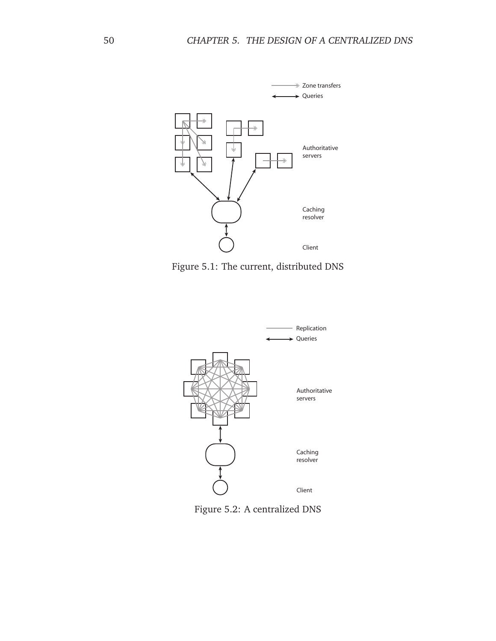

<span id="page-61-0"></span>Figure 5.1: The current, distributed DNS



<span id="page-61-1"></span>Figure 5.2: A centralized DNS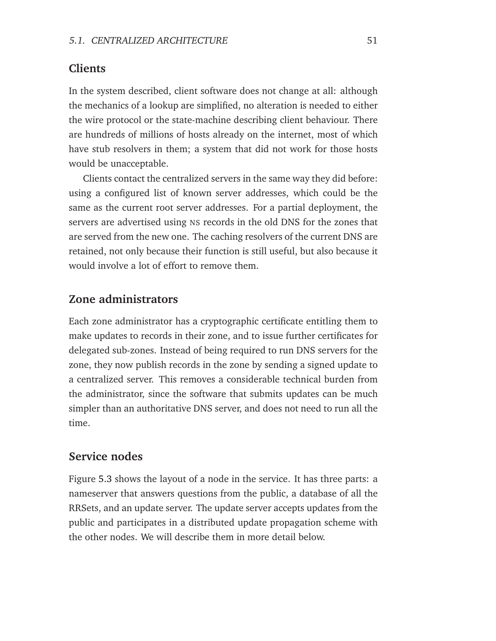#### **Clients**

In the system described, client software does not change at all: although the mechanics of a lookup are simplified, no alteration is needed to either the wire protocol or the state-machine describing client behaviour. There are hundreds of millions of hosts already on the internet, most of which have stub resolvers in them; a system that did not work for those hosts would be unacceptable.

Clients contact the centralized servers in the same way they did before: using a configured list of known server addresses, which could be the same as the current root server addresses. For a partial deployment, the servers are advertised using NS records in the old DNS for the zones that are served from the new one. The caching resolvers of the current DNS are retained, not only because their function is still useful, but also because it would involve a lot of effort to remove them.

## **Zone administrators**

Each zone administrator has a cryptographic certificate entitling them to make updates to records in their zone, and to issue further certificates for delegated sub-zones. Instead of being required to run DNS servers for the zone, they now publish records in the zone by sending a signed update to a centralized server. This removes a considerable technical burden from the administrator, since the software that submits updates can be much simpler than an authoritative DNS server, and does not need to run all the time.

#### **Service nodes**

Figure [5.3](#page-63-0) shows the layout of a node in the service. It has three parts: a nameserver that answers questions from the public, a database of all the RRSets, and an update server. The update server accepts updates from the public and participates in a distributed update propagation scheme with the other nodes. We will describe them in more detail below.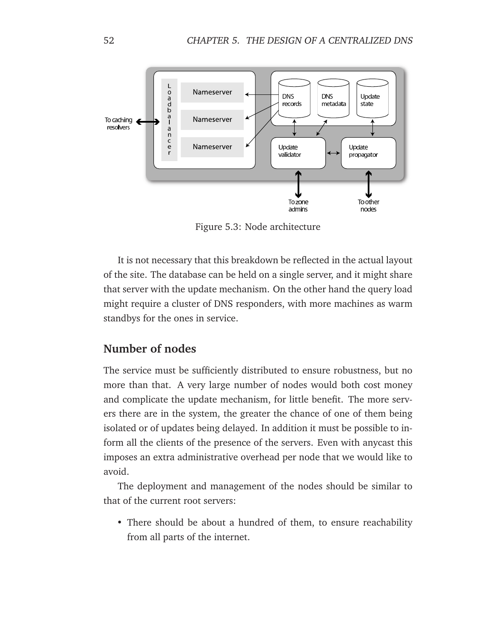

<span id="page-63-0"></span>Figure 5.3: Node architecture

It is not necessary that this breakdown be reflected in the actual layout of the site. The database can be held on a single server, and it might share that server with the update mechanism. On the other hand the query load might require a cluster of DNS responders, with more machines as warm standbys for the ones in service.

## **Number of nodes**

The service must be sufficiently distributed to ensure robustness, but no more than that. A very large number of nodes would both cost money and complicate the update mechanism, for little benefit. The more servers there are in the system, the greater the chance of one of them being isolated or of updates being delayed. In addition it must be possible to inform all the clients of the presence of the servers. Even with anycast this imposes an extra administrative overhead per node that we would like to avoid.

The deployment and management of the nodes should be similar to that of the current root servers:

• There should be about a hundred of them, to ensure reachability from all parts of the internet.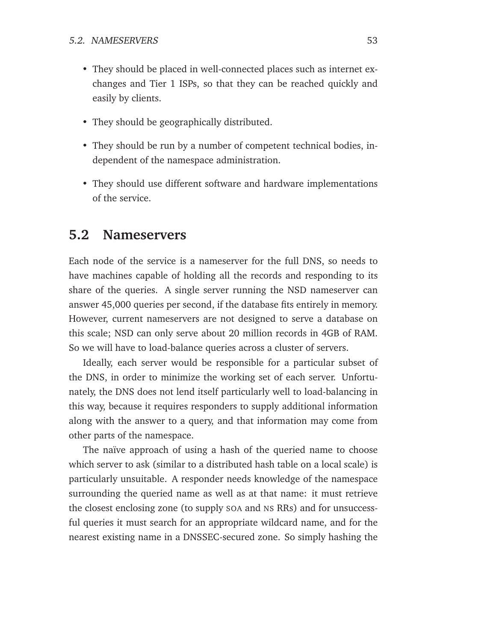- They should be placed in well-connected places such as internet exchanges and Tier 1 ISPs, so that they can be reached quickly and easily by clients.
- They should be geographically distributed.
- They should be run by a number of competent technical bodies, independent of the namespace administration.
- They should use different software and hardware implementations of the service.

# **5.2 Nameservers**

Each node of the service is a nameserver for the full DNS, so needs to have machines capable of holding all the records and responding to its share of the queries. A single server running the NSD nameserver can answer 45,000 queries per second, if the database fits entirely in memory. However, current nameservers are not designed to serve a database on this scale; NSD can only serve about 20 million records in 4GB of RAM. So we will have to load-balance queries across a cluster of servers.

Ideally, each server would be responsible for a particular subset of the DNS, in order to minimize the working set of each server. Unfortunately, the DNS does not lend itself particularly well to load-balancing in this way, because it requires responders to supply additional information along with the answer to a query, and that information may come from other parts of the namespace.

The naïve approach of using a hash of the queried name to choose which server to ask (similar to a distributed hash table on a local scale) is particularly unsuitable. A responder needs knowledge of the namespace surrounding the queried name as well as at that name: it must retrieve the closest enclosing zone (to supply SOA and NS RRs) and for unsuccessful queries it must search for an appropriate wildcard name, and for the nearest existing name in a DNSSEC-secured zone. So simply hashing the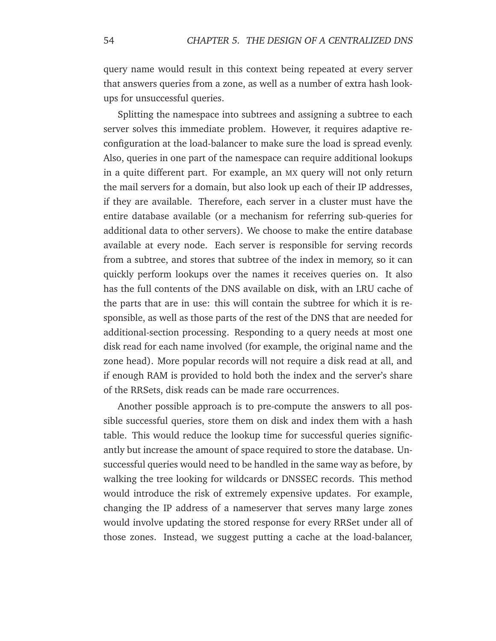query name would result in this context being repeated at every server that answers queries from a zone, as well as a number of extra hash lookups for unsuccessful queries.

Splitting the namespace into subtrees and assigning a subtree to each server solves this immediate problem. However, it requires adaptive reconfiguration at the load-balancer to make sure the load is spread evenly. Also, queries in one part of the namespace can require additional lookups in a quite different part. For example, an MX query will not only return the mail servers for a domain, but also look up each of their IP addresses, if they are available. Therefore, each server in a cluster must have the entire database available (or a mechanism for referring sub-queries for additional data to other servers). We choose to make the entire database available at every node. Each server is responsible for serving records from a subtree, and stores that subtree of the index in memory, so it can quickly perform lookups over the names it receives queries on. It also has the full contents of the DNS available on disk, with an LRU cache of the parts that are in use: this will contain the subtree for which it is responsible, as well as those parts of the rest of the DNS that are needed for additional-section processing. Responding to a query needs at most one disk read for each name involved (for example, the original name and the zone head). More popular records will not require a disk read at all, and if enough RAM is provided to hold both the index and the server's share of the RRSets, disk reads can be made rare occurrences.

Another possible approach is to pre-compute the answers to all possible successful queries, store them on disk and index them with a hash table. This would reduce the lookup time for successful queries significantly but increase the amount of space required to store the database. Unsuccessful queries would need to be handled in the same way as before, by walking the tree looking for wildcards or DNSSEC records. This method would introduce the risk of extremely expensive updates. For example, changing the IP address of a nameserver that serves many large zones would involve updating the stored response for every RRSet under all of those zones. Instead, we suggest putting a cache at the load-balancer,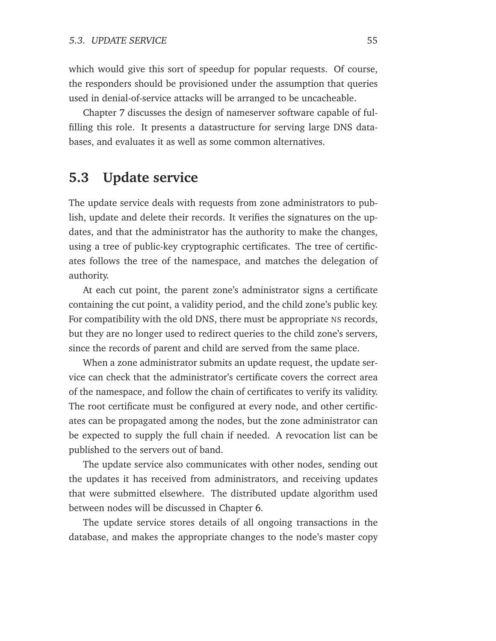which would give this sort of speedup for popular requests. Of course, the responders should be provisioned under the assumption that queries used in denial-of-service attacks will be arranged to be uncacheable.

Chapter [7](#page-84-0) discusses the design of nameserver software capable of fulfilling this role. It presents a datastructure for serving large DNS databases, and evaluates it as well as some common alternatives.

# **5.3 Update service**

The update service deals with requests from zone administrators to publish, update and delete their records. It verifies the signatures on the updates, and that the administrator has the authority to make the changes, using a tree of public-key cryptographic certificates. The tree of certificates follows the tree of the namespace, and matches the delegation of authority.

At each cut point, the parent zone's administrator signs a certificate containing the cut point, a validity period, and the child zone's public key. For compatibility with the old DNS, there must be appropriate NS records, but they are no longer used to redirect queries to the child zone's servers, since the records of parent and child are served from the same place.

When a zone administrator submits an update request, the update service can check that the administrator's certificate covers the correct area of the namespace, and follow the chain of certificates to verify its validity. The root certificate must be configured at every node, and other certificates can be propagated among the nodes, but the zone administrator can be expected to supply the full chain if needed. A revocation list can be published to the servers out of band.

The update service also communicates with other nodes, sending out the updates it has received from administrators, and receiving updates that were submitted elsewhere. The distributed update algorithm used between nodes will be discussed in Chapter [6.](#page-72-0)

The update service stores details of all ongoing transactions in the database, and makes the appropriate changes to the node's master copy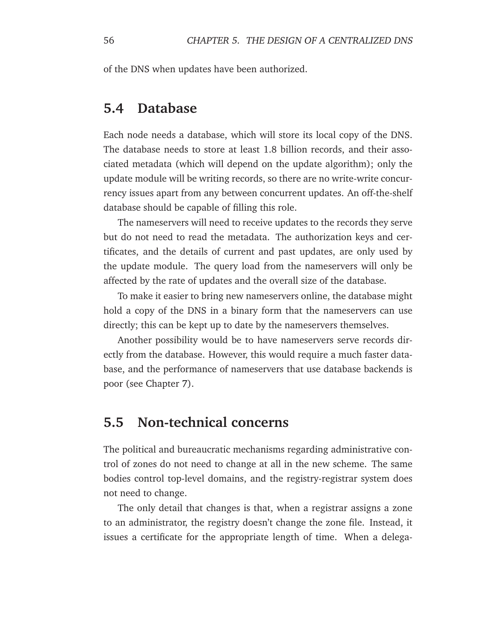of the DNS when updates have been authorized.

# **5.4 Database**

Each node needs a database, which will store its local copy of the DNS. The database needs to store at least 1.8 billion records, and their associated metadata (which will depend on the update algorithm); only the update module will be writing records, so there are no write-write concurrency issues apart from any between concurrent updates. An off-the-shelf database should be capable of filling this role.

The nameservers will need to receive updates to the records they serve but do not need to read the metadata. The authorization keys and certificates, and the details of current and past updates, are only used by the update module. The query load from the nameservers will only be affected by the rate of updates and the overall size of the database.

To make it easier to bring new nameservers online, the database might hold a copy of the DNS in a binary form that the nameservers can use directly; this can be kept up to date by the nameservers themselves.

Another possibility would be to have nameservers serve records directly from the database. However, this would require a much faster database, and the performance of nameservers that use database backends is poor (see Chapter [7\)](#page-84-0).

# **5.5 Non-technical concerns**

The political and bureaucratic mechanisms regarding administrative control of zones do not need to change at all in the new scheme. The same bodies control top-level domains, and the registry-registrar system does not need to change.

The only detail that changes is that, when a registrar assigns a zone to an administrator, the registry doesn't change the zone file. Instead, it issues a certificate for the appropriate length of time. When a delega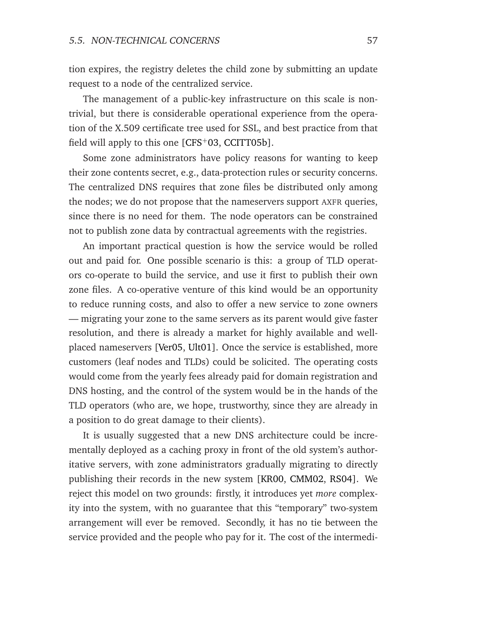tion expires, the registry deletes the child zone by submitting an update request to a node of the centralized service.

The management of a public-key infrastructure on this scale is nontrivial, but there is considerable operational experience from the operation of the X.509 certificate tree used for SSL, and best practice from that field will apply to this one  $[CFS<sup>+</sup>03, CCITT05b]$  $[CFS<sup>+</sup>03, CCITT05b]$  $[CFS<sup>+</sup>03, CCITT05b]$ .

Some zone administrators have policy reasons for wanting to keep their zone contents secret, e.g., data-protection rules or security concerns. The centralized DNS requires that zone files be distributed only among the nodes; we do not propose that the nameservers support AXFR queries, since there is no need for them. The node operators can be constrained not to publish zone data by contractual agreements with the registries.

An important practical question is how the service would be rolled out and paid for. One possible scenario is this: a group of TLD operators co-operate to build the service, and use it first to publish their own zone files. A co-operative venture of this kind would be an opportunity to reduce running costs, and also to offer a new service to zone owners — migrating your zone to the same servers as its parent would give faster resolution, and there is already a market for highly available and wellplaced nameservers [\[Ver05,](#page-152-3) [Ult01\]](#page-152-4). Once the service is established, more customers (leaf nodes and TLDs) could be solicited. The operating costs would come from the yearly fees already paid for domain registration and DNS hosting, and the control of the system would be in the hands of the TLD operators (who are, we hope, trustworthy, since they are already in a position to do great damage to their clients).

It is usually suggested that a new DNS architecture could be incrementally deployed as a caching proxy in front of the old system's authoritative servers, with zone administrators gradually migrating to directly publishing their records in the new system [\[KR00,](#page-147-2) [CMM02,](#page-143-2) [RS04\]](#page-151-1). We reject this model on two grounds: firstly, it introduces yet *more* complexity into the system, with no guarantee that this "temporary" two-system arrangement will ever be removed. Secondly, it has no tie between the service provided and the people who pay for it. The cost of the intermedi-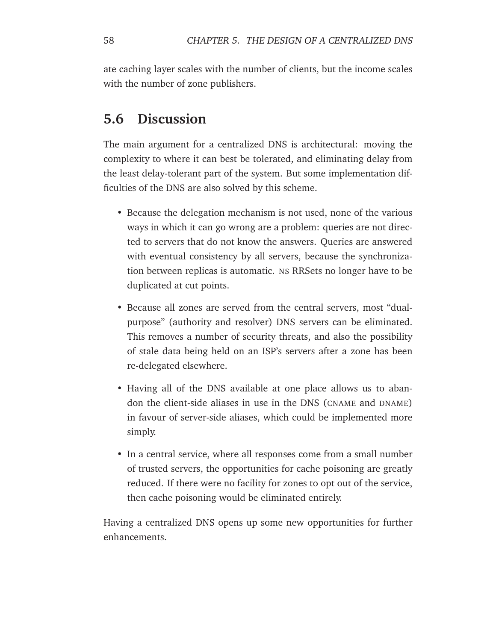ate caching layer scales with the number of clients, but the income scales with the number of zone publishers.

# **5.6 Discussion**

The main argument for a centralized DNS is architectural: moving the complexity to where it can best be tolerated, and eliminating delay from the least delay-tolerant part of the system. But some implementation difficulties of the DNS are also solved by this scheme.

- Because the delegation mechanism is not used, none of the various ways in which it can go wrong are a problem: queries are not directed to servers that do not know the answers. Queries are answered with eventual consistency by all servers, because the synchronization between replicas is automatic. NS RRSets no longer have to be duplicated at cut points.
- Because all zones are served from the central servers, most "dualpurpose" (authority and resolver) DNS servers can be eliminated. This removes a number of security threats, and also the possibility of stale data being held on an ISP's servers after a zone has been re-delegated elsewhere.
- Having all of the DNS available at one place allows us to abandon the client-side aliases in use in the DNS (CNAME and DNAME) in favour of server-side aliases, which could be implemented more simply.
- In a central service, where all responses come from a small number of trusted servers, the opportunities for cache poisoning are greatly reduced. If there were no facility for zones to opt out of the service, then cache poisoning would be eliminated entirely.

Having a centralized DNS opens up some new opportunities for further enhancements.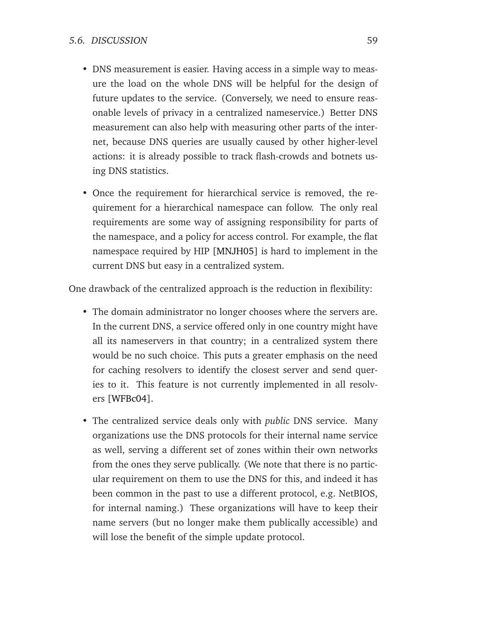- DNS measurement is easier. Having access in a simple way to measure the load on the whole DNS will be helpful for the design of future updates to the service. (Conversely, we need to ensure reasonable levels of privacy in a centralized nameservice.) Better DNS measurement can also help with measuring other parts of the internet, because DNS queries are usually caused by other higher-level actions: it is already possible to track flash-crowds and botnets using DNS statistics.
- Once the requirement for hierarchical service is removed, the requirement for a hierarchical namespace can follow. The only real requirements are some way of assigning responsibility for parts of the namespace, and a policy for access control. For example, the flat namespace required by HIP [\[MNJH05\]](#page-148-2) is hard to implement in the current DNS but easy in a centralized system.

One drawback of the centralized approach is the reduction in flexibility:

- The domain administrator no longer chooses where the servers are. In the current DNS, a service offered only in one country might have all its nameservers in that country; in a centralized system there would be no such choice. This puts a greater emphasis on the need for caching resolvers to identify the closest server and send queries to it. This feature is not currently implemented in all resolvers [\[WFBc04\]](#page-153-2).
- The centralized service deals only with *public* DNS service. Many organizations use the DNS protocols for their internal name service as well, serving a different set of zones within their own networks from the ones they serve publically. (We note that there is no particular requirement on them to use the DNS for this, and indeed it has been common in the past to use a different protocol, e.g. NetBIOS, for internal naming.) These organizations will have to keep their name servers (but no longer make them publically accessible) and will lose the benefit of the simple update protocol.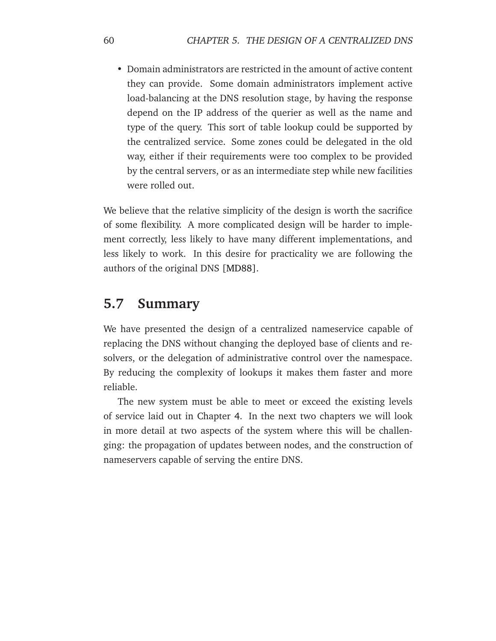• Domain administrators are restricted in the amount of active content they can provide. Some domain administrators implement active load-balancing at the DNS resolution stage, by having the response depend on the IP address of the querier as well as the name and type of the query. This sort of table lookup could be supported by the centralized service. Some zones could be delegated in the old way, either if their requirements were too complex to be provided by the central servers, or as an intermediate step while new facilities were rolled out.

We believe that the relative simplicity of the design is worth the sacrifice of some flexibility. A more complicated design will be harder to implement correctly, less likely to have many different implementations, and less likely to work. In this desire for practicality we are following the authors of the original DNS [\[MD88\]](#page-148-0).

# **5.7 Summary**

We have presented the design of a centralized nameservice capable of replacing the DNS without changing the deployed base of clients and resolvers, or the delegation of administrative control over the namespace. By reducing the complexity of lookups it makes them faster and more reliable.

The new system must be able to meet or exceed the existing levels of service laid out in Chapter [4.](#page-42-0) In the next two chapters we will look in more detail at two aspects of the system where this will be challenging: the propagation of updates between nodes, and the construction of nameservers capable of serving the entire DNS.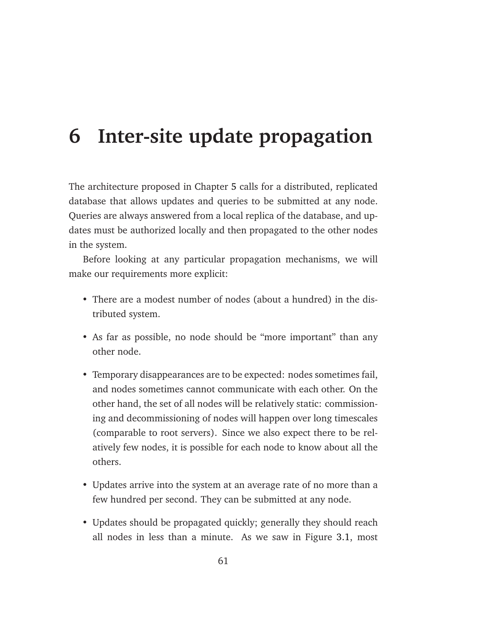## **6 Inter-site update propagation**

The architecture proposed in Chapter [5](#page-60-0) calls for a distributed, replicated database that allows updates and queries to be submitted at any node. Queries are always answered from a local replica of the database, and updates must be authorized locally and then propagated to the other nodes in the system.

Before looking at any particular propagation mechanisms, we will make our requirements more explicit:

- There are a modest number of nodes (about a hundred) in the distributed system.
- As far as possible, no node should be "more important" than any other node.
- Temporary disappearances are to be expected: nodes sometimes fail, and nodes sometimes cannot communicate with each other. On the other hand, the set of all nodes will be relatively static: commissioning and decommissioning of nodes will happen over long timescales (comparable to root servers). Since we also expect there to be relatively few nodes, it is possible for each node to know about all the others.
- Updates arrive into the system at an average rate of no more than a few hundred per second. They can be submitted at any node.
- Updates should be propagated quickly; generally they should reach all nodes in less than a minute. As we saw in Figure [3.1,](#page-38-0) most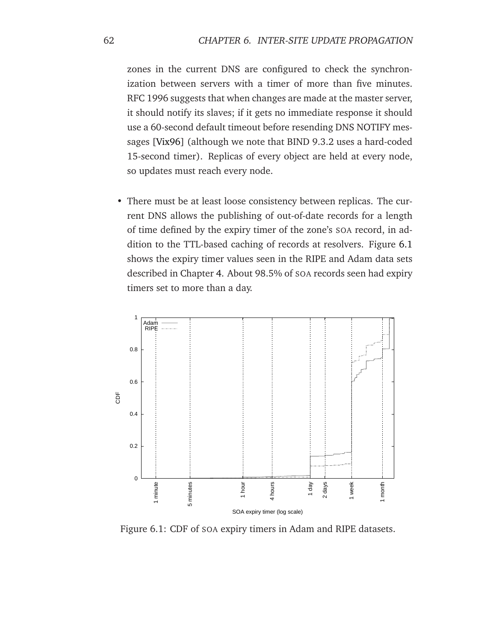zones in the current DNS are configured to check the synchronization between servers with a timer of more than five minutes. RFC 1996 suggests that when changes are made at the master server, it should notify its slaves; if it gets no immediate response it should use a 60-second default timeout before resending DNS NOTIFY messages [\[Vix96\]](#page-152-0) (although we note that BIND 9.3.2 uses a hard-coded 15-second timer). Replicas of every object are held at every node, so updates must reach every node.

• There must be at least loose consistency between replicas. The current DNS allows the publishing of out-of-date records for a length of time defined by the expiry timer of the zone's SOA record, in addition to the TTL-based caching of records at resolvers. Figure [6.1](#page-73-0) shows the expiry timer values seen in the RIPE and Adam data sets described in Chapter [4.](#page-42-0) About 98.5% of SOA records seen had expiry timers set to more than a day.



<span id="page-73-0"></span>Figure 6.1: CDF of SOA expiry timers in Adam and RIPE datasets.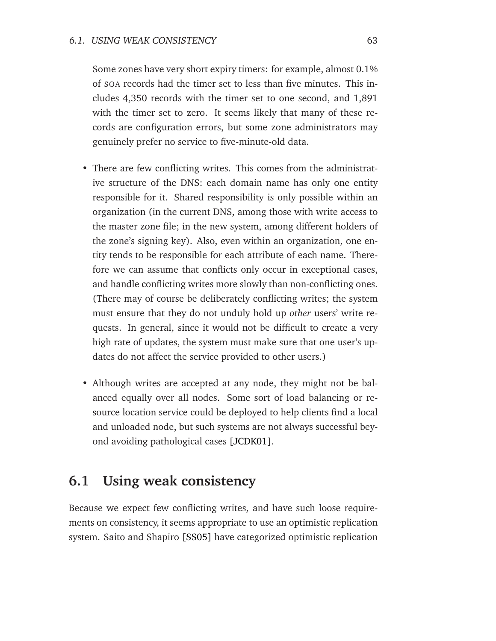Some zones have very short expiry timers: for example, almost 0.1% of SOA records had the timer set to less than five minutes. This includes 4,350 records with the timer set to one second, and 1,891 with the timer set to zero. It seems likely that many of these records are configuration errors, but some zone administrators may genuinely prefer no service to five-minute-old data.

- There are few conflicting writes. This comes from the administrative structure of the DNS: each domain name has only one entity responsible for it. Shared responsibility is only possible within an organization (in the current DNS, among those with write access to the master zone file; in the new system, among different holders of the zone's signing key). Also, even within an organization, one entity tends to be responsible for each attribute of each name. Therefore we can assume that conflicts only occur in exceptional cases, and handle conflicting writes more slowly than non-conflicting ones. (There may of course be deliberately conflicting writes; the system must ensure that they do not unduly hold up *other* users' write requests. In general, since it would not be difficult to create a very high rate of updates, the system must make sure that one user's updates do not affect the service provided to other users.)
- Although writes are accepted at any node, they might not be balanced equally over all nodes. Some sort of load balancing or resource location service could be deployed to help clients find a local and unloaded node, but such systems are not always successful beyond avoiding pathological cases [\[JCDK01\]](#page-146-0).

## **6.1 Using weak consistency**

Because we expect few conflicting writes, and have such loose requirements on consistency, it seems appropriate to use an optimistic replication system. Saito and Shapiro [\[SS05\]](#page-152-1) have categorized optimistic replication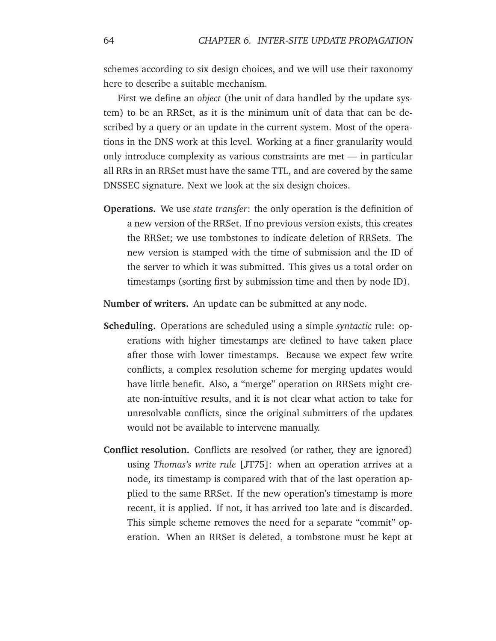schemes according to six design choices, and we will use their taxonomy here to describe a suitable mechanism.

First we define an *object* (the unit of data handled by the update system) to be an RRSet, as it is the minimum unit of data that can be described by a query or an update in the current system. Most of the operations in the DNS work at this level. Working at a finer granularity would only introduce complexity as various constraints are met — in particular all RRs in an RRSet must have the same TTL, and are covered by the same DNSSEC signature. Next we look at the six design choices.

**Operations.** We use *state transfer*: the only operation is the definition of a new version of the RRSet. If no previous version exists, this creates the RRSet; we use tombstones to indicate deletion of RRSets. The new version is stamped with the time of submission and the ID of the server to which it was submitted. This gives us a total order on timestamps (sorting first by submission time and then by node ID).

**Number of writers.** An update can be submitted at any node.

- **Scheduling.** Operations are scheduled using a simple *syntactic* rule: operations with higher timestamps are defined to have taken place after those with lower timestamps. Because we expect few write conflicts, a complex resolution scheme for merging updates would have little benefit. Also, a "merge" operation on RRSets might create non-intuitive results, and it is not clear what action to take for unresolvable conflicts, since the original submitters of the updates would not be available to intervene manually.
- **Conflict resolution.** Conflicts are resolved (or rather, they are ignored) using *Thomas's write rule* [\[JT75\]](#page-146-1): when an operation arrives at a node, its timestamp is compared with that of the last operation applied to the same RRSet. If the new operation's timestamp is more recent, it is applied. If not, it has arrived too late and is discarded. This simple scheme removes the need for a separate "commit" operation. When an RRSet is deleted, a tombstone must be kept at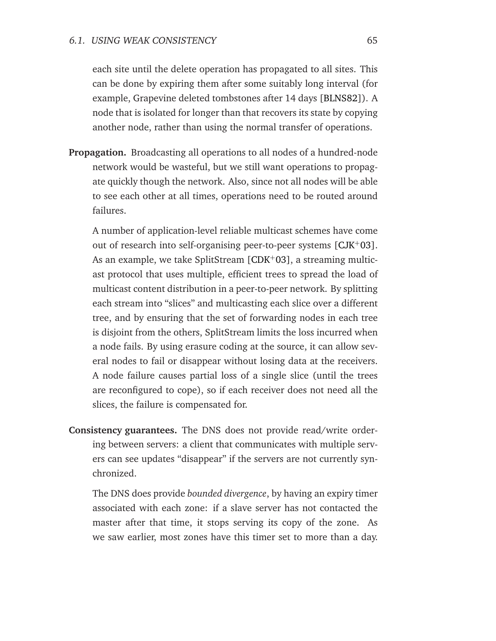each site until the delete operation has propagated to all sites. This can be done by expiring them after some suitably long interval (for example, Grapevine deleted tombstones after 14 days [\[BLNS82\]](#page-141-0)). A node that is isolated for longer than that recovers its state by copying another node, rather than using the normal transfer of operations.

**Propagation.** Broadcasting all operations to all nodes of a hundred-node network would be wasteful, but we still want operations to propagate quickly though the network. Also, since not all nodes will be able to see each other at all times, operations need to be routed around failures.

A number of application-level reliable multicast schemes have come out of research into self-organising peer-to-peer systems  $[CIK+03]$ . As an example, we take SplitStream  $[CDK+03]$  $[CDK+03]$ , a streaming multicast protocol that uses multiple, efficient trees to spread the load of multicast content distribution in a peer-to-peer network. By splitting each stream into "slices" and multicasting each slice over a different tree, and by ensuring that the set of forwarding nodes in each tree is disjoint from the others, SplitStream limits the loss incurred when a node fails. By using erasure coding at the source, it can allow several nodes to fail or disappear without losing data at the receivers. A node failure causes partial loss of a single slice (until the trees are reconfigured to cope), so if each receiver does not need all the slices, the failure is compensated for.

**Consistency guarantees.** The DNS does not provide read/write ordering between servers: a client that communicates with multiple servers can see updates "disappear" if the servers are not currently synchronized.

The DNS does provide *bounded divergence*, by having an expiry timer associated with each zone: if a slave server has not contacted the master after that time, it stops serving its copy of the zone. As we saw earlier, most zones have this timer set to more than a day.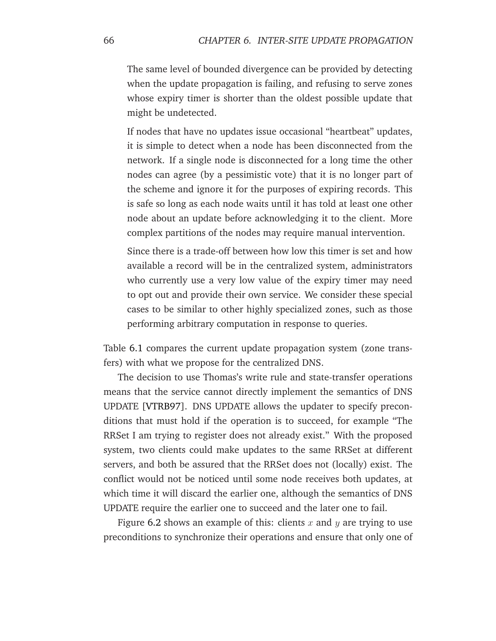The same level of bounded divergence can be provided by detecting when the update propagation is failing, and refusing to serve zones whose expiry timer is shorter than the oldest possible update that might be undetected.

If nodes that have no updates issue occasional "heartbeat" updates, it is simple to detect when a node has been disconnected from the network. If a single node is disconnected for a long time the other nodes can agree (by a pessimistic vote) that it is no longer part of the scheme and ignore it for the purposes of expiring records. This is safe so long as each node waits until it has told at least one other node about an update before acknowledging it to the client. More complex partitions of the nodes may require manual intervention.

Since there is a trade-off between how low this timer is set and how available a record will be in the centralized system, administrators who currently use a very low value of the expiry timer may need to opt out and provide their own service. We consider these special cases to be similar to other highly specialized zones, such as those performing arbitrary computation in response to queries.

Table [6.1](#page-78-0) compares the current update propagation system (zone transfers) with what we propose for the centralized DNS.

The decision to use Thomas's write rule and state-transfer operations means that the service cannot directly implement the semantics of DNS UPDATE [\[VTRB97\]](#page-153-0). DNS UPDATE allows the updater to specify preconditions that must hold if the operation is to succeed, for example "The RRSet I am trying to register does not already exist." With the proposed system, two clients could make updates to the same RRSet at different servers, and both be assured that the RRSet does not (locally) exist. The conflict would not be noticed until some node receives both updates, at which time it will discard the earlier one, although the semantics of DNS UPDATE require the earlier one to succeed and the later one to fail.

Figure [6.2](#page-78-1) shows an example of this: clients x and y are trying to use preconditions to synchronize their operations and ensure that only one of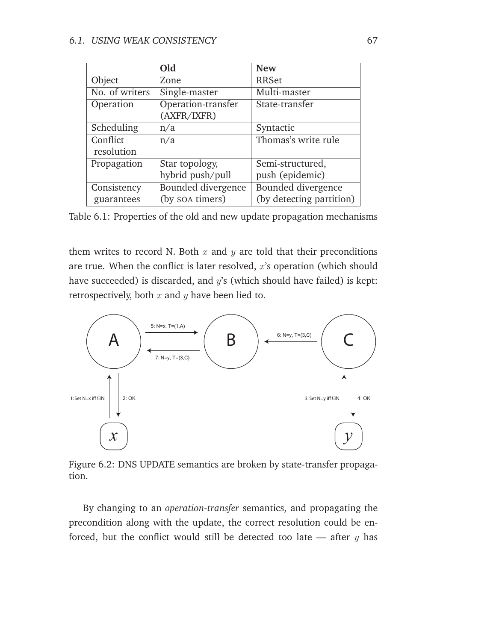|                | Old                | <b>New</b>               |
|----------------|--------------------|--------------------------|
| Object         | Zone               | <b>RRSet</b>             |
| No. of writers | Single-master      | Multi-master             |
| Operation      | Operation-transfer | State-transfer           |
|                | (AXFR/IXFR)        |                          |
| Scheduling     | n/a                | Syntactic                |
| Conflict       | n/a                | Thomas's write rule      |
| resolution     |                    |                          |
| Propagation    | Star topology,     | Semi-structured,         |
|                | hybrid push/pull   | push (epidemic)          |
| Consistency    | Bounded divergence | Bounded divergence       |
| guarantees     | (by soa timers)    | (by detecting partition) |

<span id="page-78-0"></span>Table 6.1: Properties of the old and new update propagation mechanisms

them writes to record N. Both  $x$  and  $y$  are told that their preconditions are true. When the conflict is later resolved, x's operation (which should have succeeded) is discarded, and  $y$ 's (which should have failed) is kept: retrospectively, both  $x$  and  $y$  have been lied to.



<span id="page-78-1"></span>Figure 6.2: DNS UPDATE semantics are broken by state-transfer propagation.

By changing to an *operation-transfer* semantics, and propagating the precondition along with the update, the correct resolution could be enforced, but the conflict would still be detected too late  $-$  after  $y$  has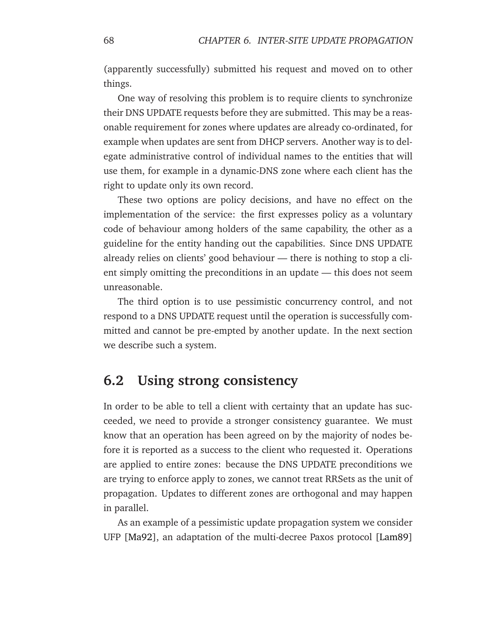(apparently successfully) submitted his request and moved on to other things.

One way of resolving this problem is to require clients to synchronize their DNS UPDATE requests before they are submitted. This may be a reasonable requirement for zones where updates are already co-ordinated, for example when updates are sent from DHCP servers. Another way is to delegate administrative control of individual names to the entities that will use them, for example in a dynamic-DNS zone where each client has the right to update only its own record.

These two options are policy decisions, and have no effect on the implementation of the service: the first expresses policy as a voluntary code of behaviour among holders of the same capability, the other as a guideline for the entity handing out the capabilities. Since DNS UPDATE already relies on clients' good behaviour — there is nothing to stop a client simply omitting the preconditions in an update — this does not seem unreasonable.

The third option is to use pessimistic concurrency control, and not respond to a DNS UPDATE request until the operation is successfully committed and cannot be pre-empted by another update. In the next section we describe such a system.

## **6.2 Using strong consistency**

In order to be able to tell a client with certainty that an update has succeeded, we need to provide a stronger consistency guarantee. We must know that an operation has been agreed on by the majority of nodes before it is reported as a success to the client who requested it. Operations are applied to entire zones: because the DNS UPDATE preconditions we are trying to enforce apply to zones, we cannot treat RRSets as the unit of propagation. Updates to different zones are orthogonal and may happen in parallel.

As an example of a pessimistic update propagation system we consider UFP [\[Ma92\]](#page-148-0), an adaptation of the multi-decree Paxos protocol [\[Lam89\]](#page-147-0)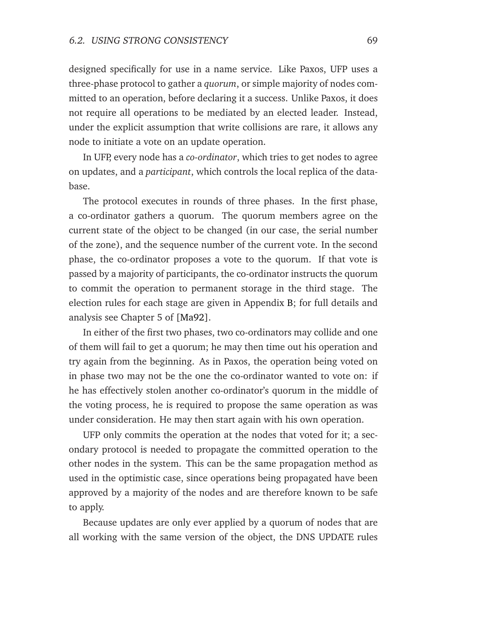designed specifically for use in a name service. Like Paxos, UFP uses a three-phase protocol to gather a *quorum*, or simple majority of nodes committed to an operation, before declaring it a success. Unlike Paxos, it does not require all operations to be mediated by an elected leader. Instead, under the explicit assumption that write collisions are rare, it allows any node to initiate a vote on an update operation.

In UFP, every node has a *co-ordinator*, which tries to get nodes to agree on updates, and a *participant*, which controls the local replica of the database.

The protocol executes in rounds of three phases. In the first phase, a co-ordinator gathers a quorum. The quorum members agree on the current state of the object to be changed (in our case, the serial number of the zone), and the sequence number of the current vote. In the second phase, the co-ordinator proposes a vote to the quorum. If that vote is passed by a majority of participants, the co-ordinator instructs the quorum to commit the operation to permanent storage in the third stage. The election rules for each stage are given in Appendix [B;](#page-136-0) for full details and analysis see Chapter 5 of [\[Ma92\]](#page-148-0).

In either of the first two phases, two co-ordinators may collide and one of them will fail to get a quorum; he may then time out his operation and try again from the beginning. As in Paxos, the operation being voted on in phase two may not be the one the co-ordinator wanted to vote on: if he has effectively stolen another co-ordinator's quorum in the middle of the voting process, he is required to propose the same operation as was under consideration. He may then start again with his own operation.

UFP only commits the operation at the nodes that voted for it; a secondary protocol is needed to propagate the committed operation to the other nodes in the system. This can be the same propagation method as used in the optimistic case, since operations being propagated have been approved by a majority of the nodes and are therefore known to be safe to apply.

Because updates are only ever applied by a quorum of nodes that are all working with the same version of the object, the DNS UPDATE rules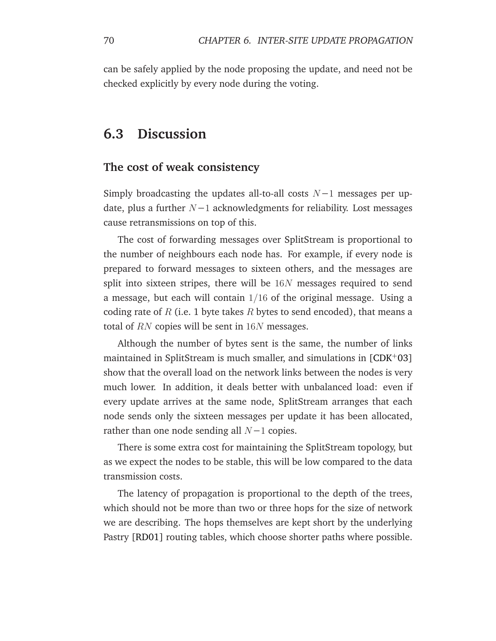can be safely applied by the node proposing the update, and need not be checked explicitly by every node during the voting.

## **6.3 Discussion**

#### **The cost of weak consistency**

Simply broadcasting the updates all-to-all costs  $N-1$  messages per update, plus a further  $N-1$  acknowledgments for reliability. Lost messages cause retransmissions on top of this.

The cost of forwarding messages over SplitStream is proportional to the number of neighbours each node has. For example, if every node is prepared to forward messages to sixteen others, and the messages are split into sixteen stripes, there will be  $16N$  messages required to send a message, but each will contain 1/16 of the original message. Using a coding rate of R (i.e. 1 byte takes R bytes to send encoded), that means a total of RN copies will be sent in  $16N$  messages.

Although the number of bytes sent is the same, the number of links maintained in SplitStream is much smaller, and simulations in  $[CDK^+03]$  $[CDK^+03]$ show that the overall load on the network links between the nodes is very much lower. In addition, it deals better with unbalanced load: even if every update arrives at the same node, SplitStream arranges that each node sends only the sixteen messages per update it has been allocated, rather than one node sending all  $N-1$  copies.

There is some extra cost for maintaining the SplitStream topology, but as we expect the nodes to be stable, this will be low compared to the data transmission costs.

The latency of propagation is proportional to the depth of the trees, which should not be more than two or three hops for the size of network we are describing. The hops themselves are kept short by the underlying Pastry [\[RD01\]](#page-151-0) routing tables, which choose shorter paths where possible.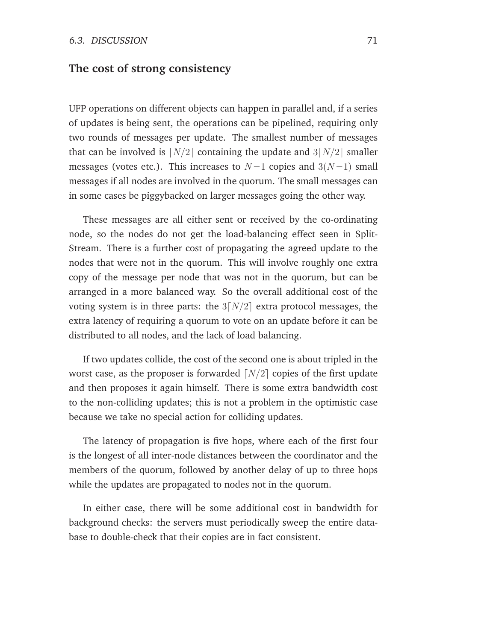#### **The cost of strong consistency**

UFP operations on different objects can happen in parallel and, if a series of updates is being sent, the operations can be pipelined, requiring only two rounds of messages per update. The smallest number of messages that can be involved is  $\lceil N/2 \rceil$  containing the update and  $3\lceil N/2 \rceil$  smaller messages (votes etc.). This increases to  $N-1$  copies and  $3(N-1)$  small messages if all nodes are involved in the quorum. The small messages can in some cases be piggybacked on larger messages going the other way.

These messages are all either sent or received by the co-ordinating node, so the nodes do not get the load-balancing effect seen in Split-Stream. There is a further cost of propagating the agreed update to the nodes that were not in the quorum. This will involve roughly one extra copy of the message per node that was not in the quorum, but can be arranged in a more balanced way. So the overall additional cost of the voting system is in three parts: the  $3[N/2]$  extra protocol messages, the extra latency of requiring a quorum to vote on an update before it can be distributed to all nodes, and the lack of load balancing.

If two updates collide, the cost of the second one is about tripled in the worst case, as the proposer is forwarded  $\lfloor N/2 \rfloor$  copies of the first update and then proposes it again himself. There is some extra bandwidth cost to the non-colliding updates; this is not a problem in the optimistic case because we take no special action for colliding updates.

The latency of propagation is five hops, where each of the first four is the longest of all inter-node distances between the coordinator and the members of the quorum, followed by another delay of up to three hops while the updates are propagated to nodes not in the quorum.

In either case, there will be some additional cost in bandwidth for background checks: the servers must periodically sweep the entire database to double-check that their copies are in fact consistent.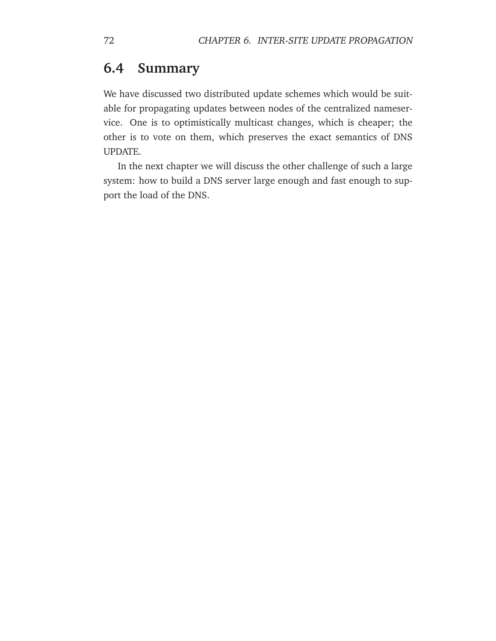## **6.4 Summary**

We have discussed two distributed update schemes which would be suitable for propagating updates between nodes of the centralized nameservice. One is to optimistically multicast changes, which is cheaper; the other is to vote on them, which preserves the exact semantics of DNS UPDATE.

In the next chapter we will discuss the other challenge of such a large system: how to build a DNS server large enough and fast enough to support the load of the DNS.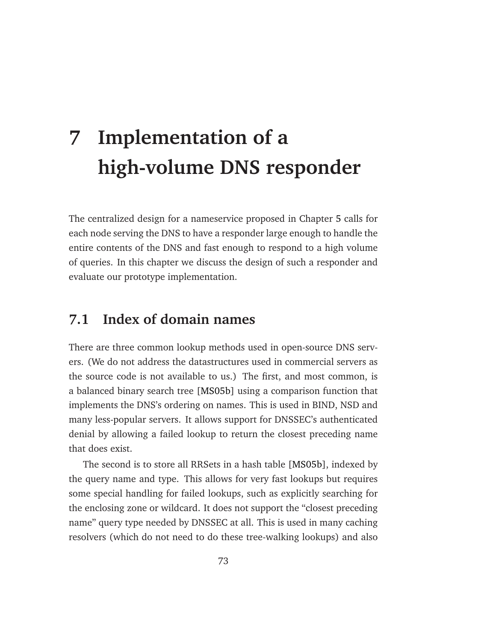# **7 Implementation of a high-volume DNS responder**

The centralized design for a nameservice proposed in Chapter [5](#page-60-0) calls for each node serving the DNS to have a responder large enough to handle the entire contents of the DNS and fast enough to respond to a high volume of queries. In this chapter we discuss the design of such a responder and evaluate our prototype implementation.

## **7.1 Index of domain names**

There are three common lookup methods used in open-source DNS servers. (We do not address the datastructures used in commercial servers as the source code is not available to us.) The first, and most common, is a balanced binary search tree [\[MS05b\]](#page-149-0) using a comparison function that implements the DNS's ordering on names. This is used in BIND, NSD and many less-popular servers. It allows support for DNSSEC's authenticated denial by allowing a failed lookup to return the closest preceding name that does exist.

The second is to store all RRSets in a hash table [\[MS05b\]](#page-149-0), indexed by the query name and type. This allows for very fast lookups but requires some special handling for failed lookups, such as explicitly searching for the enclosing zone or wildcard. It does not support the "closest preceding name" query type needed by DNSSEC at all. This is used in many caching resolvers (which do not need to do these tree-walking lookups) and also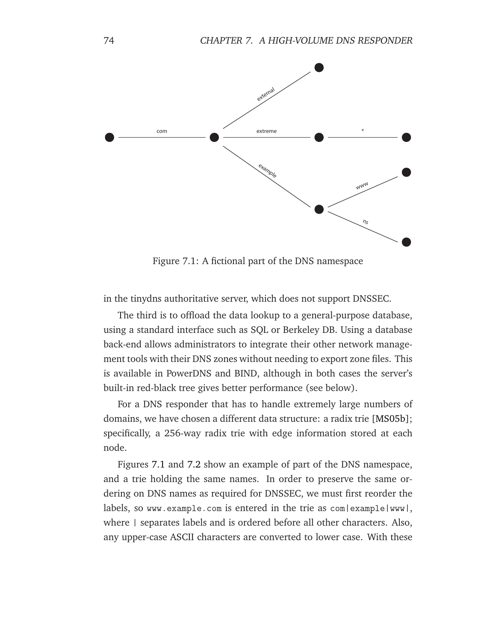

<span id="page-85-0"></span>Figure 7.1: A fictional part of the DNS namespace

in the tinydns authoritative server, which does not support DNSSEC.

The third is to offload the data lookup to a general-purpose database, using a standard interface such as SQL or Berkeley DB. Using a database back-end allows administrators to integrate their other network management tools with their DNS zones without needing to export zone files. This is available in PowerDNS and BIND, although in both cases the server's built-in red-black tree gives better performance (see below).

For a DNS responder that has to handle extremely large numbers of domains, we have chosen a different data structure: a radix trie [\[MS05b\]](#page-149-0); specifically, a 256-way radix trie with edge information stored at each node.

Figures [7.1](#page-85-0) and [7.2](#page-86-0) show an example of part of the DNS namespace, and a trie holding the same names. In order to preserve the same ordering on DNS names as required for DNSSEC, we must first reorder the labels, so www.example.com is entered in the trie as com|example|www|, where | separates labels and is ordered before all other characters. Also, any upper-case ASCII characters are converted to lower case. With these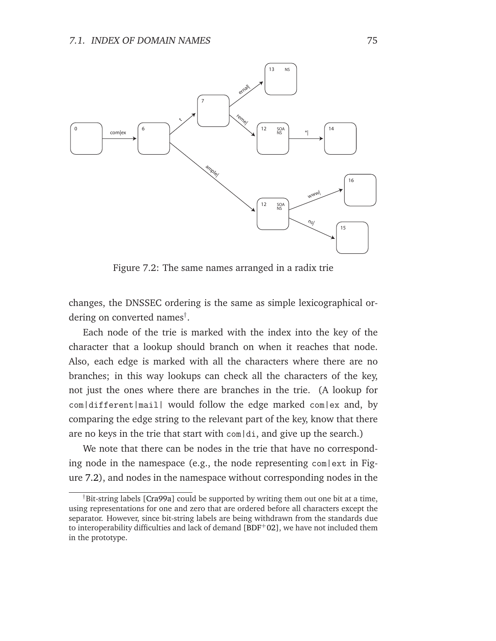

<span id="page-86-0"></span>Figure 7.2: The same names arranged in a radix trie

changes, the DNSSEC ordering is the same as simple lexicographical ordering on converted names† .

Each node of the trie is marked with the index into the key of the character that a lookup should branch on when it reaches that node. Also, each edge is marked with all the characters where there are no branches; in this way lookups can check all the characters of the key, not just the ones where there are branches in the trie. (A lookup for com|different|mail| would follow the edge marked com|ex and, by comparing the edge string to the relevant part of the key, know that there are no keys in the trie that start with com|di, and give up the search.)

We note that there can be nodes in the trie that have no corresponding node in the namespace (e.g., the node representing com|ext in Figure [7.2\)](#page-86-0), and nodes in the namespace without corresponding nodes in the

<sup>&</sup>lt;sup>†</sup>Bit-string labels [\[Cra99a\]](#page-143-1) could be supported by writing them out one bit at a time, using representations for one and zero that are ordered before all characters except the separator. However, since bit-string labels are being withdrawn from the standards due to interoperability difficulties and lack of demand  $[BDF+O2]$ , we have not included them in the prototype.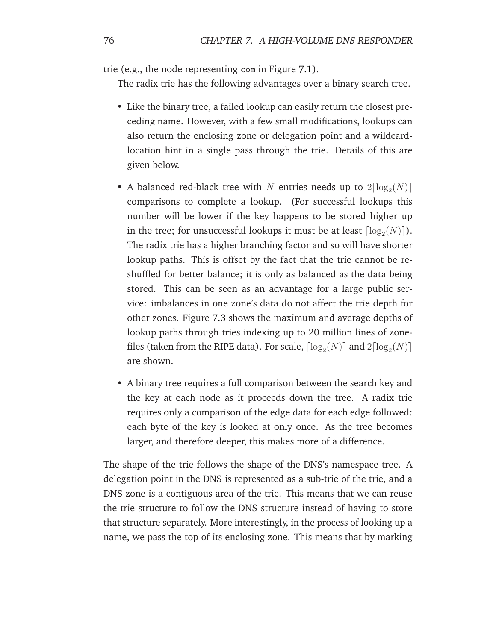trie (e.g., the node representing com in Figure [7.1\)](#page-85-0).

The radix trie has the following advantages over a binary search tree.

- Like the binary tree, a failed lookup can easily return the closest preceding name. However, with a few small modifications, lookups can also return the enclosing zone or delegation point and a wildcardlocation hint in a single pass through the trie. Details of this are given below.
- A balanced red-black tree with N entries needs up to  $2\lceil log_2(N) \rceil$ comparisons to complete a lookup. (For successful lookups this number will be lower if the key happens to be stored higher up in the tree; for unsuccessful lookups it must be at least  $\lceil \log_2(N) \rceil$ ). The radix trie has a higher branching factor and so will have shorter lookup paths. This is offset by the fact that the trie cannot be reshuffled for better balance; it is only as balanced as the data being stored. This can be seen as an advantage for a large public service: imbalances in one zone's data do not affect the trie depth for other zones. Figure [7.3](#page-88-0) shows the maximum and average depths of lookup paths through tries indexing up to 20 million lines of zonefiles (taken from the RIPE data). For scale,  $\lceil \log_2(N) \rceil$  and  $2 \lceil \log_2(N) \rceil$ are shown.
- A binary tree requires a full comparison between the search key and the key at each node as it proceeds down the tree. A radix trie requires only a comparison of the edge data for each edge followed: each byte of the key is looked at only once. As the tree becomes larger, and therefore deeper, this makes more of a difference.

The shape of the trie follows the shape of the DNS's namespace tree. A delegation point in the DNS is represented as a sub-trie of the trie, and a DNS zone is a contiguous area of the trie. This means that we can reuse the trie structure to follow the DNS structure instead of having to store that structure separately. More interestingly, in the process of looking up a name, we pass the top of its enclosing zone. This means that by marking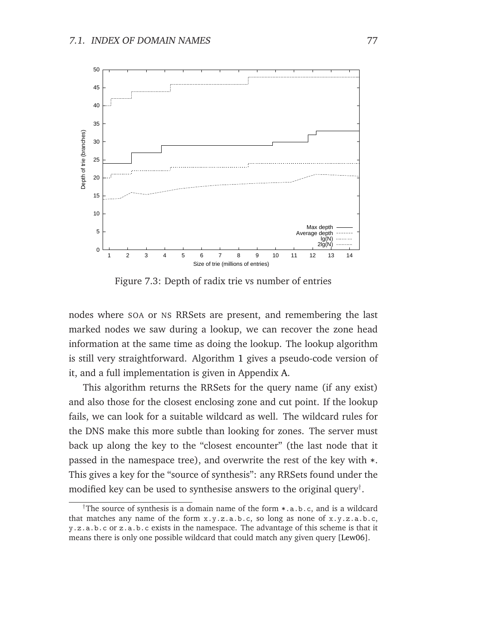

<span id="page-88-0"></span>Figure 7.3: Depth of radix trie vs number of entries

nodes where SOA or NS RRSets are present, and remembering the last marked nodes we saw during a lookup, we can recover the zone head information at the same time as doing the lookup. The lookup algorithm is still very straightforward. Algorithm [1](#page-88-1) gives a pseudo-code version of it, and a full implementation is given in Appendix [A.](#page-120-0)

<span id="page-88-1"></span>This algorithm returns the RRSets for the query name (if any exist) and also those for the closest enclosing zone and cut point. If the lookup fails, we can look for a suitable wildcard as well. The wildcard rules for the DNS make this more subtle than looking for zones. The server must back up along the key to the "closest encounter" (the last node that it passed in the namespace tree), and overwrite the rest of the key with \*. This gives a key for the "source of synthesis": any RRSets found under the modified key can be used to synthesise answers to the original query<sup>†</sup>.

The source of synthesis is a domain name of the form  $\ast$ , a.b.c, and is a wildcard that matches any name of the form x.y.z.a.b.c, so long as none of x.y.z.a.b.c, y.z.a.b.c or z.a.b.c exists in the namespace. The advantage of this scheme is that it means there is only one possible wildcard that could match any given query [\[Lew06\]](#page-147-1).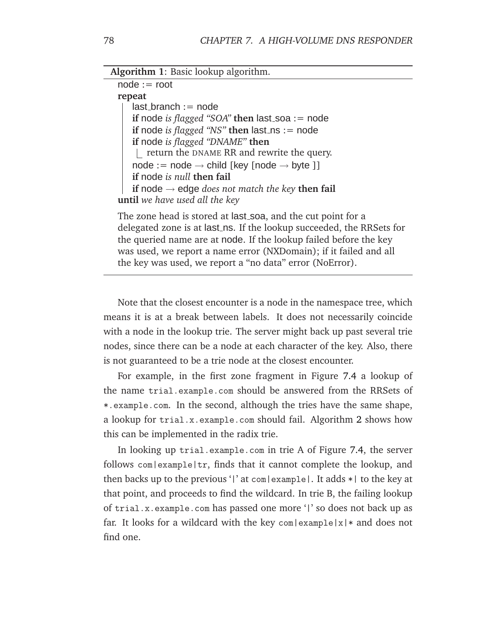**Algorithm 1**: Basic lookup algorithm.

 $node := root$ **repeat**  $last_branch := node$ **if** node *is flagged* "SOA" **then** last soa := node **if** node *is flagged* "NS" **then** last ns := node **if** node *is flagged "DNAME"* **then** return the DNAME RR and rewrite the query.  $node := node \rightarrow child$  [key [node  $\rightarrow byte$  ]] **if** node *is null* **then fail if** node → edge *does not match the key* **then fail until** *we have used all the key*

The zone head is stored at last\_soa, and the cut point for a delegated zone is at last ns. If the lookup succeeded, the RRSets for the queried name are at node. If the lookup failed before the key was used, we report a name error (NXDomain); if it failed and all the key was used, we report a "no data" error (NoError).

Note that the closest encounter is a node in the namespace tree, which means it is at a break between labels. It does not necessarily coincide with a node in the lookup trie. The server might back up past several trie nodes, since there can be a node at each character of the key. Also, there is not guaranteed to be a trie node at the closest encounter.

For example, in the first zone fragment in Figure [7.4](#page-90-0) a lookup of the name trial.example.com should be answered from the RRSets of \*.example.com. In the second, although the tries have the same shape, a lookup for trial.x.example.com should fail. Algorithm [2](#page-89-0) shows how this can be implemented in the radix trie.

<span id="page-89-0"></span>In looking up trial.example.com in trie A of Figure [7.4,](#page-90-0) the server follows com|example|tr, finds that it cannot complete the lookup, and then backs up to the previous '|' at com|example|. It adds \*| to the key at that point, and proceeds to find the wildcard. In trie B, the failing lookup of trial.x.example.com has passed one more '|' so does not back up as far. It looks for a wildcard with the key com|example|x| $*$  and does not find one.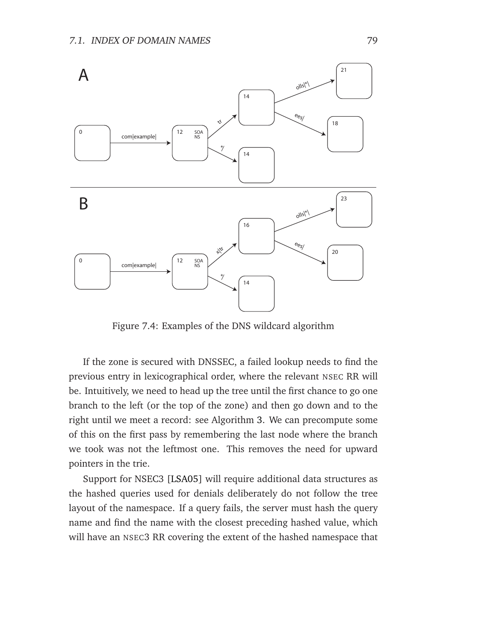

<span id="page-90-0"></span>Figure 7.4: Examples of the DNS wildcard algorithm

If the zone is secured with DNSSEC, a failed lookup needs to find the previous entry in lexicographical order, where the relevant NSEC RR will be. Intuitively, we need to head up the tree until the first chance to go one branch to the left (or the top of the zone) and then go down and to the right until we meet a record: see Algorithm [3.](#page-90-1) We can precompute some of this on the first pass by remembering the last node where the branch we took was not the leftmost one. This removes the need for upward pointers in the trie.

<span id="page-90-1"></span>Support for NSEC3 [\[LSA05\]](#page-147-2) will require additional data structures as the hashed queries used for denials deliberately do not follow the tree layout of the namespace. If a query fails, the server must hash the query name and find the name with the closest preceding hashed value, which will have an NSEC3 RR covering the extent of the hashed namespace that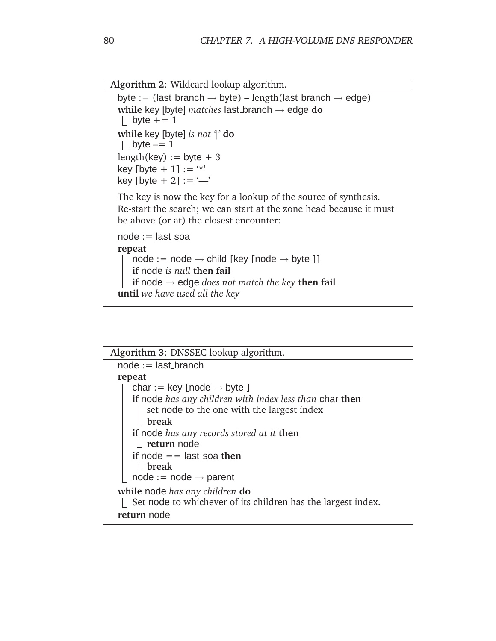```
Algorithm 2: Wildcard lookup algorithm.
```

```
byte := (last_branch \rightarrow byte) – length(last_branch \rightarrow edge)
while key [byte] matches last branch → edge do
| byte += 1while key [byte] is not '|' do
| byte == 1length(key) := byte + 3key [byte + 1] := "*"
key [byte + 2] := \frac{(-)}{(-)}
```
The key is now the key for a lookup of the source of synthesis. Re-start the search; we can start at the zone head because it must be above (or at) the closest encounter:

```
node := last\_soarepeat
   node := node \rightarrow child [key [node \rightarrow byte ]]if node is null then fail
   if node → edge does not match the key then fail
until we have used all the key
```

| Algorithm 3: DNSSEC lookup algorithm.                                                                        |  |  |
|--------------------------------------------------------------------------------------------------------------|--|--|
| $node := last_branch$                                                                                        |  |  |
| repeat                                                                                                       |  |  |
| char := key [node $\rightarrow$ byte ]                                                                       |  |  |
| <b>if</b> node has any children with index less than char then<br>set node to the one with the largest index |  |  |
| break                                                                                                        |  |  |
| if node has any records stored at it then<br>$L$ return node                                                 |  |  |
| if node $=$ last soa then<br>$\blacksquare$ break<br>$node := node \rightarrow parent$                       |  |  |
| while node has any children do<br>Set node to whichever of its children has the largest index.               |  |  |
| return node                                                                                                  |  |  |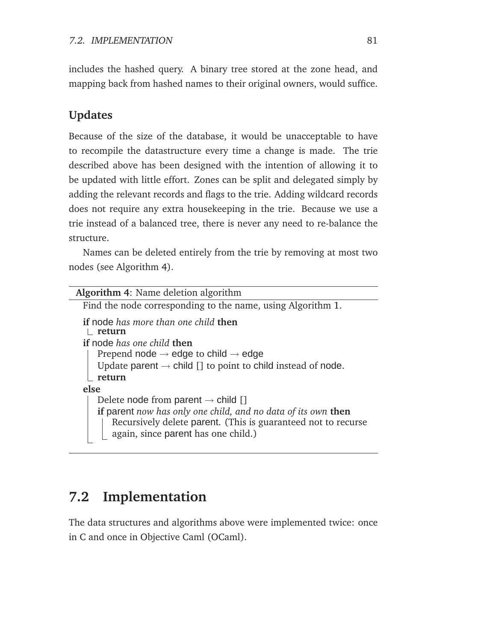includes the hashed query. A binary tree stored at the zone head, and mapping back from hashed names to their original owners, would suffice.

#### **Updates**

Because of the size of the database, it would be unacceptable to have to recompile the datastructure every time a change is made. The trie described above has been designed with the intention of allowing it to be updated with little effort. Zones can be split and delegated simply by adding the relevant records and flags to the trie. Adding wildcard records does not require any extra housekeeping in the trie. Because we use a trie instead of a balanced tree, there is never any need to re-balance the structure.

<span id="page-92-0"></span>Names can be deleted entirely from the trie by removing at most two nodes (see Algorithm [4\)](#page-92-0).

| <b>Algorithm 4:</b> Name deletion algorithm                                                                                                                           |  |  |
|-----------------------------------------------------------------------------------------------------------------------------------------------------------------------|--|--|
| Find the node corresponding to the name, using Algorithm 1.                                                                                                           |  |  |
| <b>if</b> node has more than one child <b>then</b><br>return                                                                                                          |  |  |
| if node has one child then                                                                                                                                            |  |  |
| Prepend node $\rightarrow$ edge to child $\rightarrow$ edge                                                                                                           |  |  |
| Update parent $\rightarrow$ child [] to point to child instead of node.                                                                                               |  |  |
| return                                                                                                                                                                |  |  |
| else                                                                                                                                                                  |  |  |
| Delete node from parent $\rightarrow$ child []                                                                                                                        |  |  |
| if parent now has only one child, and no data of its own then<br>Recursively delete parent. (This is guaranteed not to recurse<br>again, since parent has one child.) |  |  |
|                                                                                                                                                                       |  |  |

## **7.2 Implementation**

The data structures and algorithms above were implemented twice: once in C and once in Objective Caml (OCaml).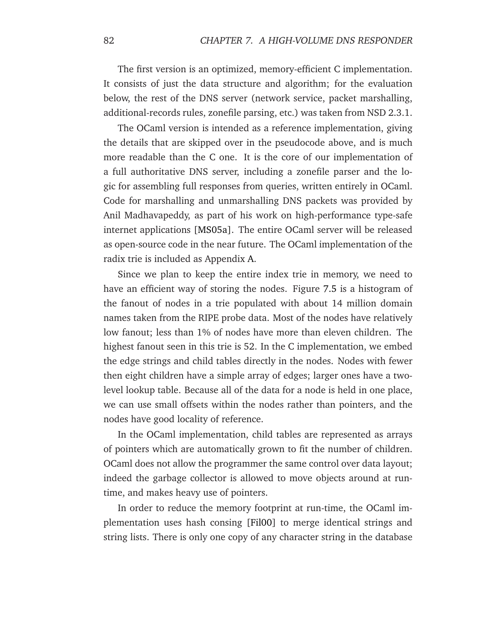The first version is an optimized, memory-efficient C implementation. It consists of just the data structure and algorithm; for the evaluation below, the rest of the DNS server (network service, packet marshalling, additional-records rules, zonefile parsing, etc.) was taken from NSD 2.3.1.

The OCaml version is intended as a reference implementation, giving the details that are skipped over in the pseudocode above, and is much more readable than the C one. It is the core of our implementation of a full authoritative DNS server, including a zonefile parser and the logic for assembling full responses from queries, written entirely in OCaml. Code for marshalling and unmarshalling DNS packets was provided by Anil Madhavapeddy, as part of his work on high-performance type-safe internet applications [\[MS05a\]](#page-149-1). The entire OCaml server will be released as open-source code in the near future. The OCaml implementation of the radix trie is included as Appendix [A.](#page-120-0)

Since we plan to keep the entire index trie in memory, we need to have an efficient way of storing the nodes. Figure [7.5](#page-94-0) is a histogram of the fanout of nodes in a trie populated with about 14 million domain names taken from the RIPE probe data. Most of the nodes have relatively low fanout; less than 1% of nodes have more than eleven children. The highest fanout seen in this trie is 52. In the C implementation, we embed the edge strings and child tables directly in the nodes. Nodes with fewer then eight children have a simple array of edges; larger ones have a twolevel lookup table. Because all of the data for a node is held in one place, we can use small offsets within the nodes rather than pointers, and the nodes have good locality of reference.

In the OCaml implementation, child tables are represented as arrays of pointers which are automatically grown to fit the number of children. OCaml does not allow the programmer the same control over data layout; indeed the garbage collector is allowed to move objects around at runtime, and makes heavy use of pointers.

In order to reduce the memory footprint at run-time, the OCaml implementation uses hash consing [\[Fil00\]](#page-145-0) to merge identical strings and string lists. There is only one copy of any character string in the database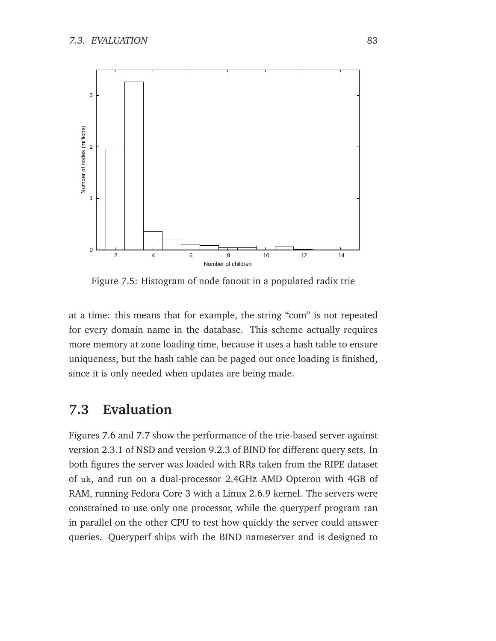

<span id="page-94-0"></span>Figure 7.5: Histogram of node fanout in a populated radix trie

at a time: this means that for example, the string "com" is not repeated for every domain name in the database. This scheme actually requires more memory at zone loading time, because it uses a hash table to ensure uniqueness, but the hash table can be paged out once loading is finished, since it is only needed when updates are being made.

### **7.3 Evaluation**

Figures [7.6](#page-95-0) and [7.7](#page-95-1) show the performance of the trie-based server against version 2.3.1 of NSD and version 9.2.3 of BIND for different query sets. In both figures the server was loaded with RRs taken from the RIPE dataset of uk, and run on a dual-processor 2.4GHz AMD Opteron with 4GB of RAM, running Fedora Core 3 with a Linux 2.6.9 kernel. The servers were constrained to use only one processor, while the queryperf program ran in parallel on the other CPU to test how quickly the server could answer queries. Queryperf ships with the BIND nameserver and is designed to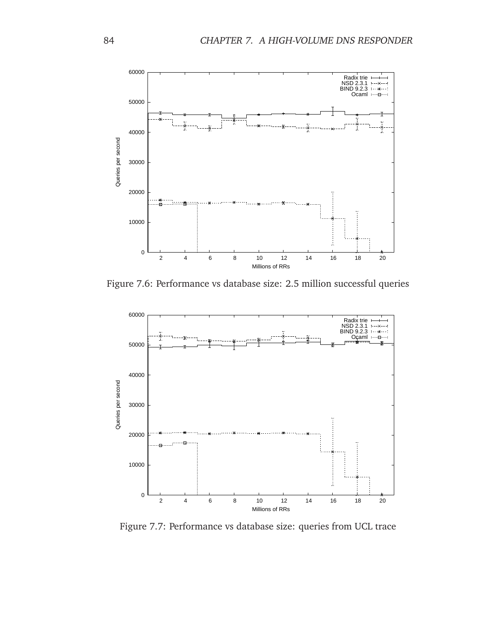

<span id="page-95-0"></span>Figure 7.6: Performance vs database size: 2.5 million successful queries



<span id="page-95-1"></span>Figure 7.7: Performance vs database size: queries from UCL trace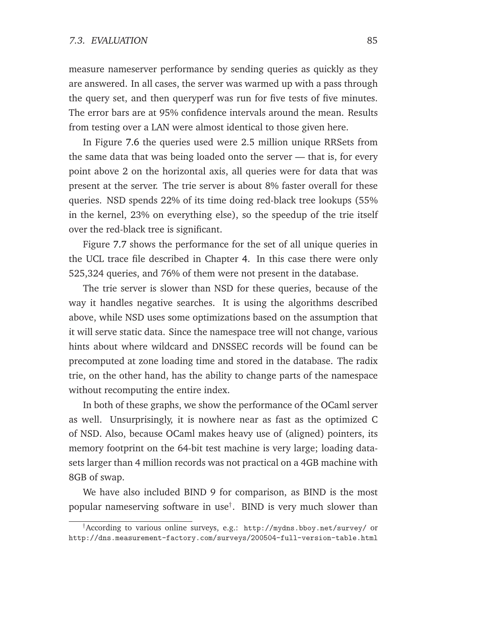measure nameserver performance by sending queries as quickly as they are answered. In all cases, the server was warmed up with a pass through the query set, and then queryperf was run for five tests of five minutes. The error bars are at 95% confidence intervals around the mean. Results from testing over a LAN were almost identical to those given here.

In Figure [7.6](#page-95-0) the queries used were 2.5 million unique RRSets from the same data that was being loaded onto the server — that is, for every point above 2 on the horizontal axis, all queries were for data that was present at the server. The trie server is about 8% faster overall for these queries. NSD spends 22% of its time doing red-black tree lookups (55% in the kernel, 23% on everything else), so the speedup of the trie itself over the red-black tree is significant.

Figure [7.7](#page-95-1) shows the performance for the set of all unique queries in the UCL trace file described in Chapter [4.](#page-42-0) In this case there were only 525,324 queries, and 76% of them were not present in the database.

The trie server is slower than NSD for these queries, because of the way it handles negative searches. It is using the algorithms described above, while NSD uses some optimizations based on the assumption that it will serve static data. Since the namespace tree will not change, various hints about where wildcard and DNSSEC records will be found can be precomputed at zone loading time and stored in the database. The radix trie, on the other hand, has the ability to change parts of the namespace without recomputing the entire index.

In both of these graphs, we show the performance of the OCaml server as well. Unsurprisingly, it is nowhere near as fast as the optimized C of NSD. Also, because OCaml makes heavy use of (aligned) pointers, its memory footprint on the 64-bit test machine is very large; loading datasets larger than 4 million records was not practical on a 4GB machine with 8GB of swap.

We have also included BIND 9 for comparison, as BIND is the most popular nameserving software in use† . BIND is very much slower than

<sup>†</sup>According to various online surveys, e.g.: http://mydns.bboy.net/survey/ or http://dns.measurement-factory.com/surveys/200504-full-version-table.html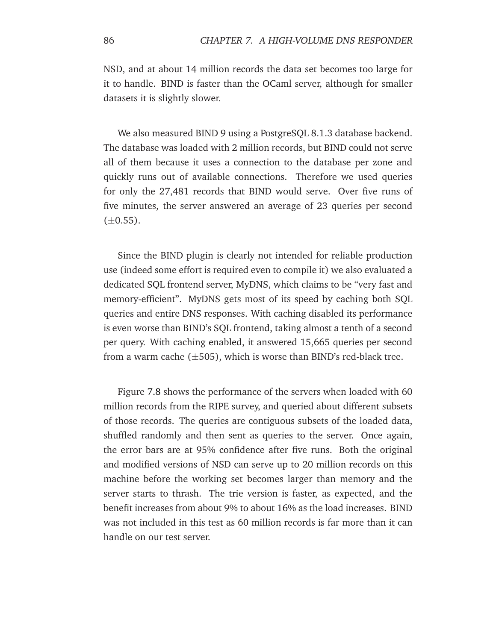NSD, and at about 14 million records the data set becomes too large for it to handle. BIND is faster than the OCaml server, although for smaller datasets it is slightly slower.

We also measured BIND 9 using a PostgreSQL 8.1.3 database backend. The database was loaded with 2 million records, but BIND could not serve all of them because it uses a connection to the database per zone and quickly runs out of available connections. Therefore we used queries for only the 27,481 records that BIND would serve. Over five runs of five minutes, the server answered an average of 23 queries per second  $(\pm 0.55)$ .

Since the BIND plugin is clearly not intended for reliable production use (indeed some effort is required even to compile it) we also evaluated a dedicated SQL frontend server, MyDNS, which claims to be "very fast and memory-efficient". MyDNS gets most of its speed by caching both SQL queries and entire DNS responses. With caching disabled its performance is even worse than BIND's SQL frontend, taking almost a tenth of a second per query. With caching enabled, it answered 15,665 queries per second from a warm cache  $(\pm 505)$ , which is worse than BIND's red-black tree.

Figure [7.8](#page-98-0) shows the performance of the servers when loaded with 60 million records from the RIPE survey, and queried about different subsets of those records. The queries are contiguous subsets of the loaded data, shuffled randomly and then sent as queries to the server. Once again, the error bars are at 95% confidence after five runs. Both the original and modified versions of NSD can serve up to 20 million records on this machine before the working set becomes larger than memory and the server starts to thrash. The trie version is faster, as expected, and the benefit increases from about 9% to about 16% as the load increases. BIND was not included in this test as 60 million records is far more than it can handle on our test server.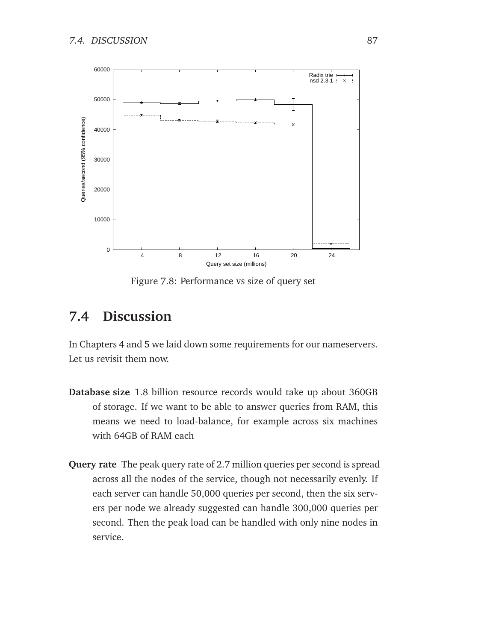

<span id="page-98-0"></span>Figure 7.8: Performance vs size of query set

## **7.4 Discussion**

In Chapters [4](#page-42-0) and [5](#page-60-0) we laid down some requirements for our nameservers. Let us revisit them now.

- **Database size** 1.8 billion resource records would take up about 360GB of storage. If we want to be able to answer queries from RAM, this means we need to load-balance, for example across six machines with 64GB of RAM each
- **Query rate** The peak query rate of 2.7 million queries per second is spread across all the nodes of the service, though not necessarily evenly. If each server can handle 50,000 queries per second, then the six servers per node we already suggested can handle 300,000 queries per second. Then the peak load can be handled with only nine nodes in service.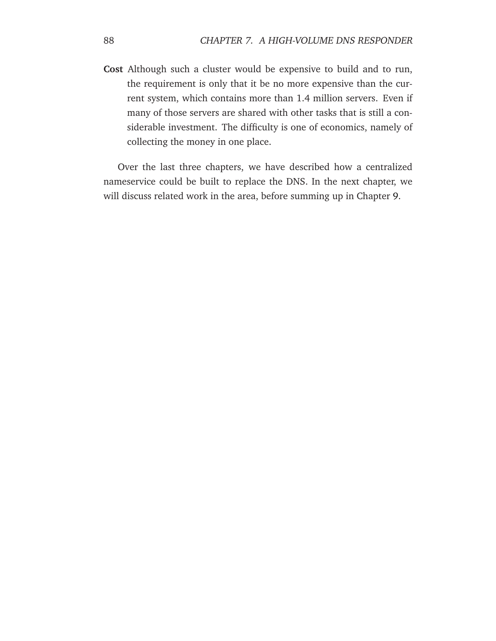**Cost** Although such a cluster would be expensive to build and to run, the requirement is only that it be no more expensive than the current system, which contains more than 1.4 million servers. Even if many of those servers are shared with other tasks that is still a considerable investment. The difficulty is one of economics, namely of collecting the money in one place.

Over the last three chapters, we have described how a centralized nameservice could be built to replace the DNS. In the next chapter, we will discuss related work in the area, before summing up in Chapter [9.](#page-114-0)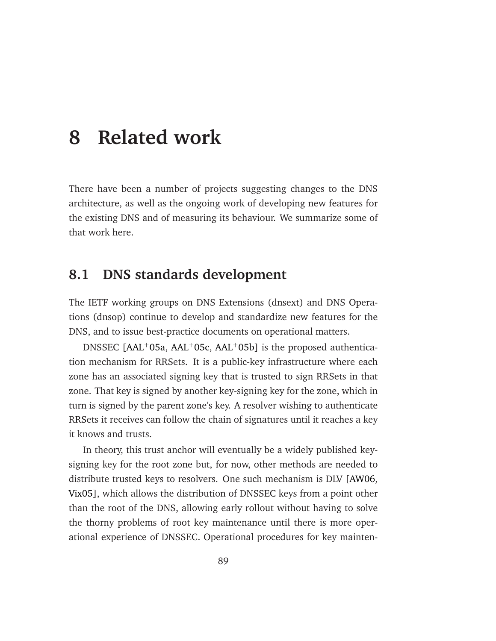## **8 Related work**

There have been a number of projects suggesting changes to the DNS architecture, as well as the ongoing work of developing new features for the existing DNS and of measuring its behaviour. We summarize some of that work here.

### **8.1 DNS standards development**

The IETF working groups on DNS Extensions (dnsext) and DNS Operations (dnsop) continue to develop and standardize new features for the DNS, and to issue best-practice documents on operational matters.

DNSSEC  $[AAL^+05a, AAL^+05c, AAL^+05b]$  $[AAL^+05a, AAL^+05c, AAL^+05b]$  $[AAL^+05a, AAL^+05c, AAL^+05b]$  $[AAL^+05a, AAL^+05c, AAL^+05b]$  is the proposed authentication mechanism for RRSets. It is a public-key infrastructure where each zone has an associated signing key that is trusted to sign RRSets in that zone. That key is signed by another key-signing key for the zone, which in turn is signed by the parent zone's key. A resolver wishing to authenticate RRSets it receives can follow the chain of signatures until it reaches a key it knows and trusts.

In theory, this trust anchor will eventually be a widely published keysigning key for the root zone but, for now, other methods are needed to distribute trusted keys to resolvers. One such mechanism is DLV [\[AW06,](#page-141-2) [Vix05\]](#page-152-2), which allows the distribution of DNSSEC keys from a point other than the root of the DNS, allowing early rollout without having to solve the thorny problems of root key maintenance until there is more operational experience of DNSSEC. Operational procedures for key mainten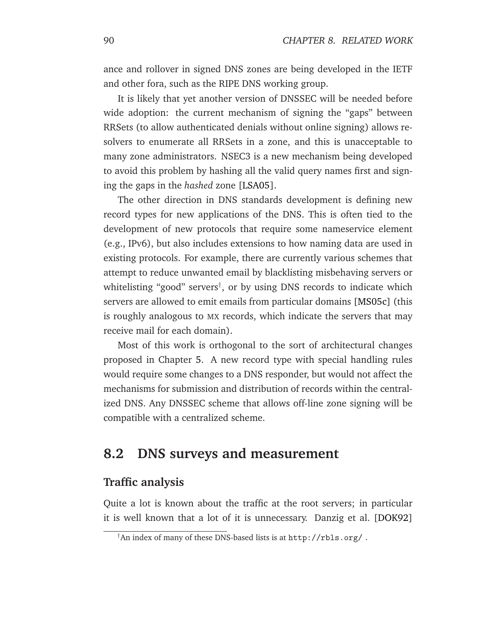ance and rollover in signed DNS zones are being developed in the IETF and other fora, such as the RIPE DNS working group.

It is likely that yet another version of DNSSEC will be needed before wide adoption: the current mechanism of signing the "gaps" between RRSets (to allow authenticated denials without online signing) allows resolvers to enumerate all RRSets in a zone, and this is unacceptable to many zone administrators. NSEC3 is a new mechanism being developed to avoid this problem by hashing all the valid query names first and signing the gaps in the *hashed* zone [\[LSA05\]](#page-147-2).

The other direction in DNS standards development is defining new record types for new applications of the DNS. This is often tied to the development of new protocols that require some nameservice element (e.g., IPv6), but also includes extensions to how naming data are used in existing protocols. For example, there are currently various schemes that attempt to reduce unwanted email by blacklisting misbehaving servers or whitelisting "good" servers† , or by using DNS records to indicate which servers are allowed to emit emails from particular domains [\[MS05c\]](#page-149-2) (this is roughly analogous to MX records, which indicate the servers that may receive mail for each domain).

Most of this work is orthogonal to the sort of architectural changes proposed in Chapter [5.](#page-60-0) A new record type with special handling rules would require some changes to a DNS responder, but would not affect the mechanisms for submission and distribution of records within the centralized DNS. Any DNSSEC scheme that allows off-line zone signing will be compatible with a centralized scheme.

#### **8.2 DNS surveys and measurement**

#### **Traffic analysis**

Quite a lot is known about the traffic at the root servers; in particular it is well known that a lot of it is unnecessary. Danzig et al. [\[DOK92\]](#page-144-0)

<sup>†</sup>An index of many of these DNS-based lists is at http://rbls.org/ .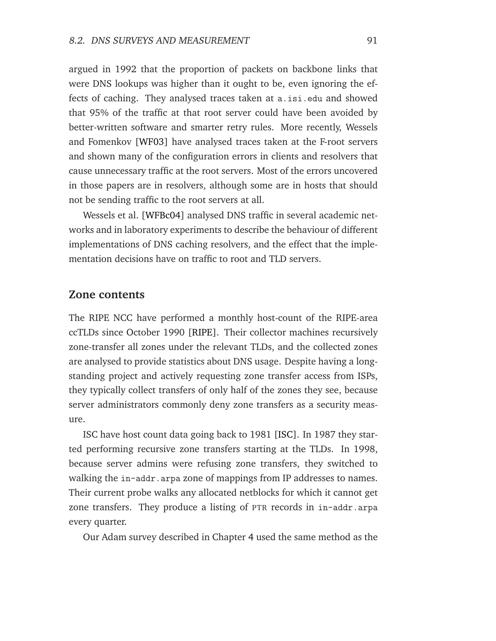argued in 1992 that the proportion of packets on backbone links that were DNS lookups was higher than it ought to be, even ignoring the effects of caching. They analysed traces taken at a.isi.edu and showed that 95% of the traffic at that root server could have been avoided by better-written software and smarter retry rules. More recently, Wessels and Fomenkov [\[WF03\]](#page-153-1) have analysed traces taken at the F-root servers and shown many of the configuration errors in clients and resolvers that cause unnecessary traffic at the root servers. Most of the errors uncovered in those papers are in resolvers, although some are in hosts that should not be sending traffic to the root servers at all.

Wessels et al. [\[WFBc04\]](#page-153-2) analysed DNS traffic in several academic networks and in laboratory experiments to describe the behaviour of different implementations of DNS caching resolvers, and the effect that the implementation decisions have on traffic to root and TLD servers.

#### **Zone contents**

The RIPE NCC have performed a monthly host-count of the RIPE-area ccTLDs since October 1990 [\[RIPE\]](#page-151-1). Their collector machines recursively zone-transfer all zones under the relevant TLDs, and the collected zones are analysed to provide statistics about DNS usage. Despite having a longstanding project and actively requesting zone transfer access from ISPs, they typically collect transfers of only half of the zones they see, because server administrators commonly deny zone transfers as a security measure.

ISC have host count data going back to 1981 [\[ISC\]](#page-146-2). In 1987 they started performing recursive zone transfers starting at the TLDs. In 1998, because server admins were refusing zone transfers, they switched to walking the in-addr.arpa zone of mappings from IP addresses to names. Their current probe walks any allocated netblocks for which it cannot get zone transfers. They produce a listing of PTR records in in-addr.arpa every quarter.

Our Adam survey described in Chapter [4](#page-42-0) used the same method as the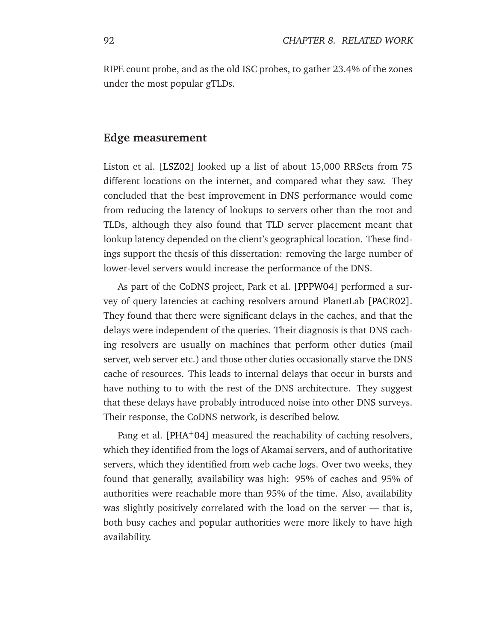RIPE count probe, and as the old ISC probes, to gather 23.4% of the zones under the most popular gTLDs.

#### **Edge measurement**

Liston et al. [\[LSZ02\]](#page-147-3) looked up a list of about 15,000 RRSets from 75 different locations on the internet, and compared what they saw. They concluded that the best improvement in DNS performance would come from reducing the latency of lookups to servers other than the root and TLDs, although they also found that TLD server placement meant that lookup latency depended on the client's geographical location. These findings support the thesis of this dissertation: removing the large number of lower-level servers would increase the performance of the DNS.

As part of the CoDNS project, Park et al. [\[PPPW04\]](#page-150-0) performed a survey of query latencies at caching resolvers around PlanetLab [\[PACR02\]](#page-149-3). They found that there were significant delays in the caches, and that the delays were independent of the queries. Their diagnosis is that DNS caching resolvers are usually on machines that perform other duties (mail server, web server etc.) and those other duties occasionally starve the DNS cache of resources. This leads to internal delays that occur in bursts and have nothing to to with the rest of the DNS architecture. They suggest that these delays have probably introduced noise into other DNS surveys. Their response, the CoDNS network, is described below.

Pang et al. [\[PHA](#page-150-1)+04] measured the reachability of caching resolvers, which they identified from the logs of Akamai servers, and of authoritative servers, which they identified from web cache logs. Over two weeks, they found that generally, availability was high: 95% of caches and 95% of authorities were reachable more than 95% of the time. Also, availability was slightly positively correlated with the load on the server — that is, both busy caches and popular authorities were more likely to have high availability.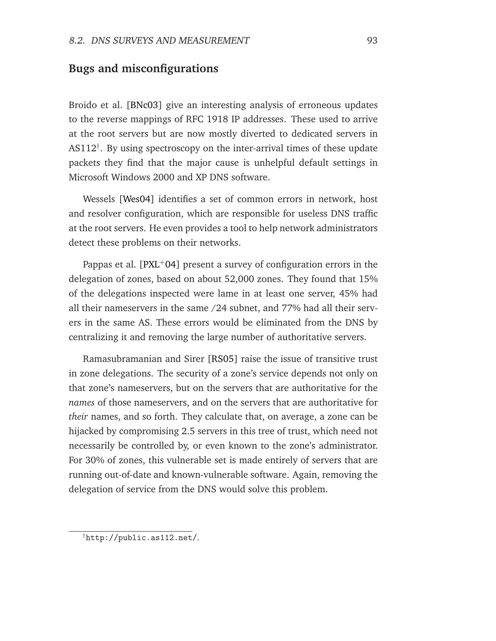#### **Bugs and misconfigurations**

Broido et al. [\[BNc03\]](#page-142-1) give an interesting analysis of erroneous updates to the reverse mappings of RFC 1918 IP addresses. These used to arrive at the root servers but are now mostly diverted to dedicated servers in AS112<sup>†</sup>. By using spectroscopy on the inter-arrival times of these update packets they find that the major cause is unhelpful default settings in Microsoft Windows 2000 and XP DNS software.

Wessels [\[Wes04\]](#page-153-3) identifies a set of common errors in network, host and resolver configuration, which are responsible for useless DNS traffic at the root servers. He even provides a tool to help network administrators detect these problems on their networks.

Pappas et al.  $[PXL+04]$  $[PXL+04]$  present a survey of configuration errors in the delegation of zones, based on about 52,000 zones. They found that 15% of the delegations inspected were lame in at least one server, 45% had all their nameservers in the same /24 subnet, and 77% had all their servers in the same AS. These errors would be eliminated from the DNS by centralizing it and removing the large number of authoritative servers.

Ramasubramanian and Sirer [\[RS05\]](#page-151-2) raise the issue of transitive trust in zone delegations. The security of a zone's service depends not only on that zone's nameservers, but on the servers that are authoritative for the *names* of those nameservers, and on the servers that are authoritative for *their* names, and so forth. They calculate that, on average, a zone can be hijacked by compromising 2.5 servers in this tree of trust, which need not necessarily be controlled by, or even known to the zone's administrator. For 30% of zones, this vulnerable set is made entirely of servers that are running out-of-date and known-vulnerable software. Again, removing the delegation of service from the DNS would solve this problem.

<sup>†</sup>http://public.as112.net/.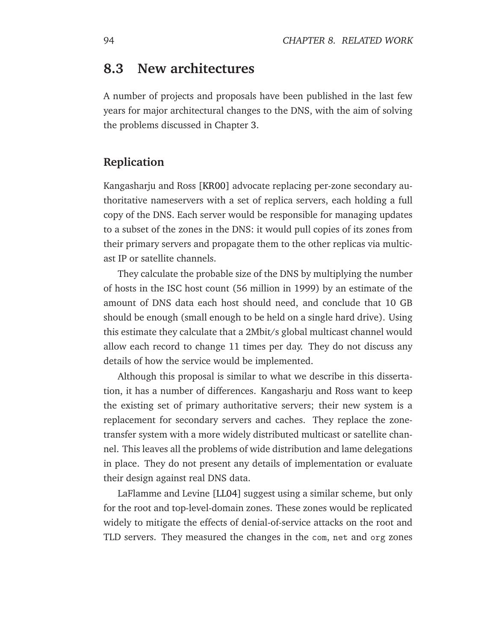## **8.3 New architectures**

A number of projects and proposals have been published in the last few years for major architectural changes to the DNS, with the aim of solving the problems discussed in Chapter [3.](#page-34-0)

#### **Replication**

Kangasharju and Ross [\[KR00\]](#page-147-4) advocate replacing per-zone secondary authoritative nameservers with a set of replica servers, each holding a full copy of the DNS. Each server would be responsible for managing updates to a subset of the zones in the DNS: it would pull copies of its zones from their primary servers and propagate them to the other replicas via multicast IP or satellite channels.

They calculate the probable size of the DNS by multiplying the number of hosts in the ISC host count (56 million in 1999) by an estimate of the amount of DNS data each host should need, and conclude that 10 GB should be enough (small enough to be held on a single hard drive). Using this estimate they calculate that a 2Mbit/s global multicast channel would allow each record to change 11 times per day. They do not discuss any details of how the service would be implemented.

Although this proposal is similar to what we describe in this dissertation, it has a number of differences. Kangasharju and Ross want to keep the existing set of primary authoritative servers; their new system is a replacement for secondary servers and caches. They replace the zonetransfer system with a more widely distributed multicast or satellite channel. This leaves all the problems of wide distribution and lame delegations in place. They do not present any details of implementation or evaluate their design against real DNS data.

LaFlamme and Levine [\[LL04\]](#page-147-5) suggest using a similar scheme, but only for the root and top-level-domain zones. These zones would be replicated widely to mitigate the effects of denial-of-service attacks on the root and TLD servers. They measured the changes in the com, net and org zones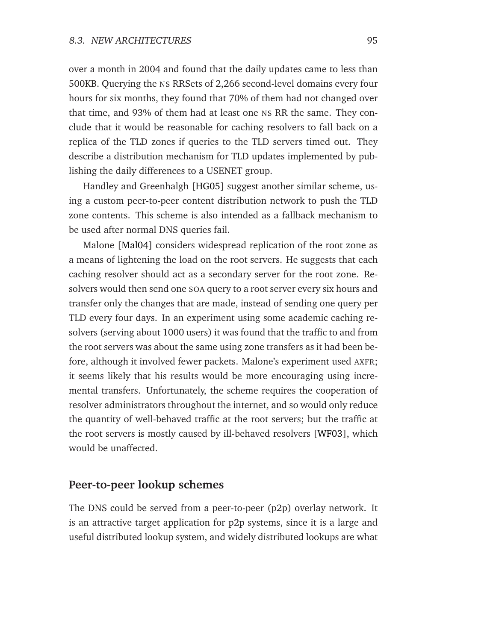over a month in 2004 and found that the daily updates came to less than 500KB. Querying the NS RRSets of 2,266 second-level domains every four hours for six months, they found that 70% of them had not changed over that time, and 93% of them had at least one NS RR the same. They conclude that it would be reasonable for caching resolvers to fall back on a replica of the TLD zones if queries to the TLD servers timed out. They describe a distribution mechanism for TLD updates implemented by publishing the daily differences to a USENET group.

Handley and Greenhalgh [\[HG05\]](#page-145-1) suggest another similar scheme, using a custom peer-to-peer content distribution network to push the TLD zone contents. This scheme is also intended as a fallback mechanism to be used after normal DNS queries fail.

Malone [\[Mal04\]](#page-148-1) considers widespread replication of the root zone as a means of lightening the load on the root servers. He suggests that each caching resolver should act as a secondary server for the root zone. Resolvers would then send one SOA query to a root server every six hours and transfer only the changes that are made, instead of sending one query per TLD every four days. In an experiment using some academic caching resolvers (serving about 1000 users) it was found that the traffic to and from the root servers was about the same using zone transfers as it had been before, although it involved fewer packets. Malone's experiment used AXFR; it seems likely that his results would be more encouraging using incremental transfers. Unfortunately, the scheme requires the cooperation of resolver administrators throughout the internet, and so would only reduce the quantity of well-behaved traffic at the root servers; but the traffic at the root servers is mostly caused by ill-behaved resolvers [\[WF03\]](#page-153-1), which would be unaffected.

#### **Peer-to-peer lookup schemes**

The DNS could be served from a peer-to-peer (p2p) overlay network. It is an attractive target application for p2p systems, since it is a large and useful distributed lookup system, and widely distributed lookups are what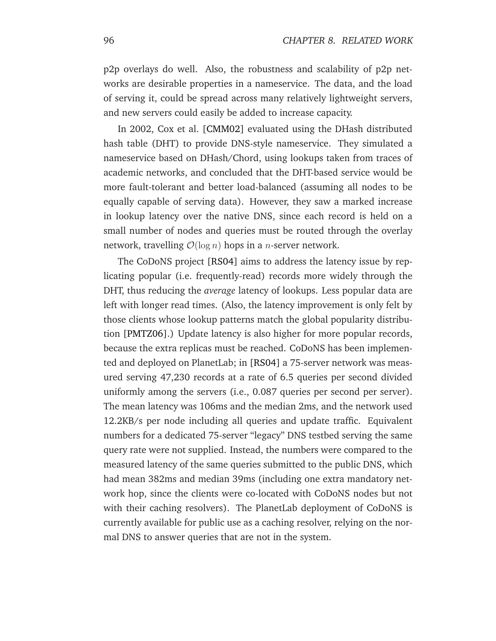p2p overlays do well. Also, the robustness and scalability of p2p networks are desirable properties in a nameservice. The data, and the load of serving it, could be spread across many relatively lightweight servers, and new servers could easily be added to increase capacity.

In 2002, Cox et al. [\[CMM02\]](#page-143-2) evaluated using the DHash distributed hash table (DHT) to provide DNS-style nameservice. They simulated a nameservice based on DHash/Chord, using lookups taken from traces of academic networks, and concluded that the DHT-based service would be more fault-tolerant and better load-balanced (assuming all nodes to be equally capable of serving data). However, they saw a marked increase in lookup latency over the native DNS, since each record is held on a small number of nodes and queries must be routed through the overlay network, travelling  $\mathcal{O}(\log n)$  hops in a *n*-server network.

The CoDoNS project [\[RS04\]](#page-151-3) aims to address the latency issue by replicating popular (i.e. frequently-read) records more widely through the DHT, thus reducing the *average* latency of lookups. Less popular data are left with longer read times. (Also, the latency improvement is only felt by those clients whose lookup patterns match the global popularity distribution [\[PMTZ06\]](#page-150-3).) Update latency is also higher for more popular records, because the extra replicas must be reached. CoDoNS has been implemented and deployed on PlanetLab; in [\[RS04\]](#page-151-3) a 75-server network was measured serving 47,230 records at a rate of 6.5 queries per second divided uniformly among the servers (i.e., 0.087 queries per second per server). The mean latency was 106ms and the median 2ms, and the network used 12.2KB/s per node including all queries and update traffic. Equivalent numbers for a dedicated 75-server "legacy" DNS testbed serving the same query rate were not supplied. Instead, the numbers were compared to the measured latency of the same queries submitted to the public DNS, which had mean 382ms and median 39ms (including one extra mandatory network hop, since the clients were co-located with CoDoNS nodes but not with their caching resolvers). The PlanetLab deployment of CoDoNS is currently available for public use as a caching resolver, relying on the normal DNS to answer queries that are not in the system.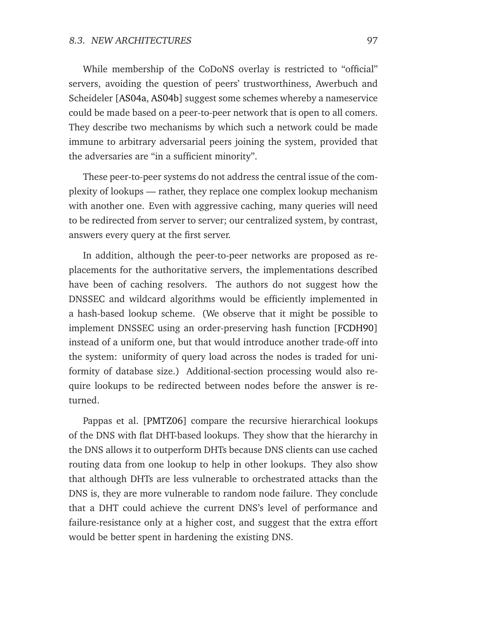<span id="page-108-0"></span>While membership of the CoDoNS overlay is restricted to "official" servers, avoiding the question of peers' trustworthiness, Awerbuch and Scheideler [\[AS04a,](#page-140-0) [AS04b\]](#page-141-0) suggest some schemes whereby a nameservice could be made based on a peer-to-peer network that is open to all comers. They describe two mechanisms by which such a network could be made immune to arbitrary adversarial peers joining the system, provided that the adversaries are "in a sufficient minority".

These peer-to-peer systems do not address the central issue of the complexity of lookups — rather, they replace one complex lookup mechanism with another one. Even with aggressive caching, many queries will need to be redirected from server to server; our centralized system, by contrast, answers every query at the first server.

In addition, although the peer-to-peer networks are proposed as replacements for the authoritative servers, the implementations described have been of caching resolvers. The authors do not suggest how the DNSSEC and wildcard algorithms would be efficiently implemented in a hash-based lookup scheme. (We observe that it might be possible to implement DNSSEC using an order-preserving hash function [\[FCDH90\]](#page-145-0) instead of a uniform one, but that would introduce another trade-off into the system: uniformity of query load across the nodes is traded for uniformity of database size.) Additional-section processing would also require lookups to be redirected between nodes before the answer is returned.

Pappas et al. [\[PMTZ06\]](#page-150-0) compare the recursive hierarchical lookups of the DNS with flat DHT-based lookups. They show that the hierarchy in the DNS allows it to outperform DHTs because DNS clients can use cached routing data from one lookup to help in other lookups. They also show that although DHTs are less vulnerable to orchestrated attacks than the DNS is, they are more vulnerable to random node failure. They conclude that a DHT could achieve the current DNS's level of performance and failure-resistance only at a higher cost, and suggest that the extra effort would be better spent in hardening the existing DNS.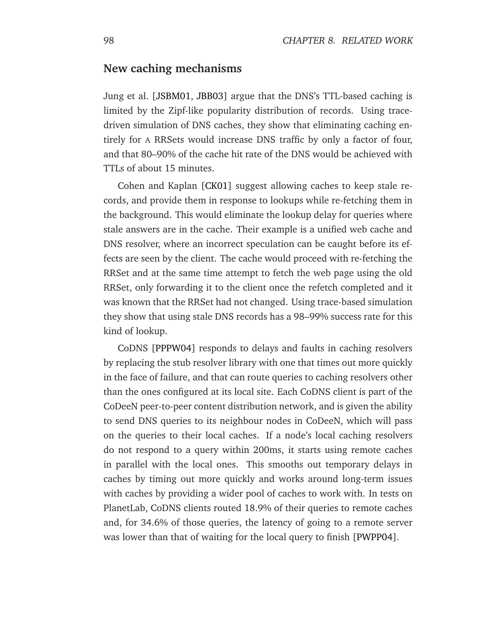#### <span id="page-109-0"></span>**New caching mechanisms**

Jung et al. [\[JSBM01,](#page-146-0) [JBB03\]](#page-146-1) argue that the DNS's TTL-based caching is limited by the Zipf-like popularity distribution of records. Using tracedriven simulation of DNS caches, they show that eliminating caching entirely for A RRSets would increase DNS traffic by only a factor of four, and that 80–90% of the cache hit rate of the DNS would be achieved with TTLs of about 15 minutes.

Cohen and Kaplan [\[CK01\]](#page-143-0) suggest allowing caches to keep stale records, and provide them in response to lookups while re-fetching them in the background. This would eliminate the lookup delay for queries where stale answers are in the cache. Their example is a unified web cache and DNS resolver, where an incorrect speculation can be caught before its effects are seen by the client. The cache would proceed with re-fetching the RRSet and at the same time attempt to fetch the web page using the old RRSet, only forwarding it to the client once the refetch completed and it was known that the RRSet had not changed. Using trace-based simulation they show that using stale DNS records has a 98–99% success rate for this kind of lookup.

CoDNS [\[PPPW04\]](#page-150-1) responds to delays and faults in caching resolvers by replacing the stub resolver library with one that times out more quickly in the face of failure, and that can route queries to caching resolvers other than the ones configured at its local site. Each CoDNS client is part of the CoDeeN peer-to-peer content distribution network, and is given the ability to send DNS queries to its neighbour nodes in CoDeeN, which will pass on the queries to their local caches. If a node's local caching resolvers do not respond to a query within 200ms, it starts using remote caches in parallel with the local ones. This smooths out temporary delays in caches by timing out more quickly and works around long-term issues with caches by providing a wider pool of caches to work with. In tests on PlanetLab, CoDNS clients routed 18.9% of their queries to remote caches and, for 34.6% of those queries, the latency of going to a remote server was lower than that of waiting for the local query to finish [\[PWPP04\]](#page-150-2).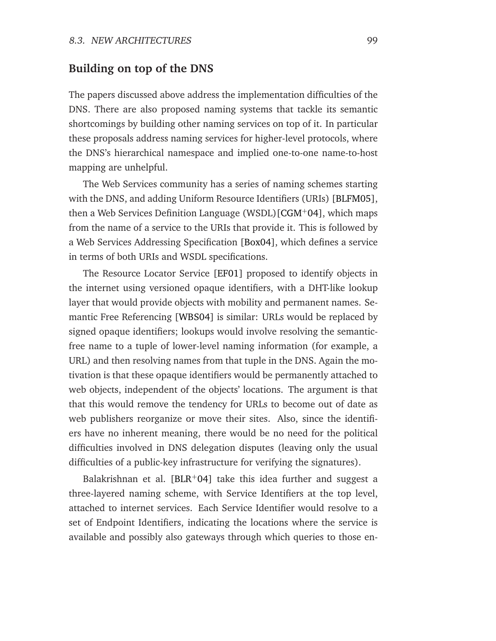#### <span id="page-110-0"></span>**Building on top of the DNS**

The papers discussed above address the implementation difficulties of the DNS. There are also proposed naming systems that tackle its semantic shortcomings by building other naming services on top of it. In particular these proposals address naming services for higher-level protocols, where the DNS's hierarchical namespace and implied one-to-one name-to-host mapping are unhelpful.

The Web Services community has a series of naming schemes starting with the DNS, and adding Uniform Resource Identifiers (URIs) [\[BLFM05\]](#page-141-1), then a Web Services Definition Language (WSDL)[\[CGM](#page-142-0)<sup>+</sup>04], which maps from the name of a service to the URIs that provide it. This is followed by a Web Services Addressing Specification [\[Box04\]](#page-142-1), which defines a service in terms of both URIs and WSDL specifications.

The Resource Locator Service [\[EF01\]](#page-144-0) proposed to identify objects in the internet using versioned opaque identifiers, with a DHT-like lookup layer that would provide objects with mobility and permanent names. Semantic Free Referencing [\[WBS04\]](#page-153-0) is similar: URLs would be replaced by signed opaque identifiers; lookups would involve resolving the semanticfree name to a tuple of lower-level naming information (for example, a URL) and then resolving names from that tuple in the DNS. Again the motivation is that these opaque identifiers would be permanently attached to web objects, independent of the objects' locations. The argument is that that this would remove the tendency for URLs to become out of date as web publishers reorganize or move their sites. Also, since the identifiers have no inherent meaning, there would be no need for the political difficulties involved in DNS delegation disputes (leaving only the usual difficulties of a public-key infrastructure for verifying the signatures).

Balakrishnan et al.  $[BLR+04]$  $[BLR+04]$  take this idea further and suggest a three-layered naming scheme, with Service Identifiers at the top level, attached to internet services. Each Service Identifier would resolve to a set of Endpoint Identifiers, indicating the locations where the service is available and possibly also gateways through which queries to those en-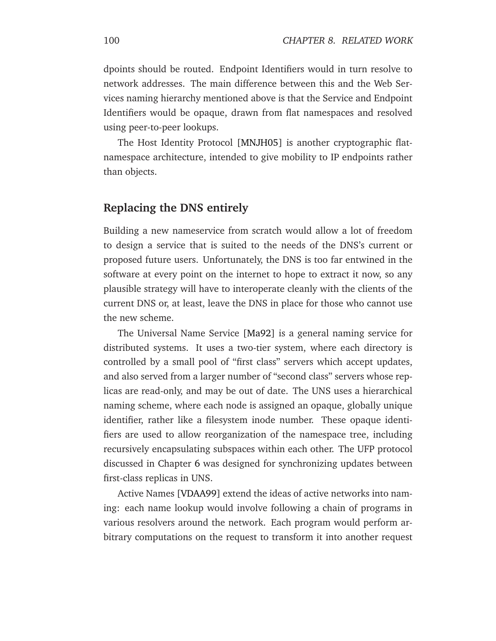dpoints should be routed. Endpoint Identifiers would in turn resolve to network addresses. The main difference between this and the Web Services naming hierarchy mentioned above is that the Service and Endpoint Identifiers would be opaque, drawn from flat namespaces and resolved using peer-to-peer lookups.

The Host Identity Protocol [\[MNJH05\]](#page-148-0) is another cryptographic flatnamespace architecture, intended to give mobility to IP endpoints rather than objects.

#### **Replacing the DNS entirely**

Building a new nameservice from scratch would allow a lot of freedom to design a service that is suited to the needs of the DNS's current or proposed future users. Unfortunately, the DNS is too far entwined in the software at every point on the internet to hope to extract it now, so any plausible strategy will have to interoperate cleanly with the clients of the current DNS or, at least, leave the DNS in place for those who cannot use the new scheme.

The Universal Name Service [\[Ma92\]](#page-148-1) is a general naming service for distributed systems. It uses a two-tier system, where each directory is controlled by a small pool of "first class" servers which accept updates, and also served from a larger number of "second class" servers whose replicas are read-only, and may be out of date. The UNS uses a hierarchical naming scheme, where each node is assigned an opaque, globally unique identifier, rather like a filesystem inode number. These opaque identifiers are used to allow reorganization of the namespace tree, including recursively encapsulating subspaces within each other. The UFP protocol discussed in Chapter [6](#page-72-0) was designed for synchronizing updates between first-class replicas in UNS.

Active Names [\[VDAA99\]](#page-152-0) extend the ideas of active networks into naming: each name lookup would involve following a chain of programs in various resolvers around the network. Each program would perform arbitrary computations on the request to transform it into another request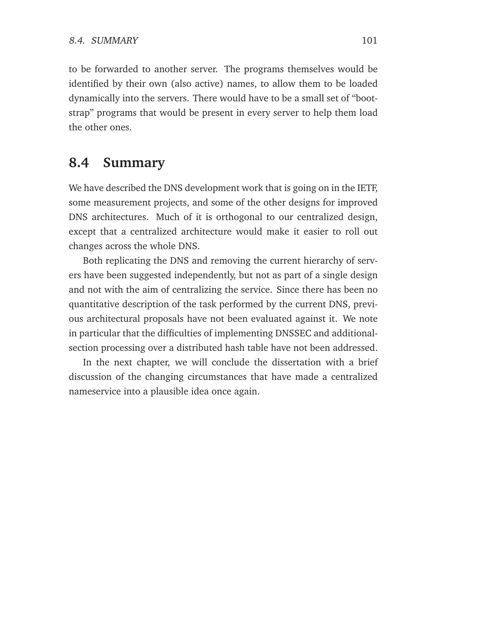to be forwarded to another server. The programs themselves would be identified by their own (also active) names, to allow them to be loaded dynamically into the servers. There would have to be a small set of "bootstrap" programs that would be present in every server to help them load the other ones.

### **8.4 Summary**

We have described the DNS development work that is going on in the IETF, some measurement projects, and some of the other designs for improved DNS architectures. Much of it is orthogonal to our centralized design, except that a centralized architecture would make it easier to roll out changes across the whole DNS.

Both replicating the DNS and removing the current hierarchy of servers have been suggested independently, but not as part of a single design and not with the aim of centralizing the service. Since there has been no quantitative description of the task performed by the current DNS, previous architectural proposals have not been evaluated against it. We note in particular that the difficulties of implementing DNSSEC and additionalsection processing over a distributed hash table have not been addressed.

In the next chapter, we will conclude the dissertation with a brief discussion of the changing circumstances that have made a centralized nameservice into a plausible idea once again.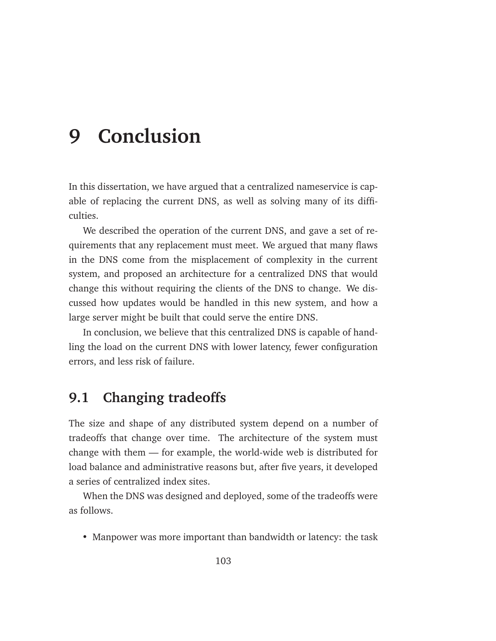## **9 Conclusion**

In this dissertation, we have argued that a centralized nameservice is capable of replacing the current DNS, as well as solving many of its difficulties.

We described the operation of the current DNS, and gave a set of requirements that any replacement must meet. We argued that many flaws in the DNS come from the misplacement of complexity in the current system, and proposed an architecture for a centralized DNS that would change this without requiring the clients of the DNS to change. We discussed how updates would be handled in this new system, and how a large server might be built that could serve the entire DNS.

In conclusion, we believe that this centralized DNS is capable of handling the load on the current DNS with lower latency, fewer configuration errors, and less risk of failure.

### **9.1 Changing tradeoffs**

The size and shape of any distributed system depend on a number of tradeoffs that change over time. The architecture of the system must change with them — for example, the world-wide web is distributed for load balance and administrative reasons but, after five years, it developed a series of centralized index sites.

When the DNS was designed and deployed, some of the tradeoffs were as follows.

• Manpower was more important than bandwidth or latency: the task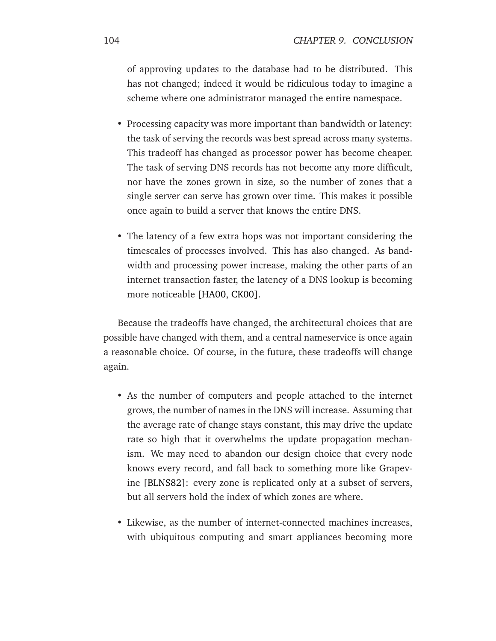<span id="page-115-0"></span>of approving updates to the database had to be distributed. This has not changed; indeed it would be ridiculous today to imagine a scheme where one administrator managed the entire namespace.

- Processing capacity was more important than bandwidth or latency: the task of serving the records was best spread across many systems. This tradeoff has changed as processor power has become cheaper. The task of serving DNS records has not become any more difficult, nor have the zones grown in size, so the number of zones that a single server can serve has grown over time. This makes it possible once again to build a server that knows the entire DNS.
- The latency of a few extra hops was not important considering the timescales of processes involved. This has also changed. As bandwidth and processing power increase, making the other parts of an internet transaction faster, the latency of a DNS lookup is becoming more noticeable [\[HA00,](#page-145-1) [CK00\]](#page-143-1).

Because the tradeoffs have changed, the architectural choices that are possible have changed with them, and a central nameservice is once again a reasonable choice. Of course, in the future, these tradeoffs will change again.

- As the number of computers and people attached to the internet grows, the number of names in the DNS will increase. Assuming that the average rate of change stays constant, this may drive the update rate so high that it overwhelms the update propagation mechanism. We may need to abandon our design choice that every node knows every record, and fall back to something more like Grapevine [\[BLNS82\]](#page-141-2): every zone is replicated only at a subset of servers, but all servers hold the index of which zones are where.
- Likewise, as the number of internet-connected machines increases, with ubiquitous computing and smart appliances becoming more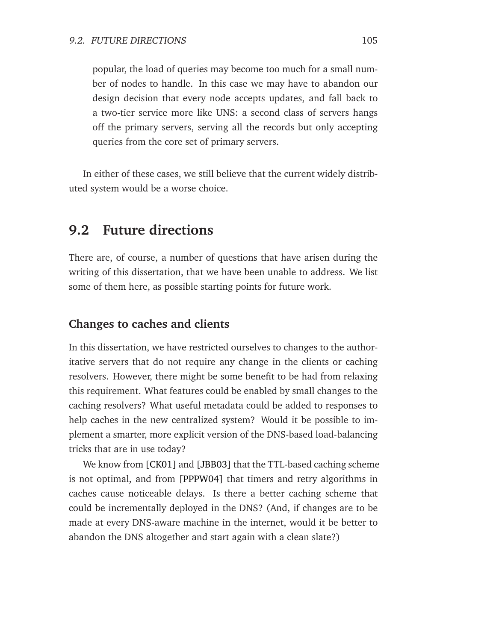<span id="page-116-0"></span>popular, the load of queries may become too much for a small number of nodes to handle. In this case we may have to abandon our design decision that every node accepts updates, and fall back to a two-tier service more like UNS: a second class of servers hangs off the primary servers, serving all the records but only accepting queries from the core set of primary servers.

In either of these cases, we still believe that the current widely distributed system would be a worse choice.

### **9.2 Future directions**

There are, of course, a number of questions that have arisen during the writing of this dissertation, that we have been unable to address. We list some of them here, as possible starting points for future work.

#### **Changes to caches and clients**

In this dissertation, we have restricted ourselves to changes to the authoritative servers that do not require any change in the clients or caching resolvers. However, there might be some benefit to be had from relaxing this requirement. What features could be enabled by small changes to the caching resolvers? What useful metadata could be added to responses to help caches in the new centralized system? Would it be possible to implement a smarter, more explicit version of the DNS-based load-balancing tricks that are in use today?

We know from [\[CK01\]](#page-143-0) and [\[JBB03\]](#page-146-1) that the TTL-based caching scheme is not optimal, and from [\[PPPW04\]](#page-150-1) that timers and retry algorithms in caches cause noticeable delays. Is there a better caching scheme that could be incrementally deployed in the DNS? (And, if changes are to be made at every DNS-aware machine in the internet, would it be better to abandon the DNS altogether and start again with a clean slate?)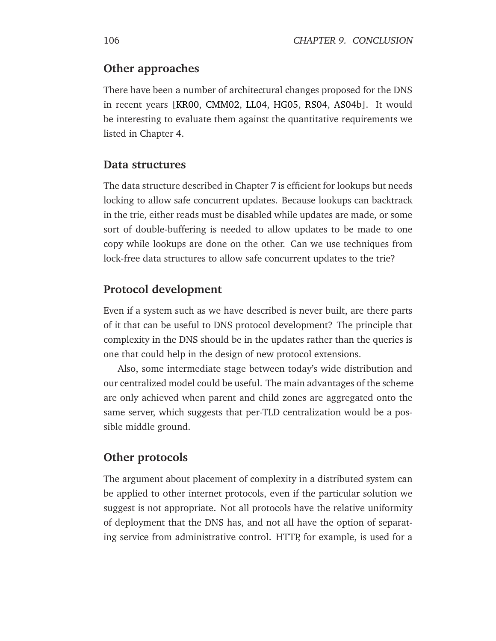#### <span id="page-117-0"></span>**Other approaches**

There have been a number of architectural changes proposed for the DNS in recent years [\[KR00,](#page-147-0) [CMM02,](#page-143-2) [LL04,](#page-147-1) [HG05,](#page-145-2) [RS04,](#page-151-0) [AS04b\]](#page-141-0). It would be interesting to evaluate them against the quantitative requirements we listed in Chapter [4.](#page-42-0)

#### **Data structures**

The data structure described in Chapter [7](#page-84-0) is efficient for lookups but needs locking to allow safe concurrent updates. Because lookups can backtrack in the trie, either reads must be disabled while updates are made, or some sort of double-buffering is needed to allow updates to be made to one copy while lookups are done on the other. Can we use techniques from lock-free data structures to allow safe concurrent updates to the trie?

#### **Protocol development**

Even if a system such as we have described is never built, are there parts of it that can be useful to DNS protocol development? The principle that complexity in the DNS should be in the updates rather than the queries is one that could help in the design of new protocol extensions.

Also, some intermediate stage between today's wide distribution and our centralized model could be useful. The main advantages of the scheme are only achieved when parent and child zones are aggregated onto the same server, which suggests that per-TLD centralization would be a possible middle ground.

#### **Other protocols**

The argument about placement of complexity in a distributed system can be applied to other internet protocols, even if the particular solution we suggest is not appropriate. Not all protocols have the relative uniformity of deployment that the DNS has, and not all have the option of separating service from administrative control. HTTP, for example, is used for a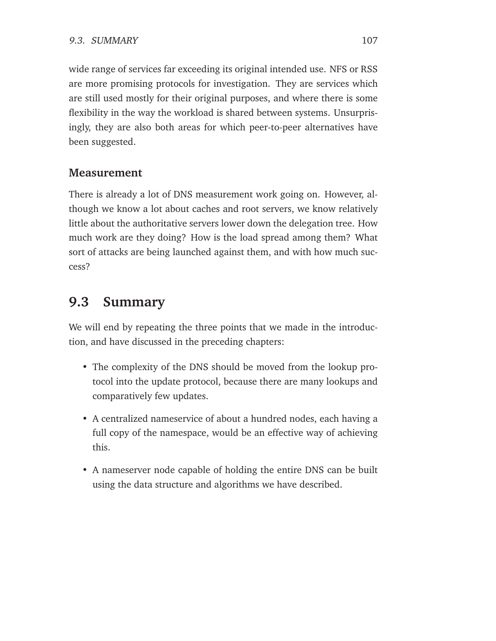wide range of services far exceeding its original intended use. NFS or RSS are more promising protocols for investigation. They are services which are still used mostly for their original purposes, and where there is some flexibility in the way the workload is shared between systems. Unsurprisingly, they are also both areas for which peer-to-peer alternatives have been suggested.

#### **Measurement**

There is already a lot of DNS measurement work going on. However, although we know a lot about caches and root servers, we know relatively little about the authoritative servers lower down the delegation tree. How much work are they doing? How is the load spread among them? What sort of attacks are being launched against them, and with how much success?

### **9.3 Summary**

We will end by repeating the three points that we made in the introduction, and have discussed in the preceding chapters:

- The complexity of the DNS should be moved from the lookup protocol into the update protocol, because there are many lookups and comparatively few updates.
- A centralized nameservice of about a hundred nodes, each having a full copy of the namespace, would be an effective way of achieving this.
- A nameserver node capable of holding the entire DNS can be built using the data structure and algorithms we have described.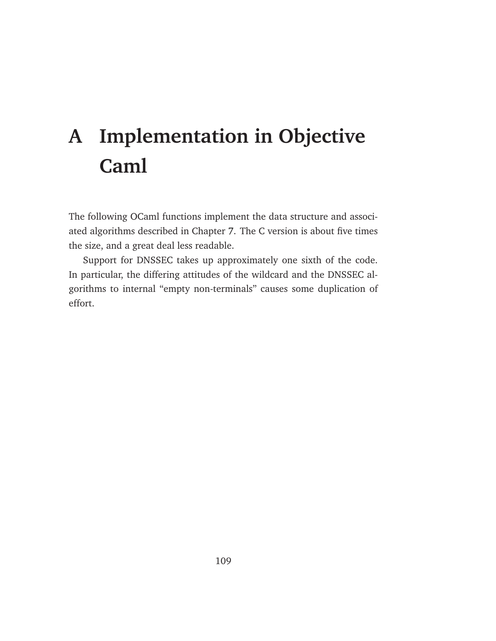# **A Implementation in Objective Caml**

The following OCaml functions implement the data structure and associated algorithms described in Chapter [7.](#page-84-0) The C version is about five times the size, and a great deal less readable.

Support for DNSSEC takes up approximately one sixth of the code. In particular, the differing attitudes of the wildcard and the DNSSEC algorithms to internal "empty non-terminals" causes some duplication of effort.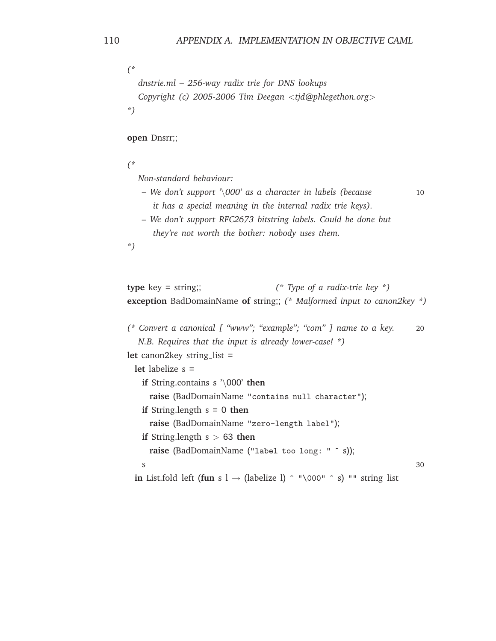```
(*
  dnstrie.ml – 256-way radix trie for DNS lookups
  Copyright (c) 2005-2006 Tim Deegan <tjd@phlegethon.org>
*)
```
**open** Dnsrr;;

*(\**

*Non-standard behaviour:*

- *We don't support '*\*000' as a character in labels (because* 10 *it has a special meaning in the internal radix trie keys).*
- *We don't support RFC2673 bitstring labels. Could be done but they're not worth the bother: nobody uses them.*

*\*)*

```
type key = string;; (* Type of a radix-trie key *)
exception BadDomainName of string;; (* Malformed input to canon2key *)
```

```
(* Convert a canonical [ "www"; "example"; "com" ] name to a key. 20
  N.B. Requires that the input is already lower-case! *)
let canon2key string_list =
 let labelize s =
   if String.contains s '\000' then
     raise (BadDomainName "contains null character");
   if String.length s = 0 then
     raise (BadDomainName "zero-length label");
```

```
if String.length s > 63 then
```

```
raise (BadDomainName ("label too long: " ^ s));
```

```
s \sim 30
```

```
in List.fold left (fun s 1 \rightarrow (labelize 1) ^ "\000" ^ s) "" string list
```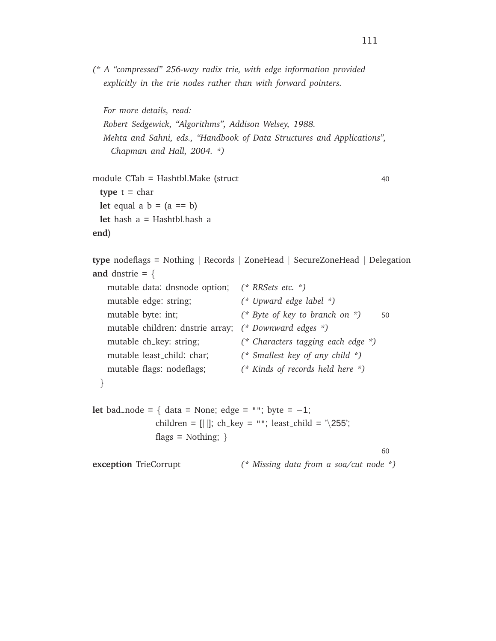*(\* A "compressed" 256-way radix trie, with edge information provided explicitly in the trie nodes rather than with forward pointers.*

```
For more details, read:
Robert Sedgewick, "Algorithms", Addison Welsey, 1988.
Mehta and Sahni, eds., "Handbook of Data Structures and Applications",
  Chapman and Hall, 2004. *)
```

```
module CTab = Hashtbl.Make (struct 40
 type t = charlet equal a b = (a == b)let hash a = Hashtbl.hash a
end)
```

```
type nodeflags = Nothing | Records | ZoneHead | SecureZoneHead | Delegation
and dnstrie = {
```

```
mutable data: dnsnode option; (* RRSets etc. *)
   mutable edge: string; (* Upward edge label *)
   mutable byte: int; (* Byte of key to branch on *) 50
   mutable children: dnstrie array; (* Downward edges *)
   mutable ch key: string; (* Characters tagging each edge *)
   mutable least child: char; (* Smallest key of any child *)
   mutable flags: nodeflags; (* Kinds of records held here *)
 }
let bad_node = { data = None; edge = ""; byte = -1;
```

```
children = [||]; ch_key = ""; least_child = \sqrt{255};
flags = Nothing; \}
```

```
60
```
**exception** TrieCorrupt *(\* Missing data from a soa/cut node \*)*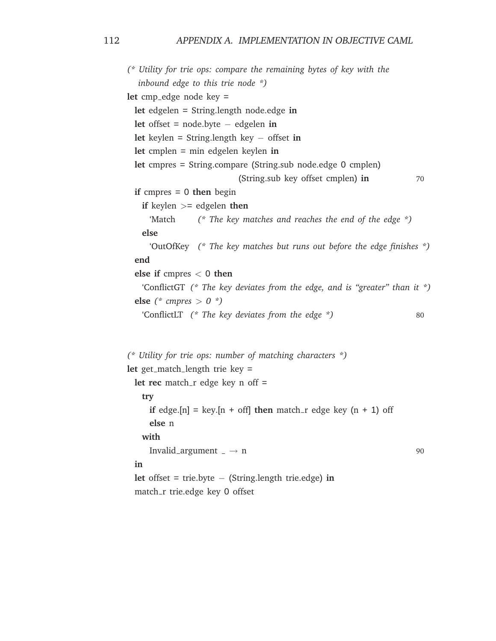*(\* Utility for trie ops: compare the remaining bytes of key with the inbound edge to this trie node \*)* let cmp\_edge node key = **let** edgelen = String.length node.edge **in let** offset = node.byte − edgelen **in let** keylen = String.length key − offset **in let** cmplen = min edgelen keylen **in let** cmpres = String.compare (String.sub node.edge 0 cmplen) (String.sub key offset cmplen) **in** 70 **if** cmpres = 0 **then** begin **if** keylen >= edgelen **then** 'Match *(\* The key matches and reaches the end of the edge \*)* **else** 'OutOfKey *(\* The key matches but runs out before the edge finishes \*)* **end else if** cmpres < 0 **then** 'ConflictGT *(\* The key deviates from the edge, and is "greater" than it \*)* **else**  $(* \text{ *compress* } > 0 *)$ 'ConflictLT *(\* The key deviates from the edge \*)* 80 *(\* Utility for trie ops: number of matching characters \*)* let get\_match\_length trie key =

```
let rec match_r edge key n off =
 try
   if edge.[n] = key.[n + off] then match r edge key (n + 1) off
   else n
 with
   Invalid_argument \Box \rightarrow n 90
in
let offset = trie.byte − (String.length trie.edge) in
match_r trie.edge key 0 offset
```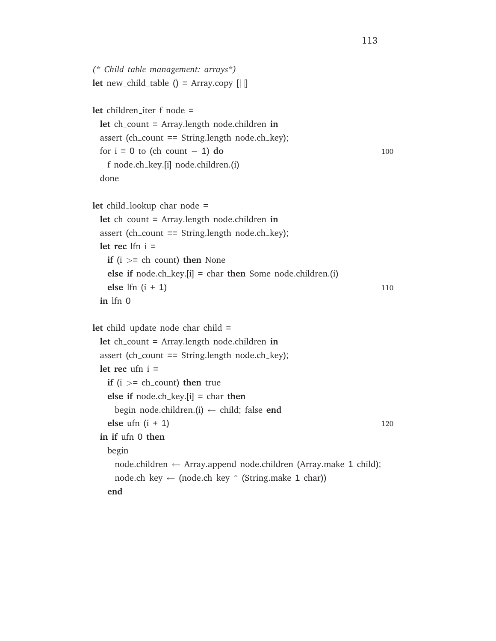```
(* Child table management: arrays*)
let new_child_table () = Array.copy [||]let children iter f node =
 let ch count = Array.length node.children in
 assert (ch_count == String.length node.ch_key);
 for i = 0 to (ch_count - 1) do 100
   f node.ch key.[i] node.children.(i)
 done
let child lookup char node =
 let ch count = Array.length node.children in
 assert (ch_count == String.length node.ch_key);
 let rec lfn i =
   if (i \geq 0 ch_count) then None
   else if node.ch key.[i] = char then Some node.children.(i)
   else lfn (i + 1) 110
 in lfn 0
let child_update node char child =
 let ch count = Array.length node.children in
 assert (ch_count == String.length node.ch_key);
 let rec ufn i =
   if (i \geq 0 ch_count) then true
   else if node.ch key.[i] = char then
    begin node.children.(i) ← child; false end
   else ufn (i + 1) 120
 in if ufn 0 then
   begin
     node.children ← Array.append node.children (Array.make 1 child);
    node.ch_key \leftarrow (node.ch_key \hat{ } (String.make 1 char))
   end
```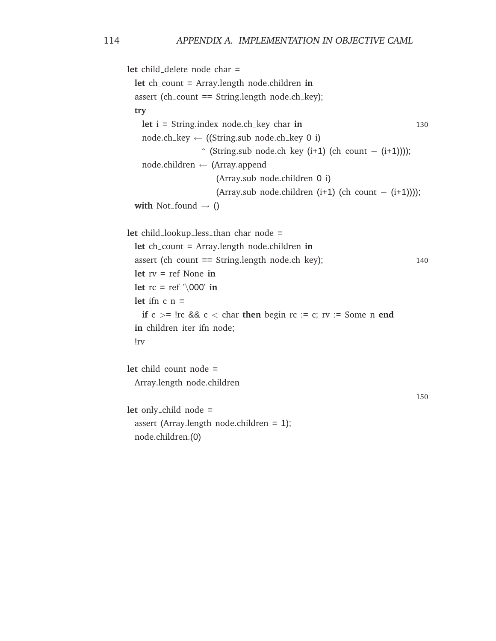```
let child delete node char =
 let ch count = Array.length node.children in
 assert (ch_count == String.length node.ch_key);
 try
   let i = String.index node.ch_key char in 130
   node.ch_key \leftarrow ((String.sub node.ch_key 0 i)
                  \hat{ } (String.sub node.ch key (i+1) (ch count - (i+1))));
   node.children ← (Array.append
                      (Array.sub node.children 0 i)
                      (Array.sub node.children (i+1) (ch_count - (i+1))));
 with Not_found \rightarrow ()
let child_lookup_less_than char node =
 let ch count = Array.length node.children in
 assert (ch_count == String.length node.ch_key); 140
 let rv = ref None in
 let rc = ref '\000' in
 let ifn c n =if c > = \text{Irc } 88 c < \text{char } 10 then begin \text{rc} := c; \text{rv} := Some n end
 in children_iter ifn node;
 !rv
let child count node =
 Array.length node.children
                                                                         150
let only child node =
 assert (Array.length node.children = 1);
 node.children.(0)
```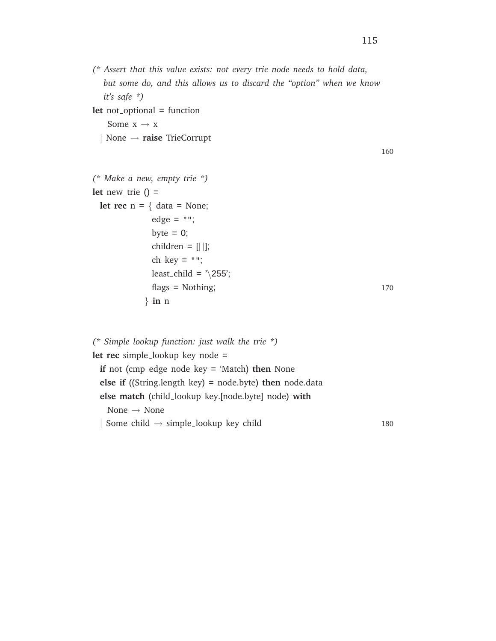*(\* Assert that this value exists: not every trie node needs to hold data, but some do, and this allows us to discard the "option" when we know it's safe \*)*

**let** not<sub>-optional = function</sub> Some  $x \rightarrow x$ 

| None → **raise** TrieCorrupt

160

```
(* Make a new, empty trie *)
let new trie () =let rec n = \{ data = None;edge = "";byte = 0;
            children = [ | ];
            ch\_key = "";least_child = \sqrt{255};
            flags = Nothing; 170
          } in n
```

| (* Simple lookup function: just walk the trie *)                       |     |
|------------------------------------------------------------------------|-----|
| <b>let rec</b> simple_lookup key node =                                |     |
| if not (cmp_edge node key $=$ 'Match) then None                        |     |
| <b>else if</b> ((String.length key) = node.byte) <b>then</b> node.data |     |
| else match (child lookup key [node byte] node) with                    |     |
| None $\rightarrow$ None                                                |     |
| Some child $\rightarrow$ simple_lookup key child                       | 180 |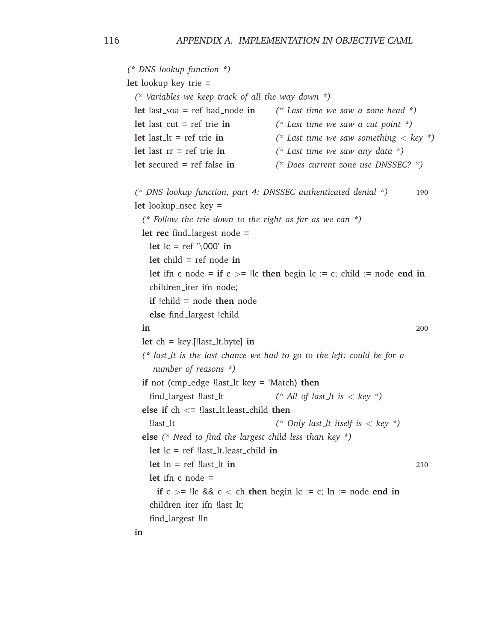*(\* DNS lookup function \*)* **let** lookup key trie = *(\* Variables we keep track of all the way down \*)* **let** last soa = ref bad node **in** *(\* Last time we saw a zone head \*)* **let** last cut = ref trie **in** *(\* Last time we saw a cut point \*)* **let** last lt = ref trie **in** *(\* Last time we saw something* < *key \*)* **let** last\_rr = ref trie **in**  $(*$  *Last time we saw any data*  $*)$ **let** secured = ref false **in** *(\* Does current zone use DNSSEC? \*) (\* DNS lookup function, part 4: DNSSEC authenticated denial \*)* 190 **let** lookup nsec key = *(\* Follow the trie down to the right as far as we can \*)* **let rec** find largest node = **let**  $lc = ref \ \ 000' \ in$ **let** child = ref node **in let** ifn c node = **if**  $c$  >= !lc **then** begin lc := c; child := node **end in** children\_iter ifn node: **if** !child = node **then** node **else** find largest !child **in** 200  $let ch = key.[\text{last}\_lt[b] in$ *(\* last lt is the last chance we had to go to the left: could be for a number of reasons \*)* **if** not (cmp\_edge !last\_lt key = 'Match) **then** find largest !last lt *(\* All of last lt is* < *key \*)* **else if** ch <= !last lt.least child **then** !last lt *(\* Only last lt itself is* < *key \*)* **else** *(\* Need to find the largest child less than key \*)* **let** lc = ref !last lt.least child **in**  $\text{let } \ln = \text{ref } \text{!last\_lt in}$  210 **let** ifn c node = **if**  $c > =$  !lc &&  $c <$  ch **then** begin lc := c; ln := node **end in** children\_iter ifn !last\_lt; find largest !ln **in**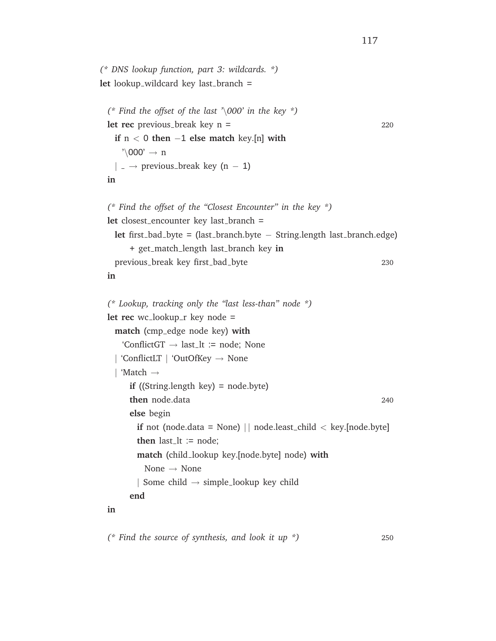```
(* DNS lookup function, part 3: wildcards. *)
let lookup_wildcard key last_branch =
 (* Find the offset of the last '\000' in the key *)
 let rec previous_break key n = 220
   if n < 0 then −1 else match key.[n] with
     \prime\backslash 000' \rightarrow n| \rightarrow previous_break key (n – 1)
 in
 (* Find the offset of the "Closest Encounter" in the key *)
 let closest_encounter key last_branch =
   let first bad byte = (last branch.byte − String.length last branch.edge)
       + get match length last branch key in
   previous_break key first_bad_byte 230
 in
  (* Lookup, tracking only the "last less-than" node *)
 let rec wc_lookup_r key node =
   match (cmp edge node key) with
     'ConflictGT \rightarrow last_lt := node; None
   | 'ConflictLT | 'OutOfKey → None
   | 'Match →
       if ((String.length key) = node.byte)
       then node.data 240
       else begin
        if not (node.data = None) || node.least_child < key.[node.byte]
        then last_lt := node;
        match (child lookup key.[node.byte] node) with
          None \rightarrow None
        | Some child \rightarrow simple lookup key child
       end
 in
```
*(\* Find the source of synthesis, and look it up \*)* 250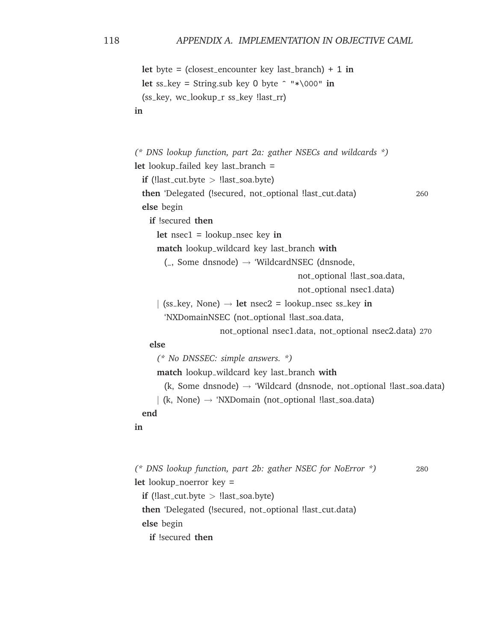```
let byte = (closest encounter key last branch) + 1 in
  let ss_key = String.sub key 0 byte \hat{ } "*\000" in
  (ss_key, wc_lookup_r ss_key !last_rr)
in
```

```
(* DNS lookup function, part 2a: gather NSECs and wildcards *)
let lookup failed key last branch =
  if (!last_cut.byte > !last_soa.byte)
  then 'Delegated (!secured, not optional !last_cut.data) 260
  else begin
   if !secured then
      let nsec1 = lookup nsec key in
      match lookup wildcard key last branch with
       (, Some dnsnode) \rightarrow 'WildcardNSEC (dnsnode,
                                          not_optional !last_soa.data,
                                          not optional nsec1.data)
     | (ss<sub>key</sub>, None) \rightarrow let nsec2 = lookup_nsec ss<sub>key</sub> in
       'NXDomainNSEC (not_optional !last_soa.data,
                      not optional nsec1.data, not optional nsec2.data) 270
   else
      (* No DNSSEC: simple answers. *)
      match lookup wildcard key last branch with
       (k, Some dnsnode) \rightarrow 'Wildcard (dnsnode, not optional !last soa.data)
     | (k, None) \rightarrow 'NXDomain (not optional !last soa.data)
  end
in
```

```
(* DNS lookup function, part 2b: gather NSEC for NoError *) 280
let lookup_noerror key =
 if (!last_cut.byte > !last_soa.byte)
 then 'Delegated (!secured, not optional !last_cut.data)
 else begin
   if !secured then
```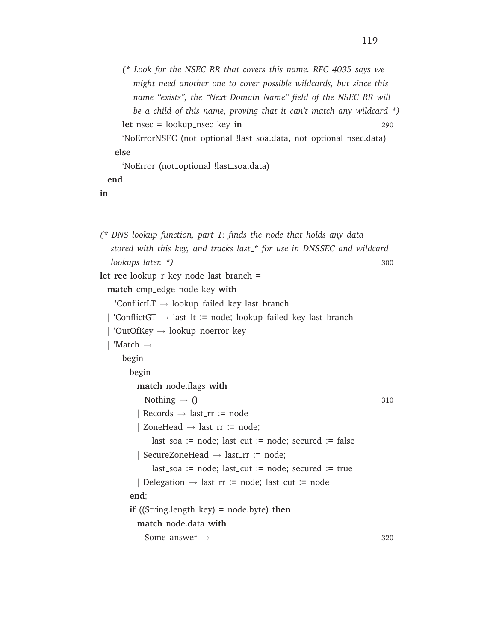```
(* Look for the NSEC RR that covers this name. RFC 4035 says we
        might need another one to cover possible wildcards, but since this
       name "exists", the "Next Domain Name" field of the NSEC RR will
       be a child of this name, proving that it can't match any wildcard *)
     let nsec = lookup nsec key in 290
     'NoErrorNSEC (not_optional !last_soa.data, not_optional nsec.data)
   else
     'NoError (not_optional !last_soa.data)
 end
in
(* DNS lookup function, part 1: finds the node that holds any data
  stored with this key, and tracks last * for use in DNSSEC and wildcard
  lookups later. *) 300
let rec lookup_r key node last_branch =
  match cmp edge node key with
   'ConflictLT \rightarrow lookup_failed key last_branch
  'ConflictGT \rightarrow last_l := node; lookup_failed key last_branch
   \text{'OutOfKey} \rightarrow \text{lookup\_noerror} key
   | 'Match →
     begin
       begin
        match node.flags with
          Nothing \rightarrow () 310
         | Records \rightarrow last_rr := node
         ZoneHead \rightarrow last\_rr := node;last\_soa := node; last-cut := node; secured := false
```

```
| SecureZoneHead \rightarrow last_rr := node;
```

```
last soa := node; last cut := node; secured := true
| Delegation \rightarrow last_rr := node; last_cut := node
```
**end**;

**if** ((String.length key) = node.byte) **then**

**match** node.data **with**

Some answer  $\rightarrow$  320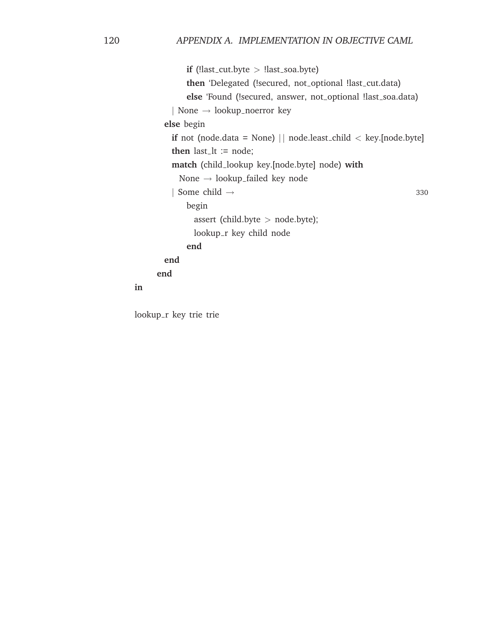```
if (!last_cut.byte > !last_soa.byte)
      then 'Delegated (!secured, not_optional !last_cut.data)
      else 'Found (!secured, answer, not_optional !last_soa.data)
   | None → lookup noerror key
 else begin
   if not (node.data = None) || node.least_child < key.[node.byte]
   then last_lt := node;
   match (child lookup key.[node.byte] node) with
     None → lookup failed key node
   | Some child \rightarrow 330
      begin
        assert (child.byte > node.byte);
        lookup_r key child node
      end
 end
end
```
lookup\_r key trie trie

**in**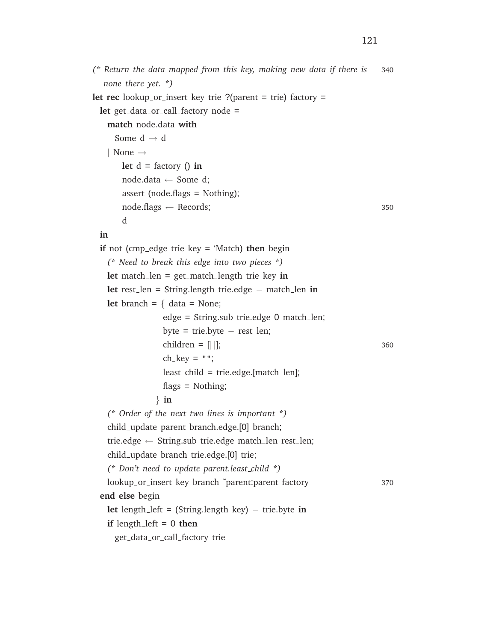```
(* Return the data mapped from this key, making new data if there is 340
let rec lookup_or_insert key trie ?(parent = trie) factory =
```

```
in
```
*none there yet. \*)*

Some  $d \rightarrow d$ 

| None →

d

let get\_data\_or\_call\_factory node =

**match** node.data **with**

 $let d = factory() in$ node.data ← Some d;

assert (node.flags = Nothing);

```
if not (cmp edge trie key = 'Match) then begin
  (* Need to break this edge into two pieces *)
 let match len = get match length trie key in
 let rest len = String.length trie.edge − match len in
 let branch = \{ data = None;edge = String.sub trie.edge 0 match len;
               byte = trie.byte - rest_length;children = [| |]; 360
               ch_{key} = "";least child = trie.edge.[match len];
               flags = Nothing;
             } in
  (* Order of the next two lines is important *)
  child update parent branch.edge.[0] branch;
 trie.edge \leftarrow String.sub trie.edge match_len rest_len;
  child update branch trie.edge.[0] trie;
  (* Don't need to update parent.least child *)
 lookup or insert key branch ˜parent:parent factory 370
end else begin
 let length left = (String.length key) − trie.byte in
 if length left = 0 then
   get data or call factory trie
```
 $\text{node}\text{.flags} \leftarrow \text{ Records};$  350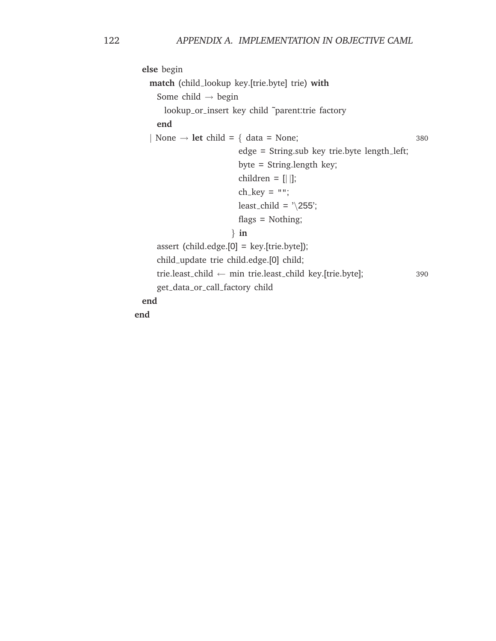```
else begin
 match (child lookup key.[trie.byte] trie) with
   Some child \rightarrow begin
     lookup_or_insert key child ~parent:trie factory
   end
 | None \rightarrow let child = { data = None; 380
                        edge = String.sub key trie.byte length left;
                        byte = String.length key;
                        children = [ | ];
                        ch\_key = "";least_child = \sqrt{255};
                        flags = Nothing;
                      } in
   assert (child.edge.[0] = key.[trie.byte]);
   child update trie child.edge.[0] child;
   trie.least child ← min trie.least child key.[trie.byte]; 390
   get data or call factory child
end
```
**end**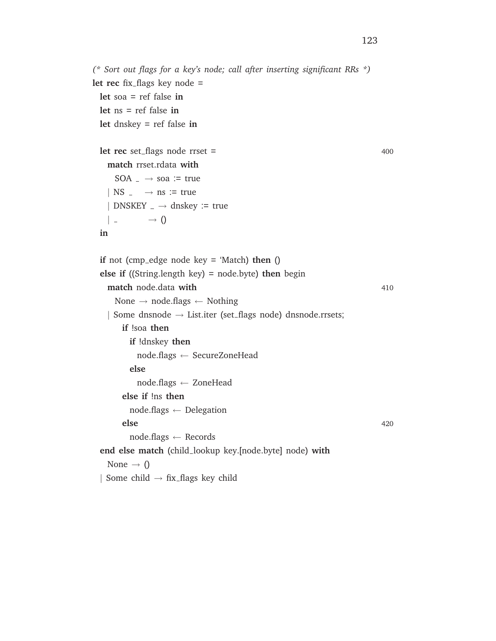```
(* Sort out flags for a key's node; call after inserting significant RRs *)
let rec fix_flags key node =
 let soa = ref false in
 let ns = ref false in
 let dnskey = ref false in
 let rec set_flags node rrset = 400
   match rrset.rdata with
     SOA \rightarrow soa := true
   | NS \Box \rightarrow ns := true
   | DNSKEY \angle \rightarrow dnskey := true
    \qquad \longrightarrow ()in
 if not (cmp edge node key = 'Match) then ()
 else if ((String.length key) = node.byte) then begin
   match node.data with 410
     None \rightarrow node.flags \leftarrow Nothing
   | Some dnsnode \rightarrow List.iter (set_flags node) dnsnode.rrsets;
      if !soa then
        if !dnskey then
          node.flags ← SecureZoneHead
        else
          node.flags ← ZoneHead
      else if !ns then
        node.flags ← Delegation
       else 420
        node.flags ← Records
 end else match (child lookup key.[node.byte] node) with
   None \rightarrow ()
 | Some child \rightarrow fix flags key child
```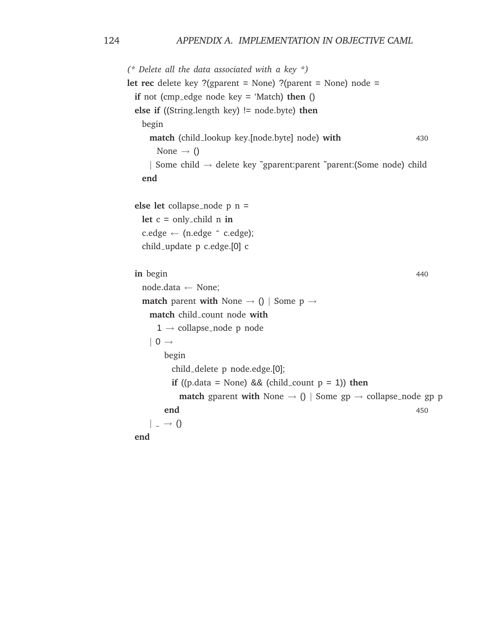```
(* Delete all the data associated with a key *)
let rec delete key ?(gparent = None) ?(parent = None) node =
 if not (cmp edge node key = 'Match) then ()
 else if ((String.length key) != node.byte) then
   begin
     match (child lookup key.[node.byte] node) with 430
      None \rightarrow ()
     | Some child → delete key ˜gparent:parent ˜parent:(Some node) child
   end
 else let collapse_node p n =
   let c = only child n in
   c. edge \leftarrow (n. edge \hat{ } \circ c. edge);child update p c.edge.[0] c
 in begin 440
   node.data ← None;
   match parent with None \rightarrow () | Some p \rightarrowmatch child count node with
      1 \rightarrow collapse_node p node
     | 0 \rightarrowbegin
          child delete p node.edge.[0];
          if ((p.data = None) & 8 \times (child_count p = 1) then
            match gparent with None \rightarrow () | Some gp \rightarrow collapse_node gp p
        end 450
     | \rightarrow 0end
```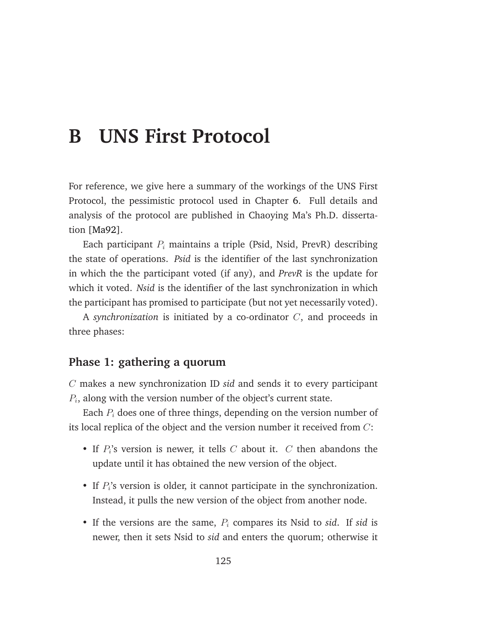## **B UNS First Protocol**

For reference, we give here a summary of the workings of the UNS First Protocol, the pessimistic protocol used in Chapter [6.](#page-72-0) Full details and analysis of the protocol are published in Chaoying Ma's Ph.D. dissertation [\[Ma92\]](#page-148-1).

Each participant  $P_i$  maintains a triple (Psid, Nsid, PrevR) describing the state of operations. *Psid* is the identifier of the last synchronization in which the the participant voted (if any), and *PrevR* is the update for which it voted. *Nsid* is the identifier of the last synchronization in which the participant has promised to participate (but not yet necessarily voted).

A *synchronization* is initiated by a co-ordinator C, and proceeds in three phases:

#### **Phase 1: gathering a quorum**

C makes a new synchronization ID *sid* and sends it to every participant  $P_i$ , along with the version number of the object's current state.

Each  $P_i$  does one of three things, depending on the version number of its local replica of the object and the version number it received from C:

- If  $P_i$ 's version is newer, it tells  $C$  about it.  $C$  then abandons the update until it has obtained the new version of the object.
- If  $P_i$ 's version is older, it cannot participate in the synchronization. Instead, it pulls the new version of the object from another node.
- If the versions are the same,  $P_i$  compares its Nsid to *sid*. If *sid* is newer, then it sets Nsid to *sid* and enters the quorum; otherwise it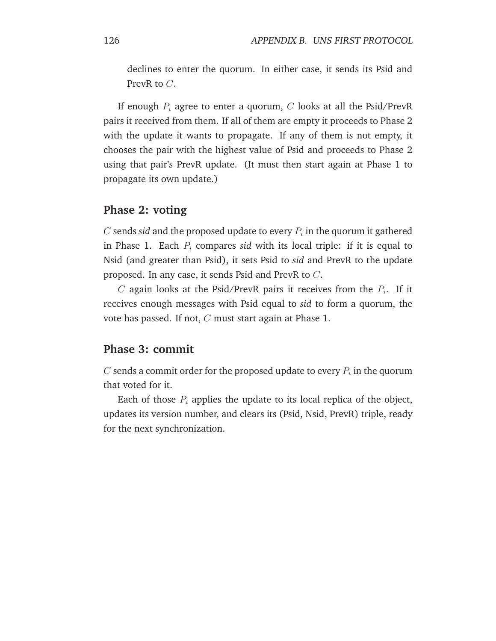declines to enter the quorum. In either case, it sends its Psid and PrevR to C.

If enough  $P_i$  agree to enter a quorum, C looks at all the Psid/PrevR pairs it received from them. If all of them are empty it proceeds to Phase 2 with the update it wants to propagate. If any of them is not empty, it chooses the pair with the highest value of Psid and proceeds to Phase 2 using that pair's PrevR update. (It must then start again at Phase 1 to propagate its own update.)

#### **Phase 2: voting**

 $C$  sends sid and the proposed update to every  $P_i$  in the quorum it gathered in Phase 1. Each  $P_i$  compares *sid* with its local triple: if it is equal to Nsid (and greater than Psid), it sets Psid to *sid* and PrevR to the update proposed. In any case, it sends Psid and PrevR to C.

 $C$  again looks at the Psid/PrevR pairs it receives from the  $P_i$ . If it receives enough messages with Psid equal to *sid* to form a quorum, the vote has passed. If not, C must start again at Phase 1.

#### **Phase 3: commit**

 $C$  sends a commit order for the proposed update to every  $P_i$  in the quorum that voted for it.

Each of those  $P_i$  applies the update to its local replica of the object, updates its version number, and clears its (Psid, Nsid, PrevR) triple, ready for the next synchronization.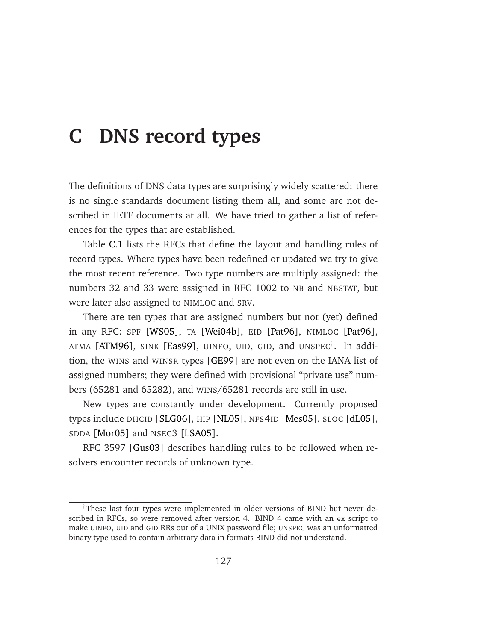## <span id="page-138-0"></span>**C DNS record types**

The definitions of DNS data types are surprisingly widely scattered: there is no single standards document listing them all, and some are not described in IETF documents at all. We have tried to gather a list of references for the types that are established.

Table [C.1](#page-139-0) lists the RFCs that define the layout and handling rules of record types. Where types have been redefined or updated we try to give the most recent reference. Two type numbers are multiply assigned: the numbers 32 and 33 were assigned in RFC 1002 to NB and NBSTAT, but were later also assigned to NIMLOC and SRV.

There are ten types that are assigned numbers but not (yet) defined in any RFC: SPF [\[WS05\]](#page-153-1), TA [\[Wei04b\]](#page-153-2), EID [\[Pat96\]](#page-150-3), NIMLOC [\[Pat96\]](#page-150-3), ATMA [\[ATM96\]](#page-141-3), SINK [\[Eas99\]](#page-144-1), UINFO, UID, GID, and UNSPEC† . In addition, the WINS and WINSR types [\[GE99\]](#page-145-3) are not even on the IANA list of assigned numbers; they were defined with provisional "private use" numbers (65281 and 65282), and WINS/65281 records are still in use.

New types are constantly under development. Currently proposed types include DHCID [\[SLG06\]](#page-151-1), HIP [\[NL05\]](#page-149-0), NFS4ID [\[Mes05\]](#page-148-2), SLOC [\[dL05\]](#page-144-2), SDDA [\[Mor05\]](#page-149-1) and NSEC3 [\[LSA05\]](#page-147-2).

RFC 3597 [\[Gus03\]](#page-145-4) describes handling rules to be followed when resolvers encounter records of unknown type.

<sup>†</sup>These last four types were implemented in older versions of BIND but never described in RFCs, so were removed after version 4. BIND 4 came with an ex script to make UINFO, UID and GID RRs out of a UNIX password file; UNSPEC was an unformatted binary type used to contain arbitrary data in formats BIND did not understand.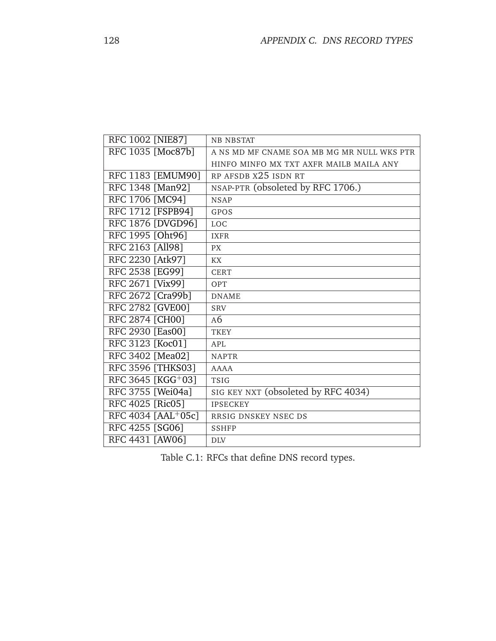<span id="page-139-1"></span>

| RFC 1002 [NIE87]         | <b>NB NBSTAT</b>                           |
|--------------------------|--------------------------------------------|
| RFC 1035 [Moc87b]        | A NS MD MF CNAME SOA MB MG MR NULL WKS PTR |
|                          | HINFO MINFO MX TXT AXFR MAILB MAILA ANY    |
| RFC 1183 [EMUM90]        | RP AFSDB X25 ISDN RT                       |
| RFC 1348 [Man92]         | NSAP-PTR (obsoleted by RFC 1706.)          |
| RFC 1706 [MC94]          | <b>NSAP</b>                                |
| RFC 1712 [FSPB94]        | GPOS                                       |
| RFC 1876 [DVGD96]        | <b>LOC</b>                                 |
| RFC 1995 [Oht96]         | <b>IXFR</b>                                |
| RFC 2163 [All98]         | <b>PX</b>                                  |
| RFC 2230 [Atk97]         | <b>KX</b>                                  |
| RFC 2538 [EG99]          | <b>CERT</b>                                |
| <b>RFC 2671 [Vix99]</b>  | OPT                                        |
| RFC 2672 [Cra99b]        | <b>DNAME</b>                               |
| RFC 2782 [GVE00]         | <b>SRV</b>                                 |
| <b>RFC 2874 [CH00]</b>   | AG                                         |
| RFC 2930 [Eas00]         | <b>TKEY</b>                                |
| RFC 3123 [Koc01]         | APL                                        |
| RFC 3402 [Mea02]         | <b>NAPTR</b>                               |
| <b>RFC 3596 [THKS03]</b> | <b>AAAA</b>                                |
| RFC 3645 [KGG+03]        | <b>TSIG</b>                                |
| RFC 3755 [Wei04a]        | SIG KEY NXT (obsoleted by RFC 4034)        |
| RFC 4025 [Ric05]         | <b>IPSECKEY</b>                            |
| RFC 4034 [AAL+05c]       | RRSIG DNSKEY NSEC DS                       |
| RFC 4255 [SG06]          | <b>SSHFP</b>                               |
| RFC 4431 [AW06]          | <b>DLV</b>                                 |

<span id="page-139-0"></span>Table C.1: RFCs that define DNS record types.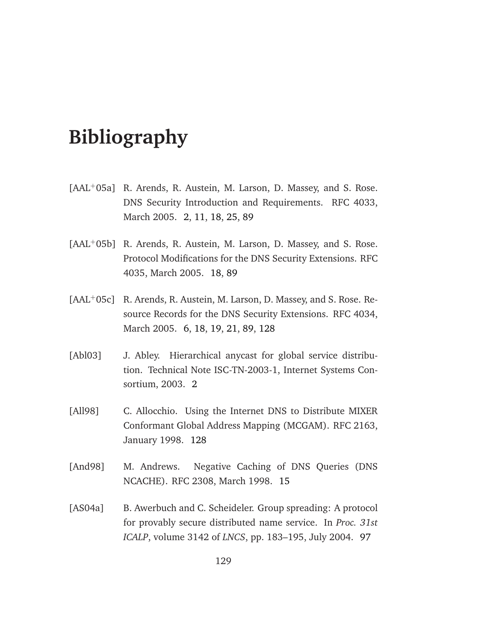## **Bibliography**

- [AAL<sup>+</sup>05a] R. Arends, R. Austein, M. Larson, D. Massey, and S. Rose. DNS Security Introduction and Requirements. RFC 4033, March 2005. [2,](#page-13-0) [11,](#page-22-0) [18,](#page-29-0) [25,](#page-36-0) [89](#page-100-0)
- [AAL<sup>+</sup>05b] R. Arends, R. Austein, M. Larson, D. Massey, and S. Rose. Protocol Modifications for the DNS Security Extensions. RFC 4035, March 2005. [18,](#page-29-0) [89](#page-100-0)
- <span id="page-140-2"></span>[AAL<sup>+</sup>05c] R. Arends, R. Austein, M. Larson, D. Massey, and S. Rose. Resource Records for the DNS Security Extensions. RFC 4034, March 2005. [6,](#page-17-0) [18,](#page-29-0) [19,](#page-30-0) [21,](#page-32-0) [89,](#page-100-0) [128](#page-139-1)
- [Abl03] J. Abley. Hierarchical anycast for global service distribution. Technical Note ISC-TN-2003-1, Internet Systems Consortium, 2003. [2](#page-13-0)
- <span id="page-140-1"></span>[All98] C. Allocchio. Using the Internet DNS to Distribute MIXER Conformant Global Address Mapping (MCGAM). RFC 2163, January 1998. [128](#page-139-1)
- [And98] M. Andrews. Negative Caching of DNS Queries (DNS NCACHE). RFC 2308, March 1998. [15](#page-26-0)
- <span id="page-140-0"></span>[AS04a] B. Awerbuch and C. Scheideler. Group spreading: A protocol for provably secure distributed name service. In *Proc. 31st ICALP*, volume 3142 of *LNCS*, pp. 183–195, July 2004. [97](#page-108-0)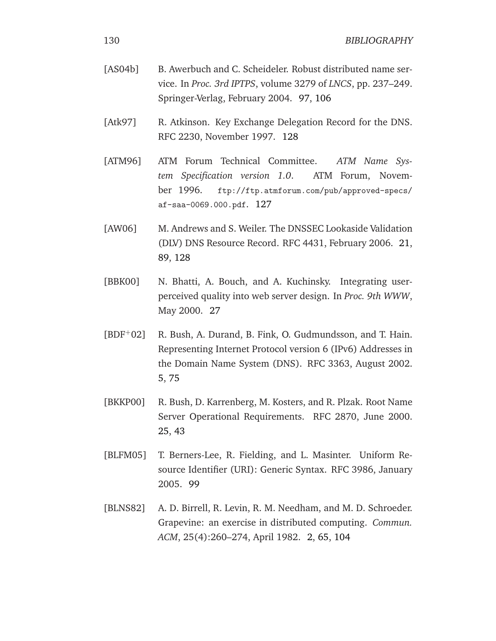<span id="page-141-5"></span><span id="page-141-4"></span><span id="page-141-3"></span><span id="page-141-0"></span>

| [AS04b]    | B. Awerbuch and C. Scheideler. Robust distributed name ser-<br>vice. In Proc. 3rd IPTPS, volume 3279 of LNCS, pp. 237-249.<br>Springer-Verlag, February 2004. 97, 106                     |
|------------|-------------------------------------------------------------------------------------------------------------------------------------------------------------------------------------------|
| [Atk97]    | R. Atkinson. Key Exchange Delegation Record for the DNS.<br>RFC 2230, November 1997. 128                                                                                                  |
| [ATM96]    | ATM Forum Technical Committee. ATM Name Sys-<br>tem Specification version 1.0. ATM Forum, Novem-<br>ber 1996. ftp://ftp.atmforum.com/pub/approved-specs/<br>af-saa-0069.000.pdf. 127      |
| [AW06]     | M. Andrews and S. Weiler. The DNSSEC Lookaside Validation<br>(DLV) DNS Resource Record. RFC 4431, February 2006. 21,<br>89, 128                                                           |
| [BBK00]    | N. Bhatti, A. Bouch, and A. Kuchinsky. Integrating user-<br>perceived quality into web server design. In Proc. 9th WWW,<br>May 2000. 27                                                   |
| $[BDF+02]$ | R. Bush, A. Durand, B. Fink, O. Gudmundsson, and T. Hain.<br>Representing Internet Protocol version 6 (IPv6) Addresses in<br>the Domain Name System (DNS). RFC 3363, August 2002.<br>5,75 |
| [BKKP00]   | R. Bush, D. Karrenberg, M. Kosters, and R. Plzak. Root Name<br>Server Operational Requirements. RFC 2870, June 2000.<br>25, 43                                                            |
| [BLFM05]   | T. Berners-Lee, R. Fielding, and L. Masinter. Uniform Re-<br>source Identifier (URI): Generic Syntax. RFC 3986, January<br>2005. 99                                                       |
| [BLNS82]   | A. D. Birrell, R. Levin, R. M. Needham, and M. D. Schroeder.<br>Grapevine: an exercise in distributed computing. Commun.                                                                  |

<span id="page-141-2"></span><span id="page-141-1"></span>*ACM*, 25(4):260–274, April 1982. [2,](#page-13-0) [65,](#page-76-0) [104](#page-115-0)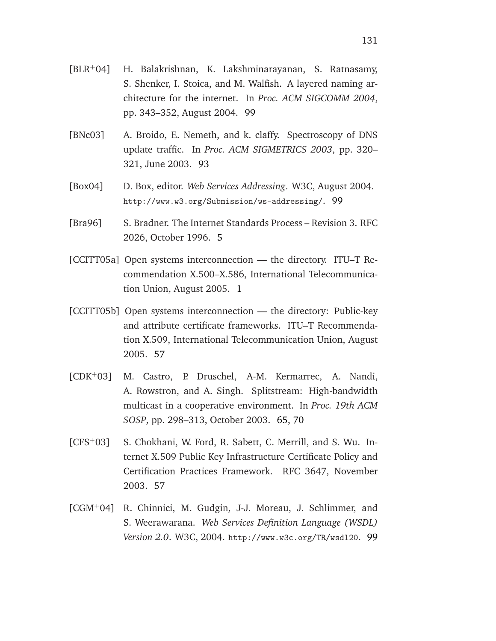- <span id="page-142-2"></span>[BLR<sup>+</sup>04] H. Balakrishnan, K. Lakshminarayanan, S. Ratnasamy, S. Shenker, I. Stoica, and M. Walfish. A layered naming architecture for the internet. In *Proc. ACM SIGCOMM 2004*, pp. 343–352, August 2004. [99](#page-110-0)
- [BNc03] A. Broido, E. Nemeth, and k. claffy. Spectroscopy of DNS update traffic. In *Proc. ACM SIGMETRICS 2003*, pp. 320– 321, June 2003. [93](#page-104-0)
- <span id="page-142-1"></span>[Box04] D. Box, editor. *Web Services Addressing*. W3C, August 2004. http://www.w3.org/Submission/ws-addressing/. [99](#page-110-0)
- [Bra96] S. Bradner. The Internet Standards Process Revision 3. RFC 2026, October 1996. [5](#page-16-0)
- [CCITT05a] Open systems interconnection the directory. ITU–T Recommendation X.500–X.586, International Telecommunication Union, August 2005. [1](#page-12-0)
- [CCITT05b] Open systems interconnection the directory: Public-key and attribute certificate frameworks. ITU–T Recommendation X.509, International Telecommunication Union, August 2005. [57](#page-68-0)
- [CDK<sup>+</sup>03] M. Castro, P. Druschel, A-M. Kermarrec, A. Nandi, A. Rowstron, and A. Singh. Splitstream: High-bandwidth multicast in a cooperative environment. In *Proc. 19th ACM SOSP*, pp. 298–313, October 2003. [65,](#page-76-0) [70](#page-81-0)
- [CFS<sup>+</sup>03] S. Chokhani, W. Ford, R. Sabett, C. Merrill, and S. Wu. Internet X.509 Public Key Infrastructure Certificate Policy and Certification Practices Framework. RFC 3647, November 2003. [57](#page-68-0)
- <span id="page-142-0"></span>[CGM<sup>+</sup>04] R. Chinnici, M. Gudgin, J-J. Moreau, J. Schlimmer, and S. Weerawarana. *Web Services Definition Language (WSDL) Version 2.0*. W3C, 2004. http://www.w3c.org/TR/wsdl20. [99](#page-110-0)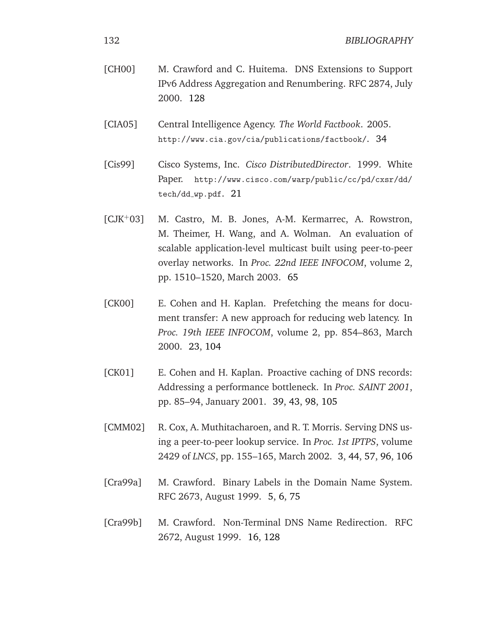<span id="page-143-4"></span>

| [CH00] | M. Crawford and C. Huitema. DNS Extensions to Support    |
|--------|----------------------------------------------------------|
|        | IPv6 Address Aggregation and Renumbering. RFC 2874, July |
|        | 2000. 128                                                |
|        |                                                          |

[CIA05] Central Intelligence Agency. *The World Factbook*. 2005. http://www.cia.gov/cia/publications/factbook/. [34](#page-45-0)

- [Cis99] Cisco Systems, Inc. *Cisco DistributedDirector*. 1999. White Paper. http://www.cisco.com/warp/public/cc/pd/cxsr/dd/ tech/dd\_wp.pdf. [21](#page-32-0)
- [CJK<sup>+</sup>03] M. Castro, M. B. Jones, A-M. Kermarrec, A. Rowstron, M. Theimer, H. Wang, and A. Wolman. An evaluation of scalable application-level multicast built using peer-to-peer overlay networks. In *Proc. 22nd IEEE INFOCOM*, volume 2, pp. 1510–1520, March 2003. [65](#page-76-0)
- <span id="page-143-1"></span>[CK00] E. Cohen and H. Kaplan. Prefetching the means for document transfer: A new approach for reducing web latency. In *Proc. 19th IEEE INFOCOM*, volume 2, pp. 854–863, March 2000. [23,](#page-34-0) [104](#page-115-0)
- <span id="page-143-0"></span>[CK01] E. Cohen and H. Kaplan. Proactive caching of DNS records: Addressing a performance bottleneck. In *Proc. SAINT 2001*, pp. 85–94, January 2001. [39,](#page-50-0) [43,](#page-54-0) [98,](#page-109-0) [105](#page-116-0)
- <span id="page-143-2"></span>[CMM02] R. Cox, A. Muthitacharoen, and R. T. Morris. Serving DNS using a peer-to-peer lookup service. In *Proc. 1st IPTPS*, volume 2429 of *LNCS*, pp. 155–165, March 2002. [3,](#page-14-0) [44,](#page-55-0) [57,](#page-68-0) [96,](#page-107-0) [106](#page-117-0)
- [Cra99a] M. Crawford. Binary Labels in the Domain Name System. RFC 2673, August 1999. [5,](#page-16-0) [6,](#page-17-0) [75](#page-86-0)
- <span id="page-143-3"></span>[Cra99b] M. Crawford. Non-Terminal DNS Name Redirection. RFC 2672, August 1999. [16,](#page-27-0) [128](#page-139-1)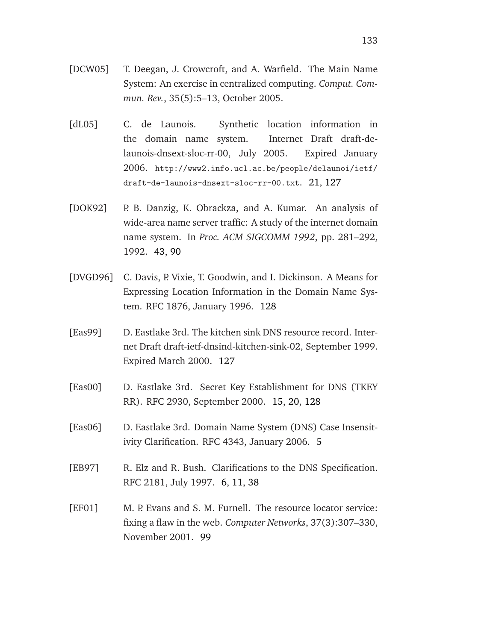- [DCW05] T. Deegan, J. Crowcroft, and A. Warfield. The Main Name System: An exercise in centralized computing. *Comput. Commun. Rev.*, 35(5):5–13, October 2005.
- [dL05] C. de Launois. Synthetic location information in the domain name system. Internet Draft draft-delaunois-dnsext-sloc-rr-00, July 2005. Expired January 2006. http://www2.info.ucl.ac.be/people/delaunoi/ietf/ draft-de-launois-dnsext-sloc-rr-00.txt. [21,](#page-32-0) [127](#page-138-0)
- [DOK92] P. B. Danzig, K. Obrackza, and A. Kumar. An analysis of wide-area name server traffic: A study of the internet domain name system. In *Proc. ACM SIGCOMM 1992*, pp. 281–292, 1992. [43,](#page-54-0) [90](#page-101-0)
- [DVGD96] C. Davis, P. Vixie, T. Goodwin, and I. Dickinson. A Means for Expressing Location Information in the Domain Name System. RFC 1876, January 1996. [128](#page-139-0)
- [Eas99] D. Eastlake 3rd. The kitchen sink DNS resource record. Internet Draft draft-ietf-dnsind-kitchen-sink-02, September 1999. Expired March 2000. [127](#page-138-0)
- [Eas00] D. Eastlake 3rd. Secret Key Establishment for DNS (TKEY RR). RFC 2930, September 2000. [15,](#page-26-0) [20,](#page-31-0) [128](#page-139-0)
- [Eas06] D. Eastlake 3rd. Domain Name System (DNS) Case Insensitivity Clarification. RFC 4343, January 2006. [5](#page-16-0)
- [EB97] R. Elz and R. Bush. Clarifications to the DNS Specification. RFC 2181, July 1997. [6,](#page-17-0) [11,](#page-22-0) [38](#page-49-0)
- [EF01] M. P. Evans and S. M. Furnell. The resource locator service: fixing a flaw in the web. *Computer Networks*, 37(3):307–330, November 2001. [99](#page-110-0)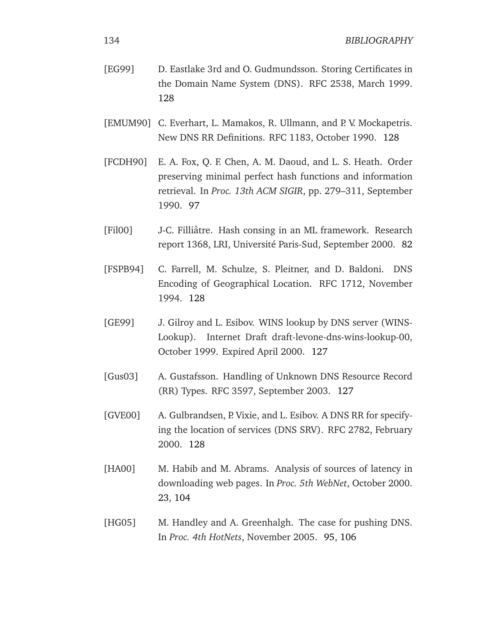| [EG99] | D. Eastlake 3rd and O. Gudmundsson. Storing Certificates in |
|--------|-------------------------------------------------------------|
|        | the Domain Name System (DNS). RFC 2538, March 1999.         |
|        | 12.8                                                        |

- [EMUM90] C. Everhart, L. Mamakos, R. Ullmann, and P. V. Mockapetris. New DNS RR Definitions. RFC 1183, October 1990. [128](#page-139-0)
- [FCDH90] E. A. Fox, Q. F. Chen, A. M. Daoud, and L. S. Heath. Order preserving minimal perfect hash functions and information retrieval. In *Proc. 13th ACM SIGIR*, pp. 279–311, September 1990. [97](#page-108-0)
- [Fil00] J-C. Filliâtre. Hash consing in an ML framework. Research report 1368, LRI, Université Paris-Sud, September 2000. [82](#page-93-0)
- [FSPB94] C. Farrell, M. Schulze, S. Pleitner, and D. Baldoni. DNS Encoding of Geographical Location. RFC 1712, November 1994. [128](#page-139-0)
- [GE99] J. Gilroy and L. Esibov. WINS lookup by DNS server (WINS-Lookup). Internet Draft draft-levone-dns-wins-lookup-00, October 1999. Expired April 2000. [127](#page-138-0)
- [Gus03] A. Gustafsson. Handling of Unknown DNS Resource Record (RR) Types. RFC 3597, September 2003. [127](#page-138-0)
- [GVE00] A. Gulbrandsen, P. Vixie, and L. Esibov. A DNS RR for specifying the location of services (DNS SRV). RFC 2782, February 2000. [128](#page-139-0)
- [HA00] M. Habib and M. Abrams. Analysis of sources of latency in downloading web pages. In *Proc. 5th WebNet*, October 2000. [23,](#page-34-0) [104](#page-115-0)
- [HG05] M. Handley and A. Greenhalgh. The case for pushing DNS. In *Proc. 4th HotNets*, November 2005. [95,](#page-106-0) [106](#page-117-0)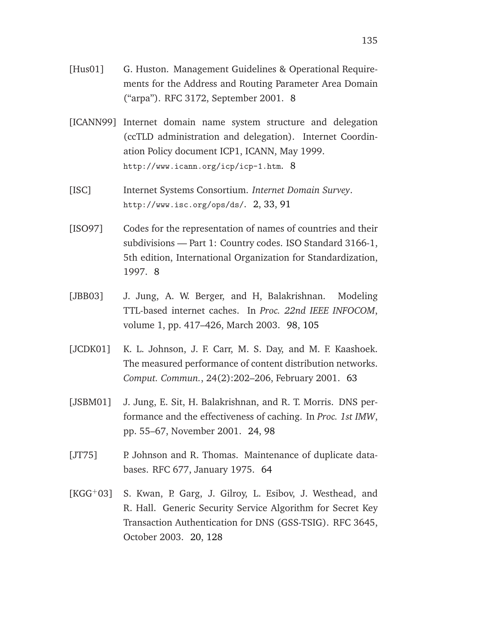- [Hus01] G. Huston. Management Guidelines & Operational Requirements for the Address and Routing Parameter Area Domain ("arpa"). RFC 3172, September 2001. [8](#page-19-0)
- [ICANN99] Internet domain name system structure and delegation (ccTLD administration and delegation). Internet Coordination Policy document ICP1, ICANN, May 1999. http://www.icann.org/icp/icp-1.htm. [8](#page-19-0)
- [ISC] Internet Systems Consortium. *Internet Domain Survey*. http://www.isc.org/ops/ds/. [2,](#page-13-0) [33,](#page-44-0) [91](#page-102-0)
- [ISO97] Codes for the representation of names of countries and their subdivisions — Part 1: Country codes. ISO Standard 3166-1, 5th edition, International Organization for Standardization, 1997. [8](#page-19-0)
- [JBB03] J. Jung, A. W. Berger, and H, Balakrishnan. Modeling TTL-based internet caches. In *Proc. 22nd IEEE INFOCOM*, volume 1, pp. 417–426, March 2003. [98,](#page-109-0) [105](#page-116-0)
- [JCDK01] K. L. Johnson, J. F. Carr, M. S. Day, and M. F. Kaashoek. The measured performance of content distribution networks. *Comput. Commun.*, 24(2):202–206, February 2001. [63](#page-74-0)
- [JSBM01] J. Jung, E. Sit, H. Balakrishnan, and R. T. Morris. DNS performance and the effectiveness of caching. In *Proc. 1st IMW*, pp. 55–67, November 2001. [24,](#page-35-0) [98](#page-109-0)
- [JT75] P. Johnson and R. Thomas. Maintenance of duplicate databases. RFC 677, January 1975. [64](#page-75-0)
- [KGG<sup>+</sup>03] S. Kwan, P. Garg, J. Gilroy, L. Esibov, J. Westhead, and R. Hall. Generic Security Service Algorithm for Secret Key Transaction Authentication for DNS (GSS-TSIG). RFC 3645, October 2003. [20,](#page-31-0) [128](#page-139-0)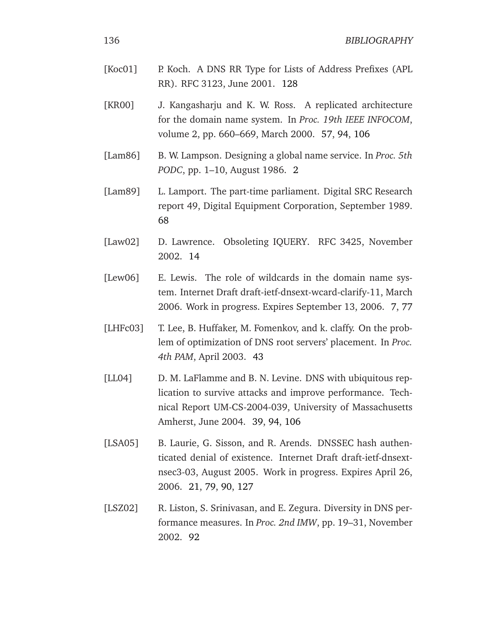- [Koc01] P. Koch. A DNS RR Type for Lists of Address Prefixes (APL RR). RFC 3123, June 2001. [128](#page-139-0)
- [KR00] J. Kangasharju and K. W. Ross. A replicated architecture for the domain name system. In *Proc. 19th IEEE INFOCOM*, volume 2, pp. 660–669, March 2000. [57,](#page-68-0) [94,](#page-105-0) [106](#page-117-0)
- [Lam86] B. W. Lampson. Designing a global name service. In *Proc. 5th PODC*, pp. 1–10, August 1986. [2](#page-13-0)
- [Lam89] L. Lamport. The part-time parliament. Digital SRC Research report 49, Digital Equipment Corporation, September 1989. [68](#page-79-0)
- [Law02] D. Lawrence. Obsoleting IQUERY. RFC 3425, November 2002. [14](#page-25-0)
- [Lew06] E. Lewis. The role of wildcards in the domain name system. Internet Draft draft-ietf-dnsext-wcard-clarify-11, March 2006. Work in progress. Expires September 13, 2006. [7,](#page-18-0) [77](#page-88-0)
- [LHFc03] T. Lee, B. Huffaker, M. Fomenkov, and k. claffy. On the problem of optimization of DNS root servers' placement. In *Proc. 4th PAM*, April 2003. [43](#page-54-0)
- [LL04] D. M. LaFlamme and B. N. Levine. DNS with ubiquitous replication to survive attacks and improve performance. Technical Report UM-CS-2004-039, University of Massachusetts Amherst, June 2004. [39,](#page-50-0) [94,](#page-105-0) [106](#page-117-0)
- [LSA05] B. Laurie, G. Sisson, and R. Arends. DNSSEC hash authenticated denial of existence. Internet Draft draft-ietf-dnsextnsec3-03, August 2005. Work in progress. Expires April 26, 2006. [21,](#page-32-0) [79,](#page-90-0) [90,](#page-101-0) [127](#page-138-0)
- [LSZ02] R. Liston, S. Srinivasan, and E. Zegura. Diversity in DNS performance measures. In *Proc. 2nd IMW*, pp. 19–31, November 2002. [92](#page-103-0)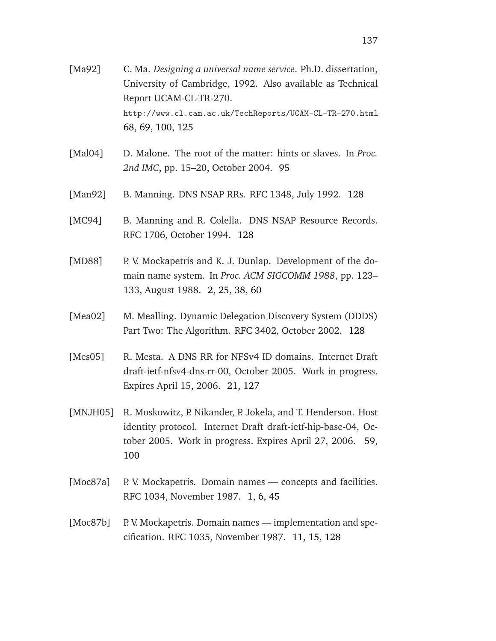- [Ma92] C. Ma. *Designing a universal name service*. Ph.D. dissertation, University of Cambridge, 1992. Also available as Technical Report UCAM-CL-TR-270. http://www.cl.cam.ac.uk/TechReports/UCAM-CL-TR-270.html [68,](#page-79-0) [69,](#page-80-0) [100,](#page-111-0) [125](#page-136-0)
- [Mal04] D. Malone. The root of the matter: hints or slaves. In *Proc. 2nd IMC*, pp. 15–20, October 2004. [95](#page-106-0)
- [Man92] B. Manning. DNS NSAP RRs. RFC 1348, July 1992. [128](#page-139-0)
- [MC94] B. Manning and R. Colella. DNS NSAP Resource Records. RFC 1706, October 1994. [128](#page-139-0)
- [MD88] P. V. Mockapetris and K. J. Dunlap. Development of the domain name system. In *Proc. ACM SIGCOMM 1988*, pp. 123– 133, August 1988. [2,](#page-13-0) [25,](#page-36-0) [38,](#page-49-0) [60](#page-71-0)
- [Mea02] M. Mealling. Dynamic Delegation Discovery System (DDDS) Part Two: The Algorithm. RFC 3402, October 2002. [128](#page-139-0)
- [Mes05] R. Mesta. A DNS RR for NFSv4 ID domains. Internet Draft draft-ietf-nfsv4-dns-rr-00, October 2005. Work in progress. Expires April 15, 2006. [21,](#page-32-0) [127](#page-138-0)
- [MNJH05] R. Moskowitz, P. Nikander, P. Jokela, and T. Henderson. Host identity protocol. Internet Draft draft-ietf-hip-base-04, October 2005. Work in progress. Expires April 27, 2006. [59,](#page-70-0) [100](#page-111-0)
- [Moc87a] P. V. Mockapetris. Domain names concepts and facilities. RFC 1034, November 1987. [1,](#page-12-0) [6,](#page-17-0) [45](#page-56-0)
- [Moc87b] P. V. Mockapetris. Domain names implementation and specification. RFC 1035, November 1987. [11,](#page-22-0) [15,](#page-26-0) [128](#page-139-0)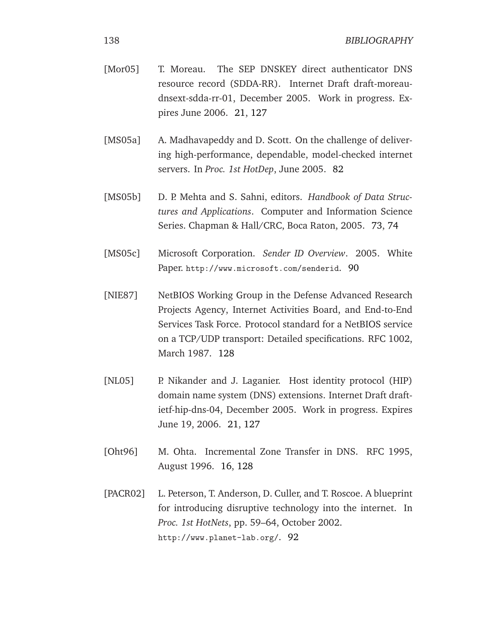- [Mor05] T. Moreau. The SEP DNSKEY direct authenticator DNS resource record (SDDA-RR). Internet Draft draft-moreaudnsext-sdda-rr-01, December 2005. Work in progress. Expires June 2006. [21,](#page-32-0) [127](#page-138-0)
- [MS05a] A. Madhavapeddy and D. Scott. On the challenge of delivering high-performance, dependable, model-checked internet servers. In *Proc. 1st HotDep*, June 2005. [82](#page-93-0)
- [MS05b] D. P. Mehta and S. Sahni, editors. *Handbook of Data Structures and Applications*. Computer and Information Science Series. Chapman & Hall/CRC, Boca Raton, 2005. [73,](#page-84-0) [74](#page-85-0)
- [MS05c] Microsoft Corporation. *Sender ID Overview*. 2005. White Paper. http://www.microsoft.com/senderid. [90](#page-101-0)
- [NIE87] NetBIOS Working Group in the Defense Advanced Research Projects Agency, Internet Activities Board, and End-to-End Services Task Force. Protocol standard for a NetBIOS service on a TCP/UDP transport: Detailed specifications. RFC 1002, March 1987. [128](#page-139-0)
- [NL05] P. Nikander and J. Laganier. Host identity protocol (HIP) domain name system (DNS) extensions. Internet Draft draftietf-hip-dns-04, December 2005. Work in progress. Expires June 19, 2006. [21,](#page-32-0) [127](#page-138-0)
- [Oht96] M. Ohta. Incremental Zone Transfer in DNS. RFC 1995, August 1996. [16,](#page-27-0) [128](#page-139-0)
- [PACR02] L. Peterson, T. Anderson, D. Culler, and T. Roscoe. A blueprint for introducing disruptive technology into the internet. In *Proc. 1st HotNets*, pp. 59–64, October 2002. http://www.planet-lab.org/. [92](#page-103-0)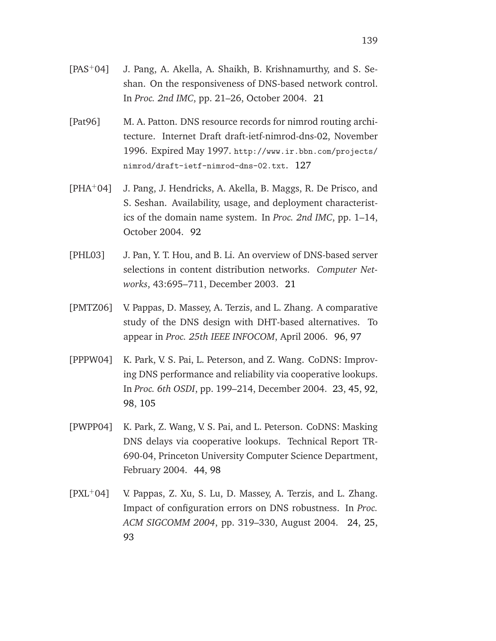- [Pat96] M. A. Patton. DNS resource records for nimrod routing architecture. Internet Draft draft-ietf-nimrod-dns-02, November 1996. Expired May 1997. http://www.ir.bbn.com/projects/ nimrod/draft-ietf-nimrod-dns-02.txt. [127](#page-138-0)
- [PHA<sup>+</sup>04] J. Pang, J. Hendricks, A. Akella, B. Maggs, R. De Prisco, and S. Seshan. Availability, usage, and deployment characteristics of the domain name system. In *Proc. 2nd IMC*, pp. 1–14, October 2004. [92](#page-103-0)
- [PHL03] J. Pan, Y. T. Hou, and B. Li. An overview of DNS-based server selections in content distribution networks. *Computer Networks*, 43:695–711, December 2003. [21](#page-32-0)
- [PMTZ06] V. Pappas, D. Massey, A. Terzis, and L. Zhang. A comparative study of the DNS design with DHT-based alternatives. To appear in *Proc. 25th IEEE INFOCOM*, April 2006. [96,](#page-107-0) [97](#page-108-0)
- [PPPW04] K. Park, V. S. Pai, L. Peterson, and Z. Wang. CoDNS: Improving DNS performance and reliability via cooperative lookups. In *Proc. 6th OSDI*, pp. 199–214, December 2004. [23,](#page-34-0) [45,](#page-56-0) [92,](#page-103-0) [98,](#page-109-0) [105](#page-116-0)
- [PWPP04] K. Park, Z. Wang, V. S. Pai, and L. Peterson. CoDNS: Masking DNS delays via cooperative lookups. Technical Report TR-690-04, Princeton University Computer Science Department, February 2004. [44,](#page-55-0) [98](#page-109-0)
- $[PXL+04]$  V. Pappas, Z. Xu, S. Lu, D. Massey, A. Terzis, and L. Zhang. Impact of configuration errors on DNS robustness. In *Proc. ACM SIGCOMM 2004*, pp. 319–330, August 2004. [24,](#page-35-0) [25,](#page-36-0) [93](#page-104-0)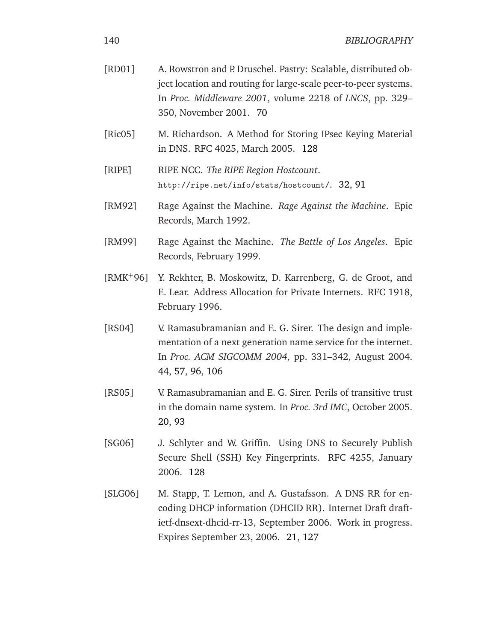| [RD01]                          | A. Rowstron and P. Druschel. Pastry: Scalable, distributed ob-<br>ject location and routing for large-scale peer-to-peer systems.<br>In Proc. Middleware 2001, volume 2218 of LNCS, pp. 329-<br>350, November 2001. 70 |
|---------------------------------|------------------------------------------------------------------------------------------------------------------------------------------------------------------------------------------------------------------------|
| $[\text{Ric05}]$                | M. Richardson. A Method for Storing IPsec Keying Material<br>in DNS. RFC 4025, March 2005. 128                                                                                                                         |
| [RIPE]                          | RIPE NCC. The RIPE Region Hostcount.<br>http://ripe.net/info/stats/hostcount/. 32, 91                                                                                                                                  |
| [RM92]                          | Rage Against the Machine. Rage Against the Machine. Epic<br>Records, March 1992.                                                                                                                                       |
| [RM99]                          | Rage Against the Machine. The Battle of Los Angeles. Epic<br>Records, February 1999.                                                                                                                                   |
| $\left[\text{RMK}^{+}96\right]$ | Y. Rekhter, B. Moskowitz, D. Karrenberg, G. de Groot, and<br>E. Lear. Address Allocation for Private Internets. RFC 1918,<br>February 1996.                                                                            |
| [RS04]                          | V. Ramasubramanian and E. G. Sirer. The design and imple-<br>mentation of a next generation name service for the internet.<br>In Proc. ACM SIGCOMM 2004, pp. 331-342, August 2004.<br>44, 57, 96, 106                  |
| [RS05]                          | V. Ramasubramanian and E. G. Sirer. Perils of transitive trust<br>in the domain name system. In <i>Proc. 3rd IMC</i> , October 2005.<br>20, 93                                                                         |
| [SG06]                          | J. Schlyter and W. Griffin. Using DNS to Securely Publish<br>Secure Shell (SSH) Key Fingerprints. RFC 4255, January<br>2006. 128                                                                                       |
| [SLG06]                         | M. Stapp, T. Lemon, and A. Gustafsson. A DNS RR for en-<br>coding DHCP information (DHCID RR). Internet Draft draft-<br>ietf-dnsext-dhcid-rr-13, September 2006. Work in progress.                                     |

Expires September 23, 2006. [21,](#page-32-0) [127](#page-138-0)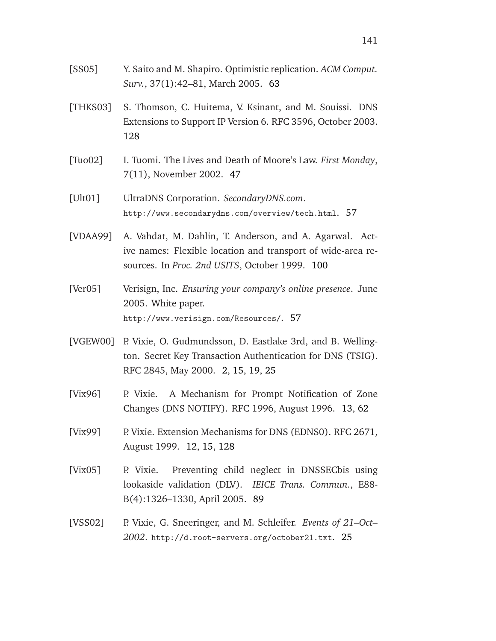- [SS05] Y. Saito and M. Shapiro. Optimistic replication. *ACM Comput. Surv.*, 37(1):42–81, March 2005. [63](#page-74-0)
- [THKS03] S. Thomson, C. Huitema, V. Ksinant, and M. Souissi. DNS Extensions to Support IP Version 6. RFC 3596, October 2003. [128](#page-139-0)
- [Tuo02] I. Tuomi. The Lives and Death of Moore's Law. *First Monday*, 7(11), November 2002. [47](#page-58-0)
- [Ult01] UltraDNS Corporation. *SecondaryDNS.com*. http://www.secondarydns.com/overview/tech.html. [57](#page-68-0)
- [VDAA99] A. Vahdat, M. Dahlin, T. Anderson, and A. Agarwal. Active names: Flexible location and transport of wide-area resources. In *Proc. 2nd USITS*, October 1999. [100](#page-111-0)
- [Ver05] Verisign, Inc. *Ensuring your company's online presence*. June 2005. White paper. http://www.verisign.com/Resources/. [57](#page-68-0)
- [VGEW00] P. Vixie, O. Gudmundsson, D. Eastlake 3rd, and B. Wellington. Secret Key Transaction Authentication for DNS (TSIG). RFC 2845, May 2000. [2,](#page-13-0) [15,](#page-26-0) [19,](#page-30-0) [25](#page-36-0)
- [Vix96] P. Vixie. A Mechanism for Prompt Notification of Zone Changes (DNS NOTIFY). RFC 1996, August 1996. [13,](#page-24-0) [62](#page-73-0)
- [Vix99] P. Vixie. Extension Mechanisms for DNS (EDNS0). RFC 2671, August 1999. [12,](#page-23-0) [15,](#page-26-0) [128](#page-139-0)
- [Vix05] P. Vixie. Preventing child neglect in DNSSECbis using lookaside validation (DLV). *IEICE Trans. Commun.*, E88- B(4):1326–1330, April 2005. [89](#page-100-0)
- [VSS02] P. Vixie, G. Sneeringer, and M. Schleifer. *Events of 21–Oct– 2002*. http://d.root-servers.org/october21.txt. [25](#page-36-0)